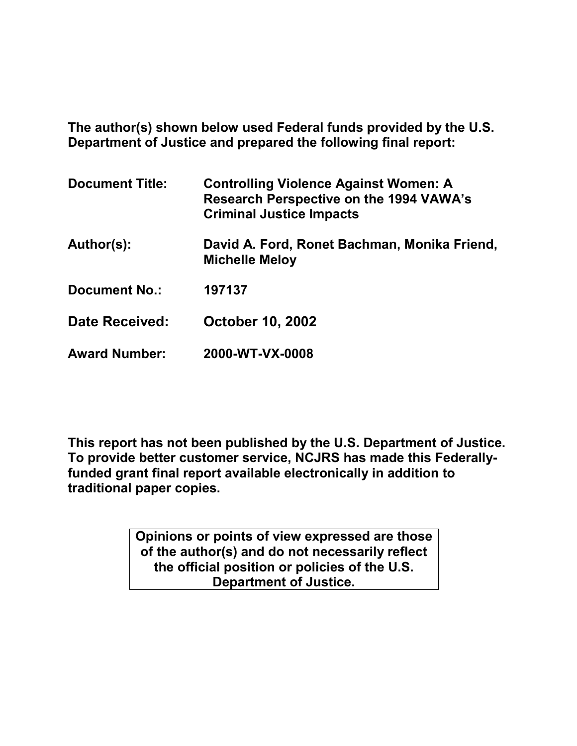**The author(s) shown below used Federal funds provided by the U.S. Department of Justice and prepared the following final report:** 

| <b>Document Title:</b> | <b>Controlling Violence Against Women: A</b><br>Research Perspective on the 1994 VAWA's<br><b>Criminal Justice Impacts</b> |
|------------------------|----------------------------------------------------------------------------------------------------------------------------|
| Author(s):             | David A. Ford, Ronet Bachman, Monika Friend,<br><b>Michelle Meloy</b>                                                      |
| <b>Document No.:</b>   | 197137                                                                                                                     |
| <b>Date Received:</b>  | <b>October 10, 2002</b>                                                                                                    |
| <b>Award Number:</b>   | 2000-WT-VX-0008                                                                                                            |

**This report has not been published by the U.S. Department of Justice. To provide better customer service, NCJRS has made this Federallyfunded grant final report available electronically in addition to traditional paper copies.** 

> **Opinions or points of view expressed are those of the author(s) and do not necessarily reflect the official position or policies of the U.S. Department of Justice.**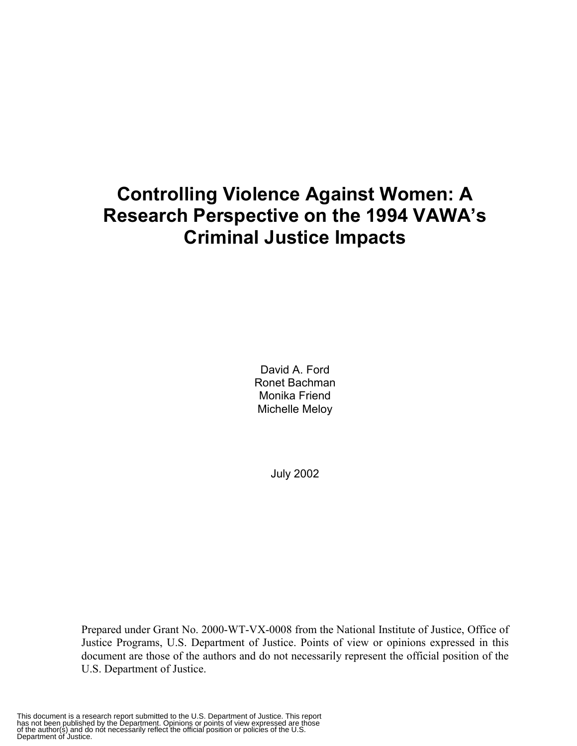# **Controlling Violence Against Women: A Research Perspective on the 1994 VAWA's Criminal Justice Impacts**

David A. Ford Ronet Bachman Monika Friend Michelle Meloy

July 2002

Prepared under Grant No. 2000-WT-VX-0008 from the National Institute of Justice, Office of Justice Programs, U.S. Department of Justice. Points of view or opinions expressed in this document are those of the authors and do not necessarily represent the official position of the U.S. Department of Justice.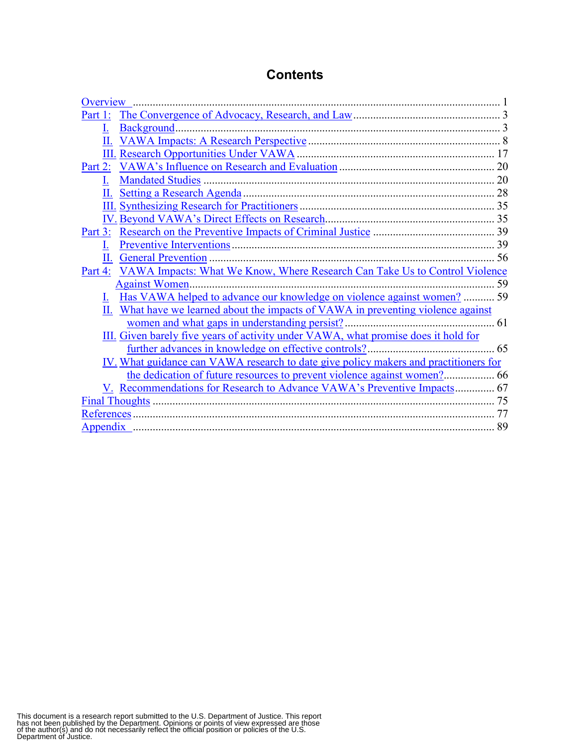## **Contents**

| Overview                                                                                  |    |
|-------------------------------------------------------------------------------------------|----|
| Part $1$ :                                                                                |    |
| L.<br>Background.                                                                         |    |
|                                                                                           |    |
|                                                                                           |    |
|                                                                                           |    |
| <b>Mandated Studies</b> .<br>I.                                                           | 20 |
|                                                                                           |    |
|                                                                                           |    |
|                                                                                           |    |
|                                                                                           |    |
| I.                                                                                        |    |
|                                                                                           | 56 |
| <u>Part 4: VAWA Impacts: What We Know, Where Research Can Take Us to Control Violence</u> |    |
| <b>Against Women</b>                                                                      | 59 |
| Has VAWA helped to advance our knowledge on violence against women?  59                   |    |
| II. What have we learned about the impacts of VAWA in preventing violence against         |    |
|                                                                                           |    |
| III. Given barely five years of activity under VAWA, what promise does it hold for        |    |
|                                                                                           |    |
| IV. What guidance can VAWA research to date give policy makers and practitioners for      |    |
|                                                                                           |    |
| V. Recommendations for Research to Advance VAWA's Preventive Impacts 67                   |    |
|                                                                                           |    |
|                                                                                           |    |
| Appendix                                                                                  |    |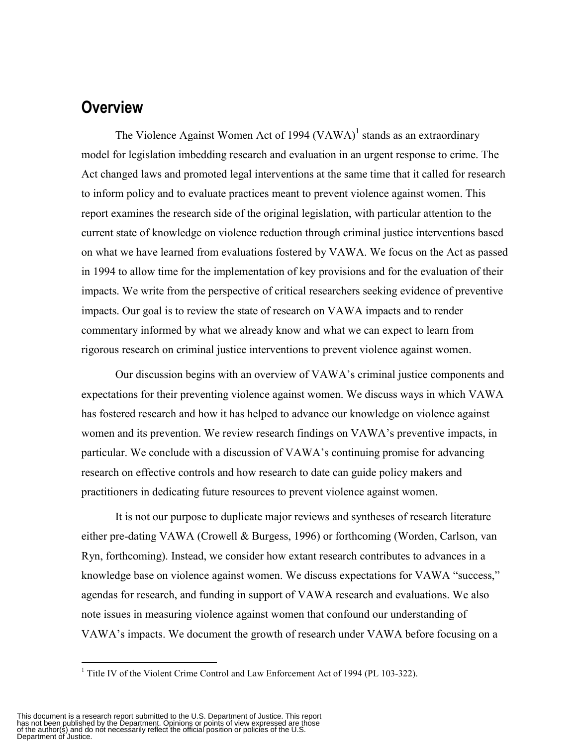## <span id="page-3-0"></span>**Overview**

The Violence Against Women Act of 1994  $(VAWA)^1$  stands as an extraordinary model for legislation imbedding research and evaluation in an urgent response to crime. The Act changed laws and promoted legal interventions at the same time that it called for research to inform policy and to evaluate practices meant to prevent violence against women. This report examines the research side of the original legislation, with particular attention to the current state of knowledge on violence reduction through criminal justice interventions based on what we have learned from evaluations fostered by VAWA. We focus on the Act as passed in 1994 to allow time for the implementation of key provisions and for the evaluation of their impacts. We write from the perspective of critical researchers seeking evidence of preventive impacts. Our goal is to review the state of research on VAWA impacts and to render commentary informed by what we already know and what we can expect to learn from rigorous research on criminal justice interventions to prevent violence against women.

Our discussion begins with an overview of VAWA's criminal justice components and expectations for their preventing violence against women. We discuss ways in which VAWA has fostered research and how it has helped to advance our knowledge on violence against women and its prevention. We review research findings on VAWA's preventive impacts, in particular. We conclude with a discussion of VAWA's continuing promise for advancing research on effective controls and how research to date can guide policy makers and practitioners in dedicating future resources to prevent violence against women.

It is not our purpose to duplicate major reviews and syntheses of research literature either pre-dating VAWA (Crowell & Burgess, 1996) or forthcoming (Worden, Carlson, van Ryn, forthcoming). Instead, we consider how extant research contributes to advances in a knowledge base on violence against women. We discuss expectations for VAWA "success," agendas for research, and funding in support of VAWA research and evaluations. We also note issues in measuring violence against women that confound our understanding of VAWA's impacts. We document the growth of research under VAWA before focusing on a

<sup>&</sup>lt;sup>1</sup> Title IV of the Violent Crime Control and Law Enforcement Act of 1994 (PL 103-322).

This document is a research report submitted to the U.S. Department of Justice. This report<br>has not been published by the Department. Opinions or points of view expressed are those<br>of the author(s) and do not necessarily r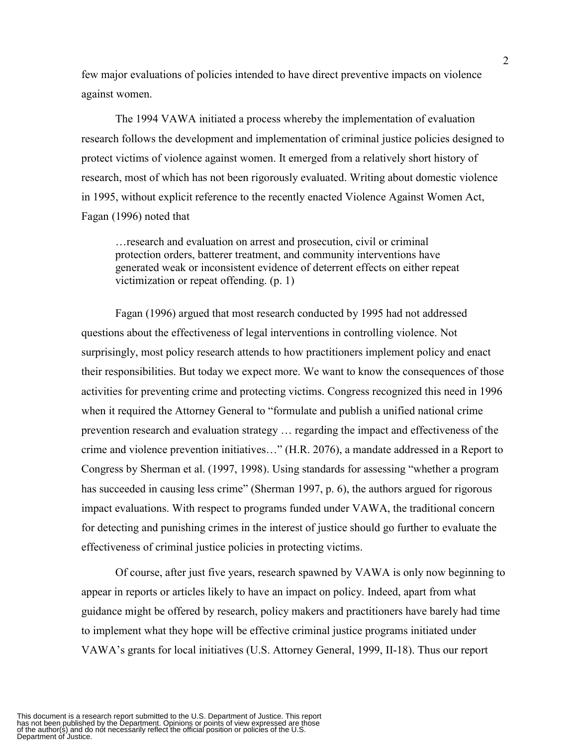few major evaluations of policies intended to have direct preventive impacts on violence against women.

The 1994 VAWA initiated a process whereby the implementation of evaluation research follows the development and implementation of criminal justice policies designed to protect victims of violence against women. It emerged from a relatively short history of research, most of which has not been rigorously evaluated. Writing about domestic violence in 1995, without explicit reference to the recently enacted Violence Against Women Act, Fagan (1996) noted that

…research and evaluation on arrest and prosecution, civil or criminal protection orders, batterer treatment, and community interventions have generated weak or inconsistent evidence of deterrent effects on either repeat victimization or repeat offending. (p. 1)

Fagan (1996) argued that most research conducted by 1995 had not addressed questions about the effectiveness of legal interventions in controlling violence. Not surprisingly, most policy research attends to how practitioners implement policy and enact their responsibilities. But today we expect more. We want to know the consequences of those activities for preventing crime and protecting victims. Congress recognized this need in 1996 when it required the Attorney General to "formulate and publish a unified national crime prevention research and evaluation strategy … regarding the impact and effectiveness of the crime and violence prevention initiatives…" (H.R. 2076), a mandate addressed in a Report to Congress by Sherman et al. (1997, 1998). Using standards for assessing "whether a program has succeeded in causing less crime" (Sherman 1997, p. 6), the authors argued for rigorous impact evaluations. With respect to programs funded under VAWA, the traditional concern for detecting and punishing crimes in the interest of justice should go further to evaluate the effectiveness of criminal justice policies in protecting victims.

Of course, after just five years, research spawned by VAWA is only now beginning to appear in reports or articles likely to have an impact on policy. Indeed, apart from what guidance might be offered by research, policy makers and practitioners have barely had time to implement what they hope will be effective criminal justice programs initiated under VAWA's grants for local initiatives (U.S. Attorney General, 1999, II-18). Thus our report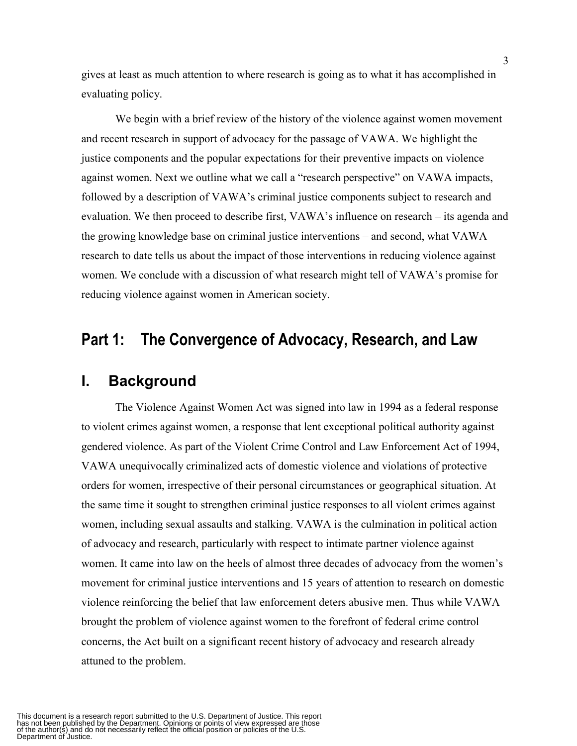gives at least as much attention to where research is going as to what it has accomplished in evaluating policy.

We begin with a brief review of the history of the violence against women movement and recent research in support of advocacy for the passage of VAWA. We highlight the justice components and the popular expectations for their preventive impacts on violence against women. Next we outline what we call a "research perspective" on VAWA impacts, followed by a description of VAWA's criminal justice components subject to research and evaluation. We then proceed to describe first, VAWA's influence on research – its agenda and the growing knowledge base on criminal justice interventions – and second, what VAWA research to date tells us about the impact of those interventions in reducing violence against women. We conclude with a discussion of what research might tell of VAWA's promise for reducing violence against women in American society.

## <span id="page-5-0"></span>**Part 1: The Convergence of Advocacy, Research, and Law**

## <span id="page-5-1"></span>**I. Background**

The Violence Against Women Act was signed into law in 1994 as a federal response to violent crimes against women, a response that lent exceptional political authority against gendered violence. As part of the Violent Crime Control and Law Enforcement Act of 1994, VAWA unequivocally criminalized acts of domestic violence and violations of protective orders for women, irrespective of their personal circumstances or geographical situation. At the same time it sought to strengthen criminal justice responses to all violent crimes against women, including sexual assaults and stalking. VAWA is the culmination in political action of advocacy and research, particularly with respect to intimate partner violence against women. It came into law on the heels of almost three decades of advocacy from the women's movement for criminal justice interventions and 15 years of attention to research on domestic violence reinforcing the belief that law enforcement deters abusive men. Thus while VAWA brought the problem of violence against women to the forefront of federal crime control concerns, the Act built on a significant recent history of advocacy and research already attuned to the problem.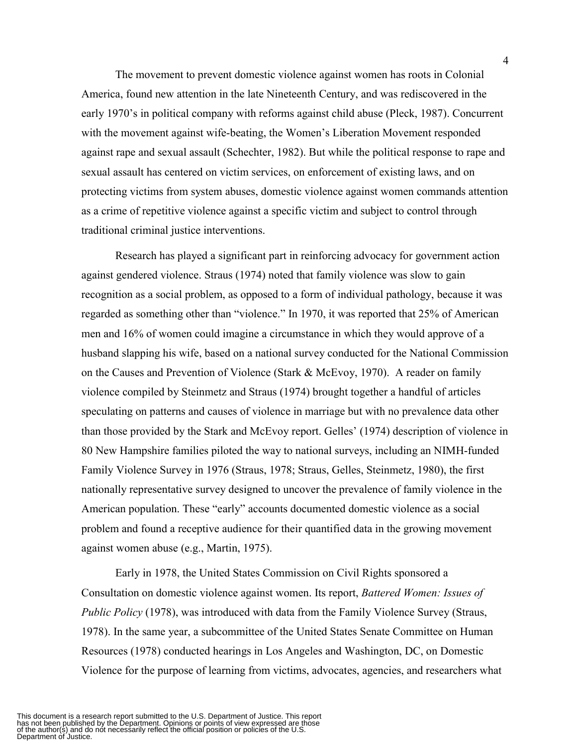The movement to prevent domestic violence against women has roots in Colonial America, found new attention in the late Nineteenth Century, and was rediscovered in the early 1970's in political company with reforms against child abuse (Pleck, 1987). Concurrent with the movement against wife-beating, the Women's Liberation Movement responded against rape and sexual assault (Schechter, 1982). But while the political response to rape and sexual assault has centered on victim services, on enforcement of existing laws, and on protecting victims from system abuses, domestic violence against women commands attention as a crime of repetitive violence against a specific victim and subject to control through traditional criminal justice interventions.

Research has played a significant part in reinforcing advocacy for government action against gendered violence. Straus (1974) noted that family violence was slow to gain recognition as a social problem, as opposed to a form of individual pathology, because it was regarded as something other than "violence." In 1970, it was reported that 25% of American men and 16% of women could imagine a circumstance in which they would approve of a husband slapping his wife, based on a national survey conducted for the National Commission on the Causes and Prevention of Violence (Stark & McEvoy, 1970). A reader on family violence compiled by Steinmetz and Straus (1974) brought together a handful of articles speculating on patterns and causes of violence in marriage but with no prevalence data other than those provided by the Stark and McEvoy report. Gelles' (1974) description of violence in 80 New Hampshire families piloted the way to national surveys, including an NIMH-funded Family Violence Survey in 1976 (Straus, 1978; Straus, Gelles, Steinmetz, 1980), the first nationally representative survey designed to uncover the prevalence of family violence in the American population. These "early" accounts documented domestic violence as a social problem and found a receptive audience for their quantified data in the growing movement against women abuse (e.g., Martin, 1975).

Early in 1978, the United States Commission on Civil Rights sponsored a Consultation on domestic violence against women. Its report, *Battered Women: Issues of Public Policy* (1978), was introduced with data from the Family Violence Survey (Straus, 1978). In the same year, a subcommittee of the United States Senate Committee on Human Resources (1978) conducted hearings in Los Angeles and Washington, DC, on Domestic Violence for the purpose of learning from victims, advocates, agencies, and researchers what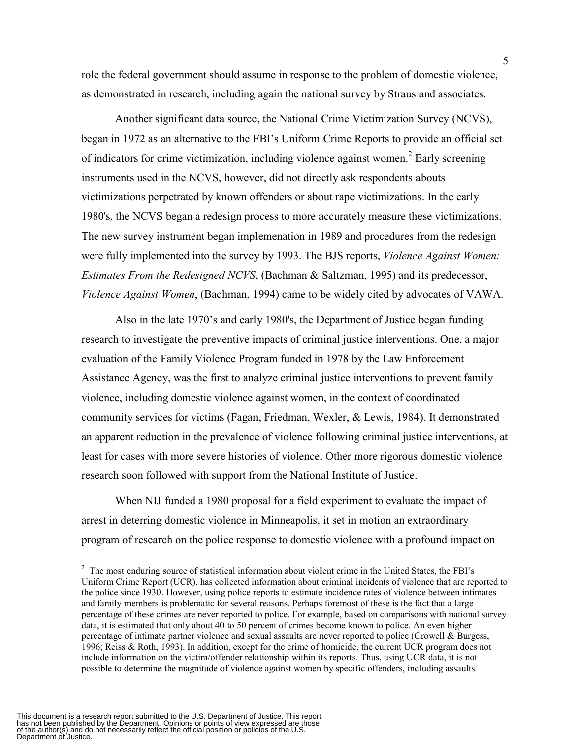role the federal government should assume in response to the problem of domestic violence, as demonstrated in research, including again the national survey by Straus and associates.

Another significant data source, the National Crime Victimization Survey (NCVS), began in 1972 as an alternative to the FBI's Uniform Crime Reports to provide an official set of indicators for crime victimization, including violence against women.<sup>2</sup> Early screening instruments used in the NCVS, however, did not directly ask respondents abouts victimizations perpetrated by known offenders or about rape victimizations. In the early 1980's, the NCVS began a redesign process to more accurately measure these victimizations. The new survey instrument began implemenation in 1989 and procedures from the redesign were fully implemented into the survey by 1993. The BJS reports, *Violence Against Women: Estimates From the Redesigned NCVS*, (Bachman & Saltzman, 1995) and its predecessor, *Violence Against Women*, (Bachman, 1994) came to be widely cited by advocates of VAWA.

Also in the late 1970's and early 1980's, the Department of Justice began funding research to investigate the preventive impacts of criminal justice interventions. One, a major evaluation of the Family Violence Program funded in 1978 by the Law Enforcement Assistance Agency, was the first to analyze criminal justice interventions to prevent family violence, including domestic violence against women, in the context of coordinated community services for victims (Fagan, Friedman, Wexler, & Lewis, 1984). It demonstrated an apparent reduction in the prevalence of violence following criminal justice interventions, at least for cases with more severe histories of violence. Other more rigorous domestic violence research soon followed with support from the National Institute of Justice.

When NIJ funded a 1980 proposal for a field experiment to evaluate the impact of arrest in deterring domestic violence in Minneapolis, it set in motion an extraordinary program of research on the police response to domestic violence with a profound impact on

<sup>&</sup>lt;sup>2</sup> The most enduring source of statistical information about violent crime in the United States, the FBI's Uniform Crime Report (UCR), has collected information about criminal incidents of violence that are reported to the police since 1930. However, using police reports to estimate incidence rates of violence between intimates and family members is problematic for several reasons. Perhaps foremost of these is the fact that a large percentage of these crimes are never reported to police. For example, based on comparisons with national survey data, it is estimated that only about 40 to 50 percent of crimes become known to police. An even higher percentage of intimate partner violence and sexual assaults are never reported to police (Crowell & Burgess, 1996; Reiss & Roth, 1993). In addition, except for the crime of homicide, the current UCR program does not include information on the victim/offender relationship within its reports. Thus, using UCR data, it is not possible to determine the magnitude of violence against women by specific offenders, including assaults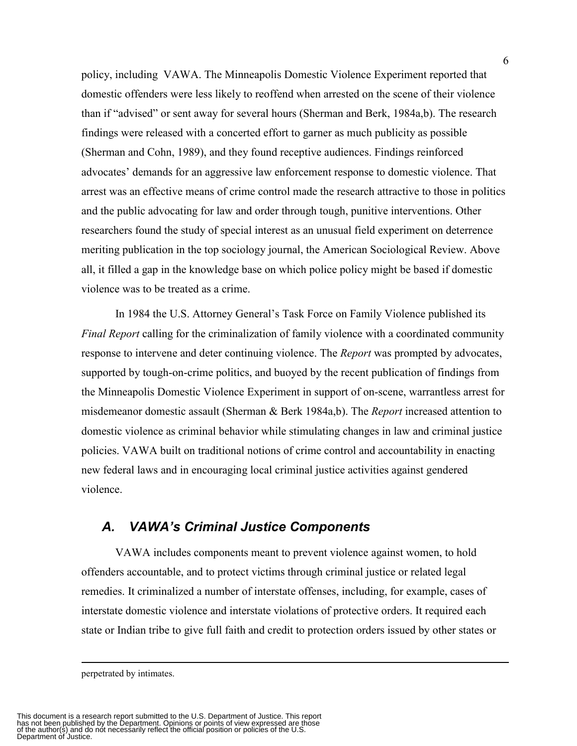policy, including VAWA. The Minneapolis Domestic Violence Experiment reported that domestic offenders were less likely to reoffend when arrested on the scene of their violence than if "advised" or sent away for several hours (Sherman and Berk, 1984a,b). The research findings were released with a concerted effort to garner as much publicity as possible (Sherman and Cohn, 1989), and they found receptive audiences. Findings reinforced advocates' demands for an aggressive law enforcement response to domestic violence. That arrest was an effective means of crime control made the research attractive to those in politics and the public advocating for law and order through tough, punitive interventions. Other researchers found the study of special interest as an unusual field experiment on deterrence meriting publication in the top sociology journal, the American Sociological Review. Above all, it filled a gap in the knowledge base on which police policy might be based if domestic violence was to be treated as a crime.

In 1984 the U.S. Attorney General's Task Force on Family Violence published its *Final Report* calling for the criminalization of family violence with a coordinated community response to intervene and deter continuing violence. The *Report* was prompted by advocates, supported by tough-on-crime politics, and buoyed by the recent publication of findings from the Minneapolis Domestic Violence Experiment in support of on-scene, warrantless arrest for misdemeanor domestic assault (Sherman & Berk 1984a,b). The *Report* increased attention to domestic violence as criminal behavior while stimulating changes in law and criminal justice policies. VAWA built on traditional notions of crime control and accountability in enacting new federal laws and in encouraging local criminal justice activities against gendered violence.

## *A. VAWA's Criminal Justice Components*

VAWA includes components meant to prevent violence against women, to hold offenders accountable, and to protect victims through criminal justice or related legal remedies. It criminalized a number of interstate offenses, including, for example, cases of interstate domestic violence and interstate violations of protective orders. It required each state or Indian tribe to give full faith and credit to protection orders issued by other states or

This document is a research report submitted to the U.S. Department of Justice. This report has not been published by the Department. Opinions or points of view expressed are those of the author(s) and do not necessarily reflect the official position or policies of the U.S. Department of Justice.

perpetrated by intimates.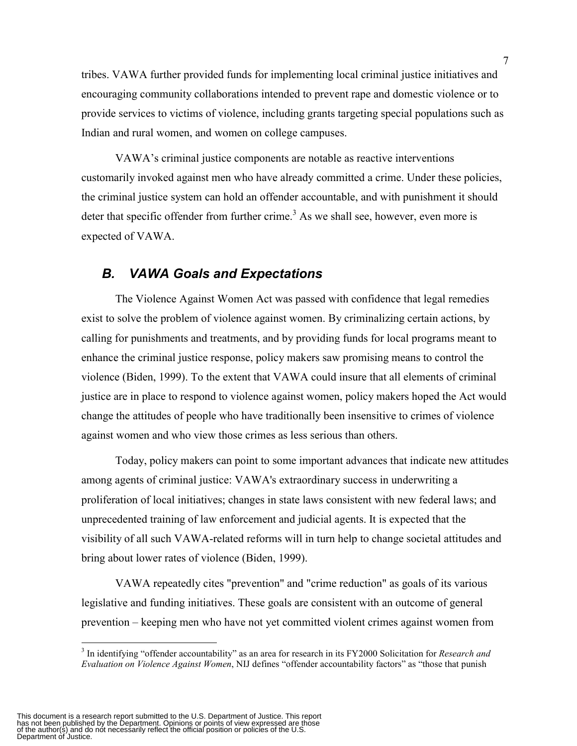tribes. VAWA further provided funds for implementing local criminal justice initiatives and encouraging community collaborations intended to prevent rape and domestic violence or to provide services to victims of violence, including grants targeting special populations such as Indian and rural women, and women on college campuses.

VAWA's criminal justice components are notable as reactive interventions customarily invoked against men who have already committed a crime. Under these policies, the criminal justice system can hold an offender accountable, and with punishment it should deter that specific offender from further crime.<sup>3</sup> As we shall see, however, even more is expected of VAWA.

#### *B. VAWA Goals and Expectations*

The Violence Against Women Act was passed with confidence that legal remedies exist to solve the problem of violence against women. By criminalizing certain actions, by calling for punishments and treatments, and by providing funds for local programs meant to enhance the criminal justice response, policy makers saw promising means to control the violence (Biden, 1999). To the extent that VAWA could insure that all elements of criminal justice are in place to respond to violence against women, policy makers hoped the Act would change the attitudes of people who have traditionally been insensitive to crimes of violence against women and who view those crimes as less serious than others.

Today, policy makers can point to some important advances that indicate new attitudes among agents of criminal justice: VAWA's extraordinary success in underwriting a proliferation of local initiatives; changes in state laws consistent with new federal laws; and unprecedented training of law enforcement and judicial agents. It is expected that the visibility of all such VAWA-related reforms will in turn help to change societal attitudes and bring about lower rates of violence (Biden, 1999).

VAWA repeatedly cites "prevention" and "crime reduction" as goals of its various legislative and funding initiatives. These goals are consistent with an outcome of general prevention – keeping men who have not yet committed violent crimes against women from

<sup>3</sup> In identifying "offender accountability" as an area for research in its FY2000 Solicitation for *Research and Evaluation on Violence Against Women*, NIJ defines "offender accountability factors" as "those that punish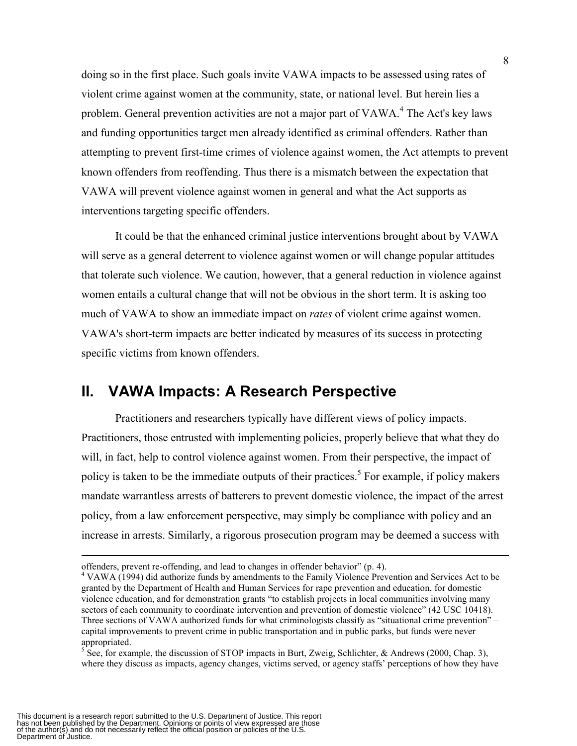doing so in the first place. Such goals invite VAWA impacts to be assessed using rates of violent crime against women at the community, state, or national level. But herein lies a problem. General prevention activities are not a major part of  $VAWA<sup>4</sup>$ . The Act's key laws and funding opportunities target men already identified as criminal offenders. Rather than attempting to prevent first-time crimes of violence against women, the Act attempts to prevent known offenders from reoffending. Thus there is a mismatch between the expectation that VAWA will prevent violence against women in general and what the Act supports as interventions targeting specific offenders.

It could be that the enhanced criminal justice interventions brought about by VAWA will serve as a general deterrent to violence against women or will change popular attitudes that tolerate such violence. We caution, however, that a general reduction in violence against women entails a cultural change that will not be obvious in the short term. It is asking too much of VAWA to show an immediate impact on *rates* of violent crime against women. VAWA's short-term impacts are better indicated by measures of its success in protecting specific victims from known offenders.

## <span id="page-10-0"></span>**II. VAWA Impacts: A Research Perspective**

Practitioners and researchers typically have different views of policy impacts. Practitioners, those entrusted with implementing policies, properly believe that what they do will, in fact, help to control violence against women. From their perspective, the impact of policy is taken to be the immediate outputs of their practices.<sup>5</sup> For example, if policy makers mandate warrantless arrests of batterers to prevent domestic violence, the impact of the arrest policy, from a law enforcement perspective, may simply be compliance with policy and an increase in arrests. Similarly, a rigorous prosecution program may be deemed a success with

offenders, prevent re-offending, and lead to changes in offender behavior" (p. 4). <sup>4</sup>

<sup>&</sup>lt;sup>4</sup> VAWA (1994) did authorize funds by amendments to the Family Violence Prevention and Services Act to be granted by the Department of Health and Human Services for rape prevention and education, for domestic violence education, and for demonstration grants "to establish projects in local communities involving many sectors of each community to coordinate intervention and prevention of domestic violence" (42 USC 10418). Three sections of VAWA authorized funds for what criminologists classify as "situational crime prevention" – capital improvements to prevent crime in public transportation and in public parks, but funds were never appropriated.

<sup>&</sup>lt;sup>5</sup> See, for example, the discussion of STOP impacts in Burt, Zweig, Schlichter, & Andrews (2000, Chap. 3), where they discuss as impacts, agency changes, victims served, or agency staffs' perceptions of how they have

<sup>8</sup>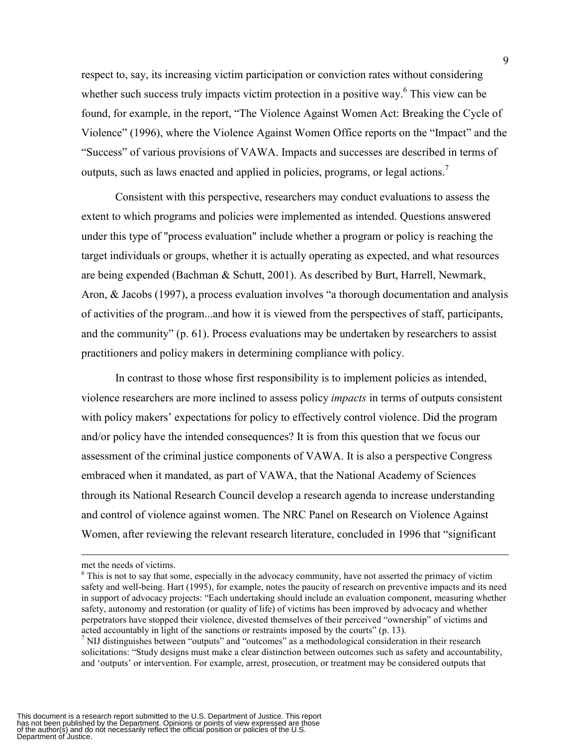respect to, say, its increasing victim participation or conviction rates without considering whether such success truly impacts victim protection in a positive way.<sup>6</sup> This view can be found, for example, in the report, "The Violence Against Women Act: Breaking the Cycle of Violence" (1996), where the Violence Against Women Office reports on the "Impact" and the "Success" of various provisions of VAWA. Impacts and successes are described in terms of outputs, such as laws enacted and applied in policies, programs, or legal actions.<sup>7</sup>

Consistent with this perspective, researchers may conduct evaluations to assess the extent to which programs and policies were implemented as intended. Questions answered under this type of "process evaluation" include whether a program or policy is reaching the target individuals or groups, whether it is actually operating as expected, and what resources are being expended (Bachman & Schutt, 2001). As described by Burt, Harrell, Newmark, Aron, & Jacobs (1997), a process evaluation involves "a thorough documentation and analysis of activities of the program...and how it is viewed from the perspectives of staff, participants, and the community" (p. 61). Process evaluations may be undertaken by researchers to assist practitioners and policy makers in determining compliance with policy.

In contrast to those whose first responsibility is to implement policies as intended, violence researchers are more inclined to assess policy *impacts* in terms of outputs consistent with policy makers' expectations for policy to effectively control violence. Did the program and/or policy have the intended consequences? It is from this question that we focus our assessment of the criminal justice components of VAWA. It is also a perspective Congress embraced when it mandated, as part of VAWA, that the National Academy of Sciences through its National Research Council develop a research agenda to increase understanding and control of violence against women. The NRC Panel on Research on Violence Against Women, after reviewing the relevant research literature, concluded in 1996 that "significant

9

met the needs of victims. <sup>6</sup>

<sup>&</sup>lt;sup>6</sup> This is not to say that some, especially in the advocacy community, have not asserted the primacy of victim safety and well-being. Hart (1995), for example, notes the paucity of research on preventive impacts and its need in support of advocacy projects: "Each undertaking should include an evaluation component, measuring whether safety, autonomy and restoration (or quality of life) of victims has been improved by advocacy and whether perpetrators have stopped their violence, divested themselves of their perceived "ownership" of victims and acted accountably in light of the sanctions or restraints imposed by the courts" (p. 13).

 $\frac{7}{1}$  NIJ distinguishes between "outputs" and "outcomes" as a methodological consideration in their research solicitations: "Study designs must make a clear distinction between outcomes such as safety and accountability, and 'outputs' or intervention. For example, arrest, prosecution, or treatment may be considered outputs that

This document is a research report submitted to the U.S. Department of Justice. This report<br>has not been published by the Department. Opinions or points of view expressed are those<br>of the author(s) and do not necessarily r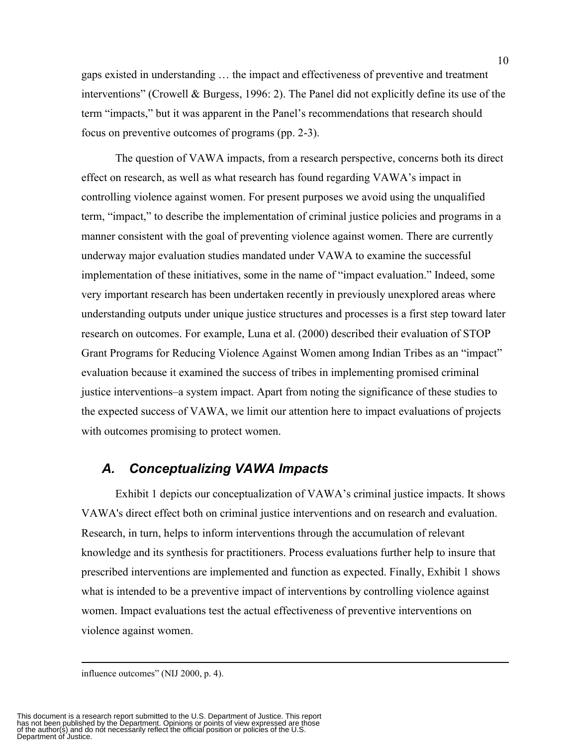gaps existed in understanding … the impact and effectiveness of preventive and treatment interventions" (Crowell & Burgess, 1996: 2). The Panel did not explicitly define its use of the term "impacts," but it was apparent in the Panel's recommendations that research should focus on preventive outcomes of programs (pp. 2-3).

The question of VAWA impacts, from a research perspective, concerns both its direct effect on research, as well as what research has found regarding VAWA's impact in controlling violence against women. For present purposes we avoid using the unqualified term, "impact," to describe the implementation of criminal justice policies and programs in a manner consistent with the goal of preventing violence against women. There are currently underway major evaluation studies mandated under VAWA to examine the successful implementation of these initiatives, some in the name of "impact evaluation." Indeed, some very important research has been undertaken recently in previously unexplored areas where understanding outputs under unique justice structures and processes is a first step toward later research on outcomes. For example, Luna et al. (2000) described their evaluation of STOP Grant Programs for Reducing Violence Against Women among Indian Tribes as an "impact" evaluation because it examined the success of tribes in implementing promised criminal justice interventions–a system impact. Apart from noting the significance of these studies to the expected success of VAWA, we limit our attention here to impact evaluations of projects with outcomes promising to protect women.

## *A. Conceptualizing VAWA Impacts*

Exhibit 1 depicts our conceptualization of VAWA's criminal justice impacts. It shows VAWA's direct effect both on criminal justice interventions and on research and evaluation. Research, in turn, helps to inform interventions through the accumulation of relevant knowledge and its synthesis for practitioners. Process evaluations further help to insure that prescribed interventions are implemented and function as expected. Finally, Exhibit 1 shows what is intended to be a preventive impact of interventions by controlling violence against women. Impact evaluations test the actual effectiveness of preventive interventions on violence against women.

This document is a research report submitted to the U.S. Department of Justice. This report has not been published by the Department. Opinions or points of view expressed are those of the author(s) and do not necessarily reflect the official position or policies of the U.S. Department of Justice.

influence outcomes" (NIJ 2000, p. 4).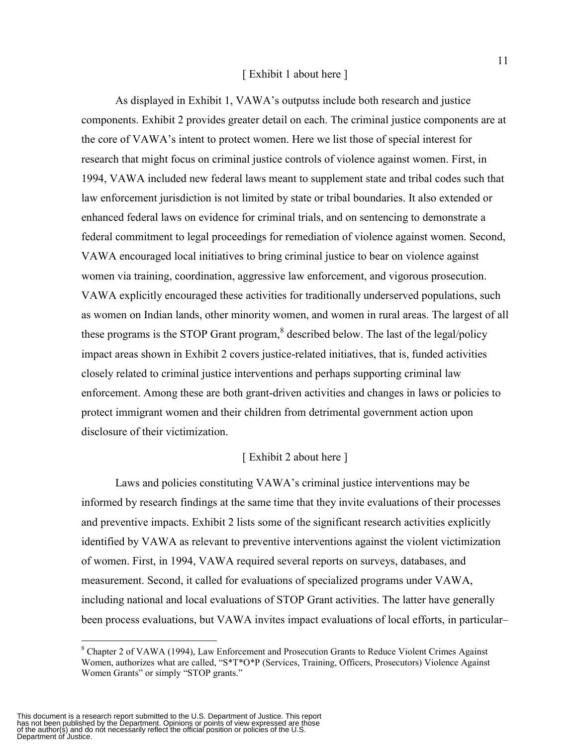#### [ Exhibit 1 about here ]

As displayed in Exhibit 1, VAWA's outputss include both research and justice components. Exhibit 2 provides greater detail on each. The criminal justice components are at the core of VAWA's intent to protect women. Here we list those of special interest for research that might focus on criminal justice controls of violence against women. First, in 1994, VAWA included new federal laws meant to supplement state and tribal codes such that law enforcement jurisdiction is not limited by state or tribal boundaries. It also extended or enhanced federal laws on evidence for criminal trials, and on sentencing to demonstrate a federal commitment to legal proceedings for remediation of violence against women. Second, VAWA encouraged local initiatives to bring criminal justice to bear on violence against women via training, coordination, aggressive law enforcement, and vigorous prosecution. VAWA explicitly encouraged these activities for traditionally underserved populations, such as women on Indian lands, other minority women, and women in rural areas. The largest of all these programs is the STOP Grant program, $<sup>8</sup>$  described below. The last of the legal/policy</sup> impact areas shown in Exhibit 2 covers justice-related initiatives, that is, funded activities closely related to criminal justice interventions and perhaps supporting criminal law enforcement. Among these are both grant-driven activities and changes in laws or policies to protect immigrant women and their children from detrimental government action upon disclosure of their victimization.

#### [ Exhibit 2 about here ]

Laws and policies constituting VAWA's criminal justice interventions may be informed by research findings at the same time that they invite evaluations of their processes and preventive impacts. Exhibit 2 lists some of the significant research activities explicitly identified by VAWA as relevant to preventive interventions against the violent victimization of women. First, in 1994, VAWA required several reports on surveys, databases, and measurement. Second, it called for evaluations of specialized programs under VAWA, including national and local evaluations of STOP Grant activities. The latter have generally been process evaluations, but VAWA invites impact evaluations of local efforts, in particular–

<sup>&</sup>lt;sup>8</sup> Chapter 2 of VAWA (1994), Law Enforcement and Prosecution Grants to Reduce Violent Crimes Against Women, authorizes what are called, "S\*T\*O\*P (Services, Training, Officers, Prosecutors) Violence Against Women Grants" or simply "STOP grants."

This document is a research report submitted to the U.S. Department of Justice. This report<br>has not been published by the Department. Opinions or points of view expressed are those<br>of the author(s) and do not necessarily r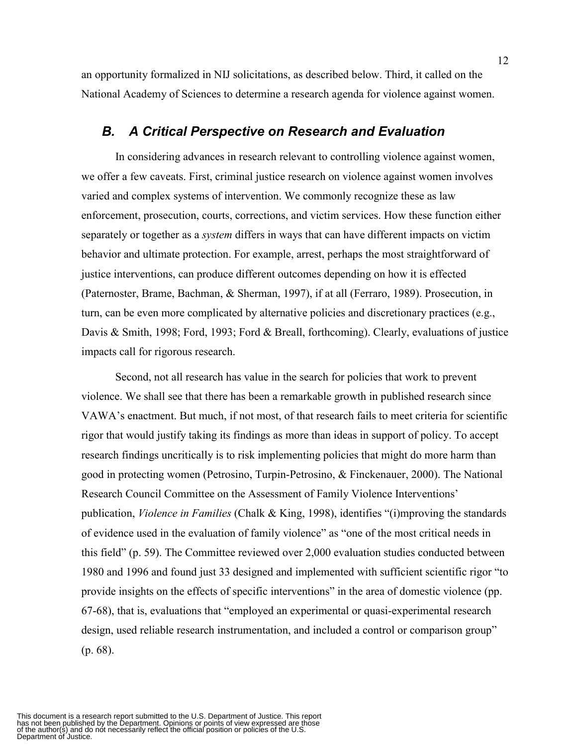an opportunity formalized in NIJ solicitations, as described below. Third, it called on the National Academy of Sciences to determine a research agenda for violence against women.

#### *B. A Critical Perspective on Research and Evaluation*

In considering advances in research relevant to controlling violence against women, we offer a few caveats. First, criminal justice research on violence against women involves varied and complex systems of intervention. We commonly recognize these as law enforcement, prosecution, courts, corrections, and victim services. How these function either separately or together as a *system* differs in ways that can have different impacts on victim behavior and ultimate protection. For example, arrest, perhaps the most straightforward of justice interventions, can produce different outcomes depending on how it is effected (Paternoster, Brame, Bachman, & Sherman, 1997), if at all (Ferraro, 1989). Prosecution, in turn, can be even more complicated by alternative policies and discretionary practices (e.g., Davis & Smith, 1998; Ford, 1993; Ford & Breall, forthcoming). Clearly, evaluations of justice impacts call for rigorous research.

Second, not all research has value in the search for policies that work to prevent violence. We shall see that there has been a remarkable growth in published research since VAWA's enactment. But much, if not most, of that research fails to meet criteria for scientific rigor that would justify taking its findings as more than ideas in support of policy. To accept research findings uncritically is to risk implementing policies that might do more harm than good in protecting women (Petrosino, Turpin-Petrosino, & Finckenauer, 2000). The National Research Council Committee on the Assessment of Family Violence Interventions' publication, *Violence in Families* (Chalk & King, 1998), identifies "(i)mproving the standards of evidence used in the evaluation of family violence" as "one of the most critical needs in this field" (p. 59). The Committee reviewed over 2,000 evaluation studies conducted between 1980 and 1996 and found just 33 designed and implemented with sufficient scientific rigor "to provide insights on the effects of specific interventions" in the area of domestic violence (pp. 67-68), that is, evaluations that "employed an experimental or quasi-experimental research design, used reliable research instrumentation, and included a control or comparison group" (p. 68).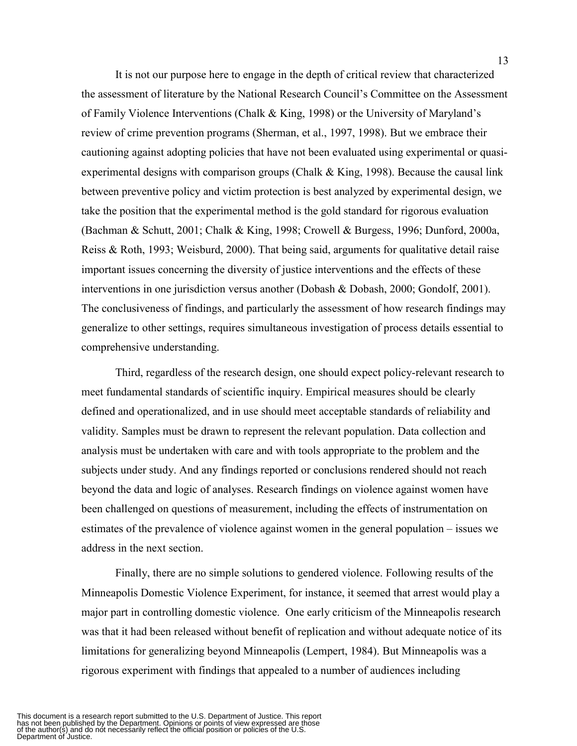It is not our purpose here to engage in the depth of critical review that characterized the assessment of literature by the National Research Council's Committee on the Assessment of Family Violence Interventions (Chalk & King, 1998) or the University of Maryland's review of crime prevention programs (Sherman, et al., 1997, 1998). But we embrace their cautioning against adopting policies that have not been evaluated using experimental or quasiexperimental designs with comparison groups (Chalk  $&$  King, 1998). Because the causal link between preventive policy and victim protection is best analyzed by experimental design, we take the position that the experimental method is the gold standard for rigorous evaluation (Bachman & Schutt, 2001; Chalk & King, 1998; Crowell & Burgess, 1996; Dunford, 2000a, Reiss & Roth, 1993; Weisburd, 2000). That being said, arguments for qualitative detail raise important issues concerning the diversity of justice interventions and the effects of these interventions in one jurisdiction versus another (Dobash & Dobash, 2000; Gondolf, 2001). The conclusiveness of findings, and particularly the assessment of how research findings may generalize to other settings, requires simultaneous investigation of process details essential to comprehensive understanding.

Third, regardless of the research design, one should expect policy-relevant research to meet fundamental standards of scientific inquiry. Empirical measures should be clearly defined and operationalized, and in use should meet acceptable standards of reliability and validity. Samples must be drawn to represent the relevant population. Data collection and analysis must be undertaken with care and with tools appropriate to the problem and the subjects under study. And any findings reported or conclusions rendered should not reach beyond the data and logic of analyses. Research findings on violence against women have been challenged on questions of measurement, including the effects of instrumentation on estimates of the prevalence of violence against women in the general population – issues we address in the next section.

Finally, there are no simple solutions to gendered violence. Following results of the Minneapolis Domestic Violence Experiment, for instance, it seemed that arrest would play a major part in controlling domestic violence. One early criticism of the Minneapolis research was that it had been released without benefit of replication and without adequate notice of its limitations for generalizing beyond Minneapolis (Lempert, 1984). But Minneapolis was a rigorous experiment with findings that appealed to a number of audiences including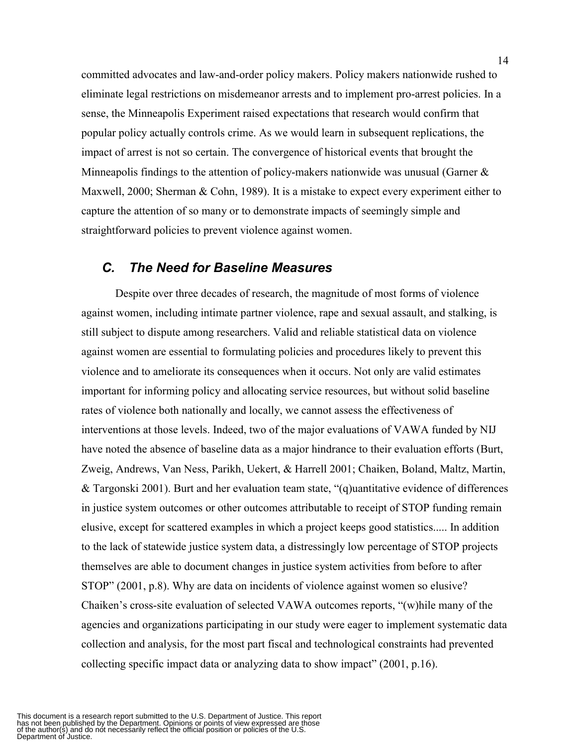committed advocates and law-and-order policy makers. Policy makers nationwide rushed to eliminate legal restrictions on misdemeanor arrests and to implement pro-arrest policies. In a sense, the Minneapolis Experiment raised expectations that research would confirm that popular policy actually controls crime. As we would learn in subsequent replications, the impact of arrest is not so certain. The convergence of historical events that brought the Minneapolis findings to the attention of policy-makers nationwide was unusual (Garner  $\&$ Maxwell, 2000; Sherman & Cohn, 1989). It is a mistake to expect every experiment either to capture the attention of so many or to demonstrate impacts of seemingly simple and straightforward policies to prevent violence against women.

## *C. The Need for Baseline Measures*

Despite over three decades of research, the magnitude of most forms of violence against women, including intimate partner violence, rape and sexual assault, and stalking, is still subject to dispute among researchers. Valid and reliable statistical data on violence against women are essential to formulating policies and procedures likely to prevent this violence and to ameliorate its consequences when it occurs. Not only are valid estimates important for informing policy and allocating service resources, but without solid baseline rates of violence both nationally and locally, we cannot assess the effectiveness of interventions at those levels. Indeed, two of the major evaluations of VAWA funded by NIJ have noted the absence of baseline data as a major hindrance to their evaluation efforts (Burt, Zweig, Andrews, Van Ness, Parikh, Uekert, & Harrell 2001; Chaiken, Boland, Maltz, Martin, & Targonski 2001). Burt and her evaluation team state, "(q)uantitative evidence of differences in justice system outcomes or other outcomes attributable to receipt of STOP funding remain elusive, except for scattered examples in which a project keeps good statistics..... In addition to the lack of statewide justice system data, a distressingly low percentage of STOP projects themselves are able to document changes in justice system activities from before to after STOP" (2001, p.8). Why are data on incidents of violence against women so elusive? Chaiken's cross-site evaluation of selected VAWA outcomes reports, "(w)hile many of the agencies and organizations participating in our study were eager to implement systematic data collection and analysis, for the most part fiscal and technological constraints had prevented collecting specific impact data or analyzing data to show impact" (2001, p.16).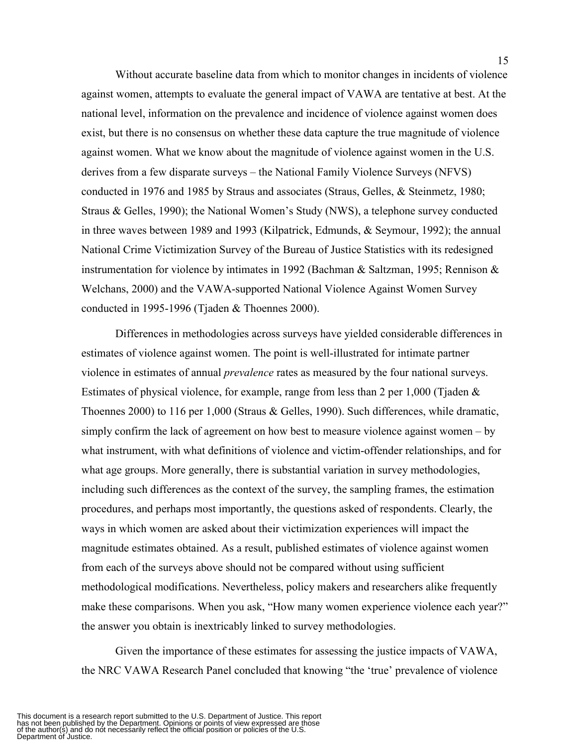Without accurate baseline data from which to monitor changes in incidents of violence against women, attempts to evaluate the general impact of VAWA are tentative at best. At the national level, information on the prevalence and incidence of violence against women does exist, but there is no consensus on whether these data capture the true magnitude of violence against women. What we know about the magnitude of violence against women in the U.S. derives from a few disparate surveys – the National Family Violence Surveys (NFVS) conducted in 1976 and 1985 by Straus and associates (Straus, Gelles, & Steinmetz, 1980; Straus & Gelles, 1990); the National Women's Study (NWS), a telephone survey conducted in three waves between 1989 and 1993 (Kilpatrick, Edmunds, & Seymour, 1992); the annual National Crime Victimization Survey of the Bureau of Justice Statistics with its redesigned instrumentation for violence by intimates in 1992 (Bachman & Saltzman, 1995; Rennison & Welchans, 2000) and the VAWA-supported National Violence Against Women Survey conducted in 1995-1996 (Tjaden & Thoennes 2000).

Differences in methodologies across surveys have yielded considerable differences in estimates of violence against women. The point is well-illustrated for intimate partner violence in estimates of annual *prevalence* rates as measured by the four national surveys. Estimates of physical violence, for example, range from less than 2 per 1,000 (Tjaden & Thoennes 2000) to 116 per 1,000 (Straus & Gelles, 1990). Such differences, while dramatic, simply confirm the lack of agreement on how best to measure violence against women – by what instrument, with what definitions of violence and victim-offender relationships, and for what age groups. More generally, there is substantial variation in survey methodologies, including such differences as the context of the survey, the sampling frames, the estimation procedures, and perhaps most importantly, the questions asked of respondents. Clearly, the ways in which women are asked about their victimization experiences will impact the magnitude estimates obtained. As a result, published estimates of violence against women from each of the surveys above should not be compared without using sufficient methodological modifications. Nevertheless, policy makers and researchers alike frequently make these comparisons. When you ask, "How many women experience violence each year?" the answer you obtain is inextricably linked to survey methodologies.

Given the importance of these estimates for assessing the justice impacts of VAWA, the NRC VAWA Research Panel concluded that knowing "the 'true' prevalence of violence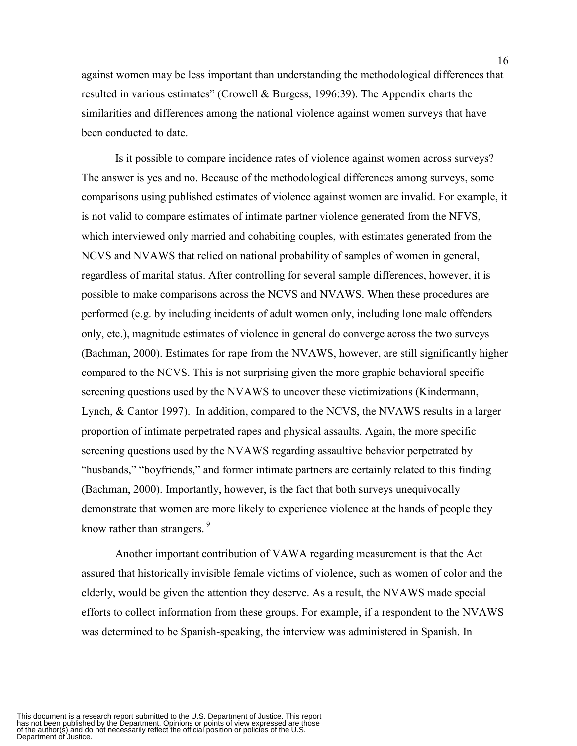against women may be less important than understanding the methodological differences that resulted in various estimates" (Crowell & Burgess, 1996:39). The Appendix charts the similarities and differences among the national violence against women surveys that have been conducted to date.

Is it possible to compare incidence rates of violence against women across surveys? The answer is yes and no. Because of the methodological differences among surveys, some comparisons using published estimates of violence against women are invalid. For example, it is not valid to compare estimates of intimate partner violence generated from the NFVS, which interviewed only married and cohabiting couples, with estimates generated from the NCVS and NVAWS that relied on national probability of samples of women in general, regardless of marital status. After controlling for several sample differences, however, it is possible to make comparisons across the NCVS and NVAWS. When these procedures are performed (e.g. by including incidents of adult women only, including lone male offenders only, etc.), magnitude estimates of violence in general do converge across the two surveys (Bachman, 2000). Estimates for rape from the NVAWS, however, are still significantly higher compared to the NCVS. This is not surprising given the more graphic behavioral specific screening questions used by the NVAWS to uncover these victimizations (Kindermann, Lynch, & Cantor 1997). In addition, compared to the NCVS, the NVAWS results in a larger proportion of intimate perpetrated rapes and physical assaults. Again, the more specific screening questions used by the NVAWS regarding assaultive behavior perpetrated by "husbands," "boyfriends," and former intimate partners are certainly related to this finding (Bachman, 2000). Importantly, however, is the fact that both surveys unequivocally demonstrate that women are more likely to experience violence at the hands of people they know rather than strangers.<sup>9</sup>

Another important contribution of VAWA regarding measurement is that the Act assured that historically invisible female victims of violence, such as women of color and the elderly, would be given the attention they deserve. As a result, the NVAWS made special efforts to collect information from these groups. For example, if a respondent to the NVAWS was determined to be Spanish-speaking, the interview was administered in Spanish. In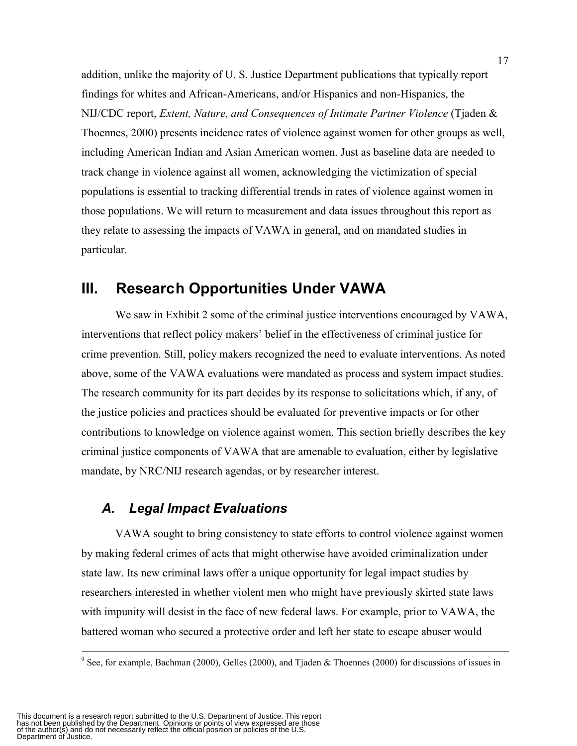addition, unlike the majority of U. S. Justice Department publications that typically report findings for whites and African-Americans, and/or Hispanics and non-Hispanics, the NIJ/CDC report, *Extent, Nature, and Consequences of Intimate Partner Violence* (Tjaden & Thoennes, 2000) presents incidence rates of violence against women for other groups as well, including American Indian and Asian American women. Just as baseline data are needed to track change in violence against all women, acknowledging the victimization of special populations is essential to tracking differential trends in rates of violence against women in those populations. We will return to measurement and data issues throughout this report as they relate to assessing the impacts of VAWA in general, and on mandated studies in particular.

## <span id="page-19-0"></span>**III. Research Opportunities Under VAWA**

We saw in Exhibit 2 some of the criminal justice interventions encouraged by VAWA, interventions that reflect policy makers' belief in the effectiveness of criminal justice for crime prevention. Still, policy makers recognized the need to evaluate interventions. As noted above, some of the VAWA evaluations were mandated as process and system impact studies. The research community for its part decides by its response to solicitations which, if any, of the justice policies and practices should be evaluated for preventive impacts or for other contributions to knowledge on violence against women. This section briefly describes the key criminal justice components of VAWA that are amenable to evaluation, either by legislative mandate, by NRC/NIJ research agendas, or by researcher interest.

### *A. Legal Impact Evaluations*

VAWA sought to bring consistency to state efforts to control violence against women by making federal crimes of acts that might otherwise have avoided criminalization under state law. Its new criminal laws offer a unique opportunity for legal impact studies by researchers interested in whether violent men who might have previously skirted state laws with impunity will desist in the face of new federal laws. For example, prior to VAWA, the battered woman who secured a protective order and left her state to escape abuser would

17

<sup>&</sup>lt;sup>9</sup> See, for example, Bachman (2000), Gelles (2000), and Tjaden & Thoennes (2000) for discussions of issues in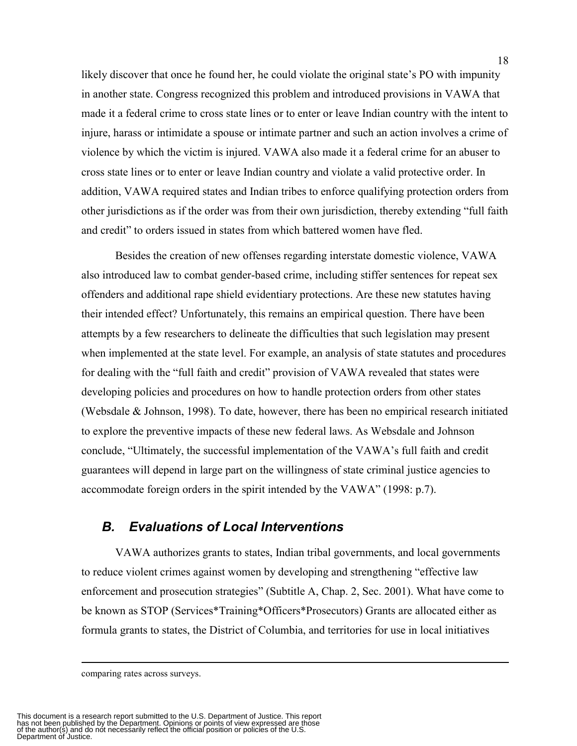likely discover that once he found her, he could violate the original state's PO with impunity in another state. Congress recognized this problem and introduced provisions in VAWA that made it a federal crime to cross state lines or to enter or leave Indian country with the intent to injure, harass or intimidate a spouse or intimate partner and such an action involves a crime of violence by which the victim is injured. VAWA also made it a federal crime for an abuser to cross state lines or to enter or leave Indian country and violate a valid protective order. In addition, VAWA required states and Indian tribes to enforce qualifying protection orders from other jurisdictions as if the order was from their own jurisdiction, thereby extending "full faith and credit" to orders issued in states from which battered women have fled.

Besides the creation of new offenses regarding interstate domestic violence, VAWA also introduced law to combat gender-based crime, including stiffer sentences for repeat sex offenders and additional rape shield evidentiary protections. Are these new statutes having their intended effect? Unfortunately, this remains an empirical question. There have been attempts by a few researchers to delineate the difficulties that such legislation may present when implemented at the state level. For example, an analysis of state statutes and procedures for dealing with the "full faith and credit" provision of VAWA revealed that states were developing policies and procedures on how to handle protection orders from other states (Websdale & Johnson, 1998). To date, however, there has been no empirical research initiated to explore the preventive impacts of these new federal laws. As Websdale and Johnson conclude, "Ultimately, the successful implementation of the VAWA's full faith and credit guarantees will depend in large part on the willingness of state criminal justice agencies to accommodate foreign orders in the spirit intended by the VAWA" (1998: p.7).

### *B. Evaluations of Local Interventions*

VAWA authorizes grants to states, Indian tribal governments, and local governments to reduce violent crimes against women by developing and strengthening "effective law enforcement and prosecution strategies" (Subtitle A, Chap. 2, Sec. 2001). What have come to be known as STOP (Services\*Training\*Officers\*Prosecutors) Grants are allocated either as formula grants to states, the District of Columbia, and territories for use in local initiatives

This document is a research report submitted to the U.S. Department of Justice. This report has not been published by the Department. Opinions or points of view expressed are those of the author(s) and do not necessarily reflect the official position or policies of the U.S. Department of Justice.

comparing rates across surveys.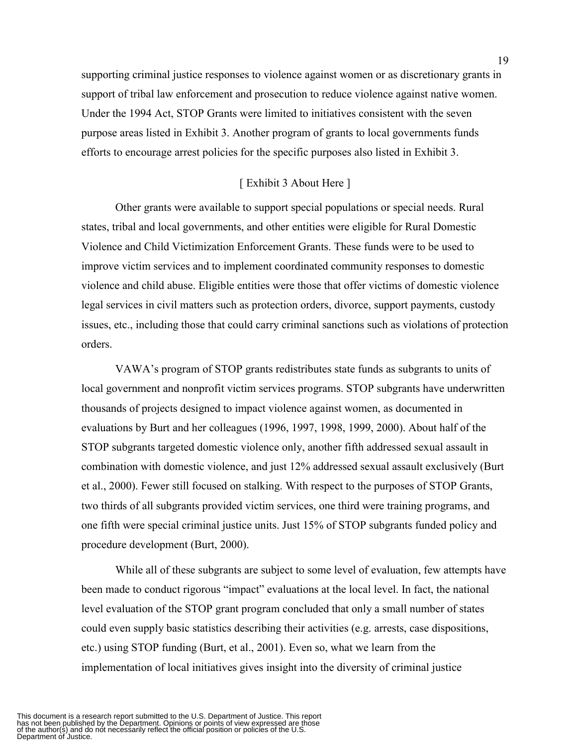supporting criminal justice responses to violence against women or as discretionary grants in support of tribal law enforcement and prosecution to reduce violence against native women. Under the 1994 Act, STOP Grants were limited to initiatives consistent with the seven purpose areas listed in Exhibit 3. Another program of grants to local governments funds efforts to encourage arrest policies for the specific purposes also listed in Exhibit 3.

#### [ Exhibit 3 About Here ]

Other grants were available to support special populations or special needs. Rural states, tribal and local governments, and other entities were eligible for Rural Domestic Violence and Child Victimization Enforcement Grants. These funds were to be used to improve victim services and to implement coordinated community responses to domestic violence and child abuse. Eligible entities were those that offer victims of domestic violence legal services in civil matters such as protection orders, divorce, support payments, custody issues, etc., including those that could carry criminal sanctions such as violations of protection orders.

VAWA's program of STOP grants redistributes state funds as subgrants to units of local government and nonprofit victim services programs. STOP subgrants have underwritten thousands of projects designed to impact violence against women, as documented in evaluations by Burt and her colleagues (1996, 1997, 1998, 1999, 2000). About half of the STOP subgrants targeted domestic violence only, another fifth addressed sexual assault in combination with domestic violence, and just 12% addressed sexual assault exclusively (Burt et al., 2000). Fewer still focused on stalking. With respect to the purposes of STOP Grants, two thirds of all subgrants provided victim services, one third were training programs, and one fifth were special criminal justice units. Just 15% of STOP subgrants funded policy and procedure development (Burt, 2000).

While all of these subgrants are subject to some level of evaluation, few attempts have been made to conduct rigorous "impact" evaluations at the local level. In fact, the national level evaluation of the STOP grant program concluded that only a small number of states could even supply basic statistics describing their activities (e.g. arrests, case dispositions, etc.) using STOP funding (Burt, et al., 2001). Even so, what we learn from the implementation of local initiatives gives insight into the diversity of criminal justice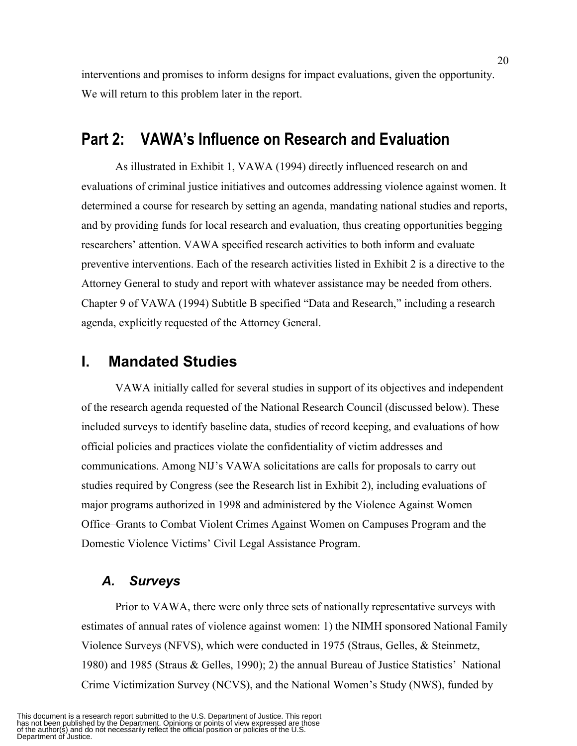interventions and promises to inform designs for impact evaluations, given the opportunity. We will return to this problem later in the report.

## <span id="page-22-0"></span>**Part 2: VAWA's Influence on Research and Evaluation**

As illustrated in Exhibit 1, VAWA (1994) directly influenced research on and evaluations of criminal justice initiatives and outcomes addressing violence against women. It determined a course for research by setting an agenda, mandating national studies and reports, and by providing funds for local research and evaluation, thus creating opportunities begging researchers' attention. VAWA specified research activities to both inform and evaluate preventive interventions. Each of the research activities listed in Exhibit 2 is a directive to the Attorney General to study and report with whatever assistance may be needed from others. Chapter 9 of VAWA (1994) Subtitle B specified "Data and Research," including a research agenda, explicitly requested of the Attorney General.

## <span id="page-22-1"></span>**I. Mandated Studies**

VAWA initially called for several studies in support of its objectives and independent of the research agenda requested of the National Research Council (discussed below). These included surveys to identify baseline data, studies of record keeping, and evaluations of how official policies and practices violate the confidentiality of victim addresses and communications. Among NIJ's VAWA solicitations are calls for proposals to carry out studies required by Congress (see the Research list in Exhibit 2), including evaluations of major programs authorized in 1998 and administered by the Violence Against Women Office–Grants to Combat Violent Crimes Against Women on Campuses Program and the Domestic Violence Victims' Civil Legal Assistance Program.

### *A. Surveys*

Prior to VAWA, there were only three sets of nationally representative surveys with estimates of annual rates of violence against women: 1) the NIMH sponsored National Family Violence Surveys (NFVS), which were conducted in 1975 (Straus, Gelles, & Steinmetz, 1980) and 1985 (Straus & Gelles, 1990); 2) the annual Bureau of Justice Statistics' National Crime Victimization Survey (NCVS), and the National Women's Study (NWS), funded by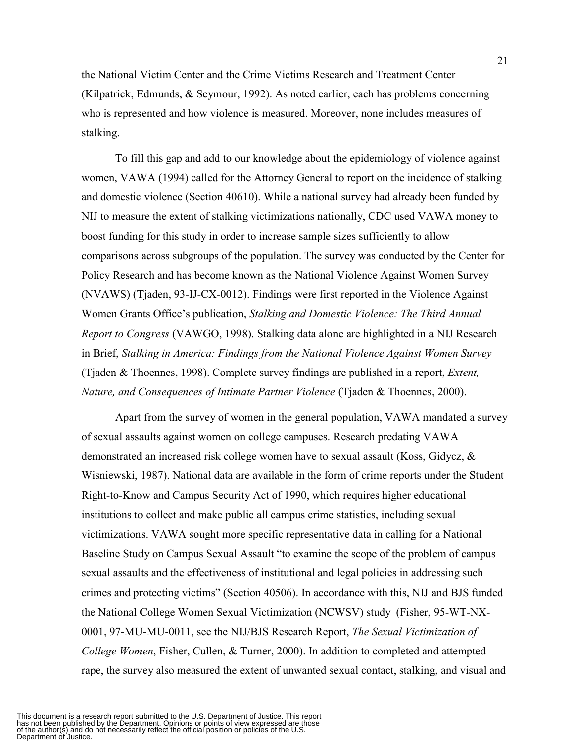the National Victim Center and the Crime Victims Research and Treatment Center (Kilpatrick, Edmunds, & Seymour, 1992). As noted earlier, each has problems concerning who is represented and how violence is measured. Moreover, none includes measures of stalking.

To fill this gap and add to our knowledge about the epidemiology of violence against women, VAWA (1994) called for the Attorney General to report on the incidence of stalking and domestic violence (Section 40610). While a national survey had already been funded by NIJ to measure the extent of stalking victimizations nationally, CDC used VAWA money to boost funding for this study in order to increase sample sizes sufficiently to allow comparisons across subgroups of the population. The survey was conducted by the Center for Policy Research and has become known as the National Violence Against Women Survey (NVAWS) (Tjaden, 93-IJ-CX-0012). Findings were first reported in the Violence Against Women Grants Office's publication, *Stalking and Domestic Violence: The Third Annual Report to Congress* (VAWGO, 1998). Stalking data alone are highlighted in a NIJ Research in Brief, *Stalking in America: Findings from the National Violence Against Women Survey*  (Tjaden & Thoennes, 1998). Complete survey findings are published in a report, *Extent, Nature, and Consequences of Intimate Partner Violence* (Tjaden & Thoennes, 2000).

Apart from the survey of women in the general population, VAWA mandated a survey of sexual assaults against women on college campuses. Research predating VAWA demonstrated an increased risk college women have to sexual assault (Koss, Gidycz, & Wisniewski, 1987). National data are available in the form of crime reports under the Student Right-to-Know and Campus Security Act of 1990, which requires higher educational institutions to collect and make public all campus crime statistics, including sexual victimizations. VAWA sought more specific representative data in calling for a National Baseline Study on Campus Sexual Assault "to examine the scope of the problem of campus sexual assaults and the effectiveness of institutional and legal policies in addressing such crimes and protecting victims" (Section 40506). In accordance with this, NIJ and BJS funded the National College Women Sexual Victimization (NCWSV) study (Fisher, 95-WT-NX-0001, 97-MU-MU-0011, see the NIJ/BJS Research Report, *The Sexual Victimization of College Women*, Fisher, Cullen, & Turner, 2000). In addition to completed and attempted rape, the survey also measured the extent of unwanted sexual contact, stalking, and visual and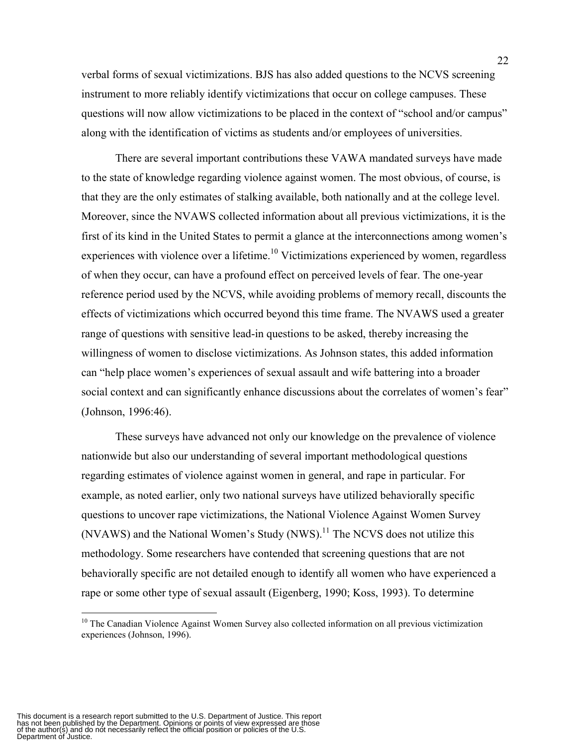verbal forms of sexual victimizations. BJS has also added questions to the NCVS screening instrument to more reliably identify victimizations that occur on college campuses. These questions will now allow victimizations to be placed in the context of "school and/or campus" along with the identification of victims as students and/or employees of universities.

There are several important contributions these VAWA mandated surveys have made to the state of knowledge regarding violence against women. The most obvious, of course, is that they are the only estimates of stalking available, both nationally and at the college level. Moreover, since the NVAWS collected information about all previous victimizations, it is the first of its kind in the United States to permit a glance at the interconnections among women's experiences with violence over a lifetime.<sup>10</sup> Victimizations experienced by women, regardless of when they occur, can have a profound effect on perceived levels of fear. The one-year reference period used by the NCVS, while avoiding problems of memory recall, discounts the effects of victimizations which occurred beyond this time frame. The NVAWS used a greater range of questions with sensitive lead-in questions to be asked, thereby increasing the willingness of women to disclose victimizations. As Johnson states, this added information can "help place women's experiences of sexual assault and wife battering into a broader social context and can significantly enhance discussions about the correlates of women's fear" (Johnson, 1996:46).

These surveys have advanced not only our knowledge on the prevalence of violence nationwide but also our understanding of several important methodological questions regarding estimates of violence against women in general, and rape in particular. For example, as noted earlier, only two national surveys have utilized behaviorally specific questions to uncover rape victimizations, the National Violence Against Women Survey (NVAWS) and the National Women's Study (NWS).<sup>11</sup> The NCVS does not utilize this methodology. Some researchers have contended that screening questions that are not behaviorally specific are not detailed enough to identify all women who have experienced a rape or some other type of sexual assault (Eigenberg, 1990; Koss, 1993). To determine

This document is a research report submitted to the U.S. Department of Justice. This report<br>has not been published by the Department. Opinions or points of view expressed are those<br>of the author(s) and do not necessarily r

<sup>&</sup>lt;sup>10</sup> The Canadian Violence Against Women Survey also collected information on all previous victimization experiences (Johnson, 1996).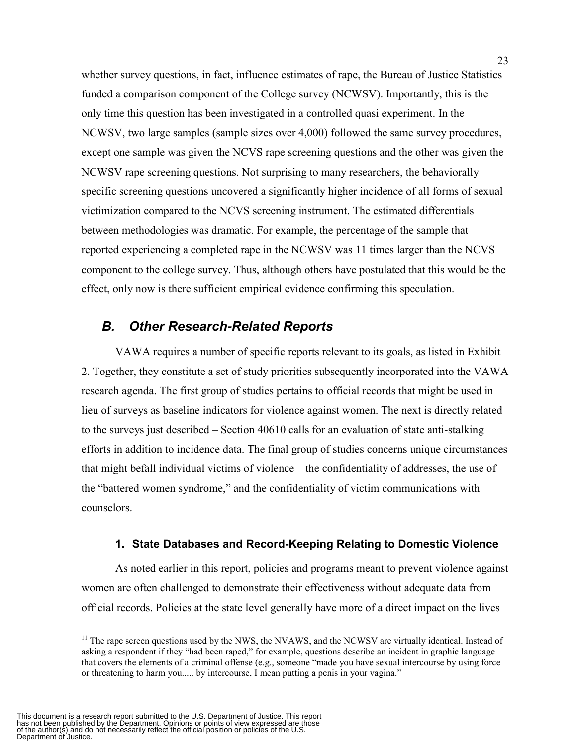whether survey questions, in fact, influence estimates of rape, the Bureau of Justice Statistics funded a comparison component of the College survey (NCWSV). Importantly, this is the only time this question has been investigated in a controlled quasi experiment. In the NCWSV, two large samples (sample sizes over 4,000) followed the same survey procedures, except one sample was given the NCVS rape screening questions and the other was given the NCWSV rape screening questions. Not surprising to many researchers, the behaviorally specific screening questions uncovered a significantly higher incidence of all forms of sexual victimization compared to the NCVS screening instrument. The estimated differentials between methodologies was dramatic. For example, the percentage of the sample that reported experiencing a completed rape in the NCWSV was 11 times larger than the NCVS component to the college survey. Thus, although others have postulated that this would be the effect, only now is there sufficient empirical evidence confirming this speculation.

### *B. Other Research-Related Reports*

VAWA requires a number of specific reports relevant to its goals, as listed in Exhibit 2. Together, they constitute a set of study priorities subsequently incorporated into the VAWA research agenda. The first group of studies pertains to official records that might be used in lieu of surveys as baseline indicators for violence against women. The next is directly related to the surveys just described – Section 40610 calls for an evaluation of state anti-stalking efforts in addition to incidence data. The final group of studies concerns unique circumstances that might befall individual victims of violence – the confidentiality of addresses, the use of the "battered women syndrome," and the confidentiality of victim communications with counselors.

#### **1. State Databases and Record-Keeping Relating to Domestic Violence**

As noted earlier in this report, policies and programs meant to prevent violence against women are often challenged to demonstrate their effectiveness without adequate data from official records. Policies at the state level generally have more of a direct impact on the lives

<sup>&</sup>lt;sup>11</sup> The rape screen questions used by the NWS, the NVAWS, and the NCWSV are virtually identical. Instead of asking a respondent if they "had been raped," for example, questions describe an incident in graphic language that covers the elements of a criminal offense (e.g., someone "made you have sexual intercourse by using force or threatening to harm you..... by intercourse, I mean putting a penis in your vagina."

This document is a research report submitted to the U.S. Department of Justice. This report<br>has not been published by the Department. Opinions or points of view expressed are those<br>of the author(s) and do not necessarily r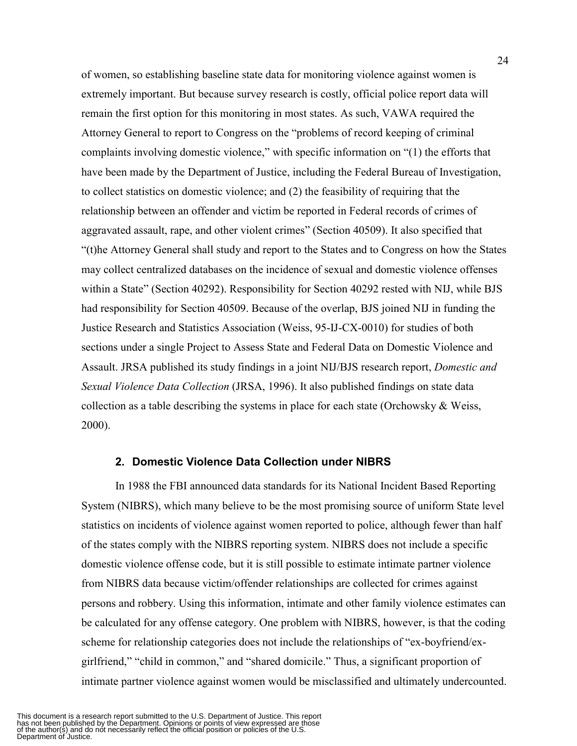of women, so establishing baseline state data for monitoring violence against women is extremely important. But because survey research is costly, official police report data will remain the first option for this monitoring in most states. As such, VAWA required the Attorney General to report to Congress on the "problems of record keeping of criminal complaints involving domestic violence," with specific information on "(1) the efforts that have been made by the Department of Justice, including the Federal Bureau of Investigation, to collect statistics on domestic violence; and (2) the feasibility of requiring that the relationship between an offender and victim be reported in Federal records of crimes of aggravated assault, rape, and other violent crimes" (Section 40509). It also specified that "(t)he Attorney General shall study and report to the States and to Congress on how the States may collect centralized databases on the incidence of sexual and domestic violence offenses within a State" (Section 40292). Responsibility for Section 40292 rested with NIJ, while BJS had responsibility for Section 40509. Because of the overlap, BJS joined NIJ in funding the Justice Research and Statistics Association (Weiss, 95-IJ-CX-0010) for studies of both sections under a single Project to Assess State and Federal Data on Domestic Violence and Assault. JRSA published its study findings in a joint NIJ/BJS research report, *Domestic and Sexual Violence Data Collection* (JRSA, 1996). It also published findings on state data collection as a table describing the systems in place for each state (Orchowsky  $\&$  Weiss, 2000).

#### **2. Domestic Violence Data Collection under NIBRS**

In 1988 the FBI announced data standards for its National Incident Based Reporting System (NIBRS), which many believe to be the most promising source of uniform State level statistics on incidents of violence against women reported to police, although fewer than half of the states comply with the NIBRS reporting system. NIBRS does not include a specific domestic violence offense code, but it is still possible to estimate intimate partner violence from NIBRS data because victim/offender relationships are collected for crimes against persons and robbery. Using this information, intimate and other family violence estimates can be calculated for any offense category. One problem with NIBRS, however, is that the coding scheme for relationship categories does not include the relationships of "ex-boyfriend/exgirlfriend," "child in common," and "shared domicile." Thus, a significant proportion of intimate partner violence against women would be misclassified and ultimately undercounted.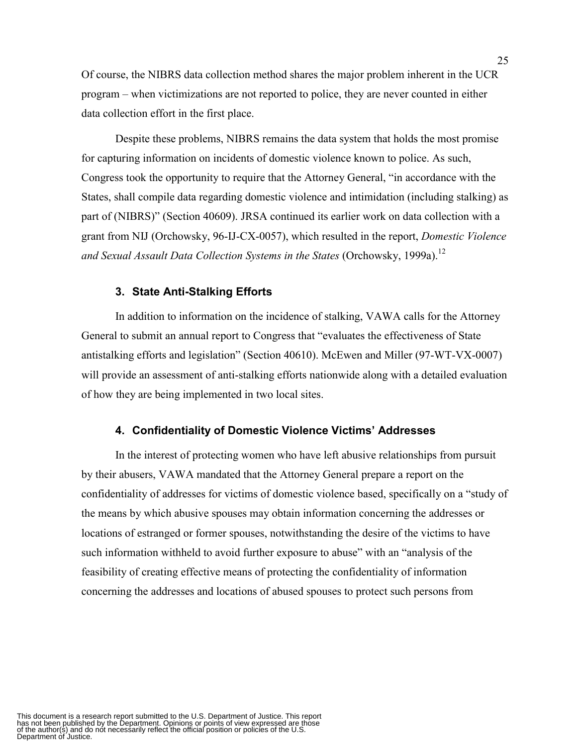Of course, the NIBRS data collection method shares the major problem inherent in the UCR program – when victimizations are not reported to police, they are never counted in either data collection effort in the first place.

Despite these problems, NIBRS remains the data system that holds the most promise for capturing information on incidents of domestic violence known to police. As such, Congress took the opportunity to require that the Attorney General, "in accordance with the States, shall compile data regarding domestic violence and intimidation (including stalking) as part of (NIBRS)" (Section 40609). JRSA continued its earlier work on data collection with a grant from NIJ (Orchowsky, 96-IJ-CX-0057), which resulted in the report, *Domestic Violence and Sexual Assault Data Collection Systems in the States* (Orchowsky, 1999a).<sup>12</sup>

#### **3. State Anti-Stalking Efforts**

In addition to information on the incidence of stalking, VAWA calls for the Attorney General to submit an annual report to Congress that "evaluates the effectiveness of State antistalking efforts and legislation" (Section 40610). McEwen and Miller (97-WT-VX-0007) will provide an assessment of anti-stalking efforts nationwide along with a detailed evaluation of how they are being implemented in two local sites.

#### **4. Confidentiality of Domestic Violence Victims' Addresses**

In the interest of protecting women who have left abusive relationships from pursuit by their abusers, VAWA mandated that the Attorney General prepare a report on the confidentiality of addresses for victims of domestic violence based, specifically on a "study of the means by which abusive spouses may obtain information concerning the addresses or locations of estranged or former spouses, notwithstanding the desire of the victims to have such information withheld to avoid further exposure to abuse" with an "analysis of the feasibility of creating effective means of protecting the confidentiality of information concerning the addresses and locations of abused spouses to protect such persons from

25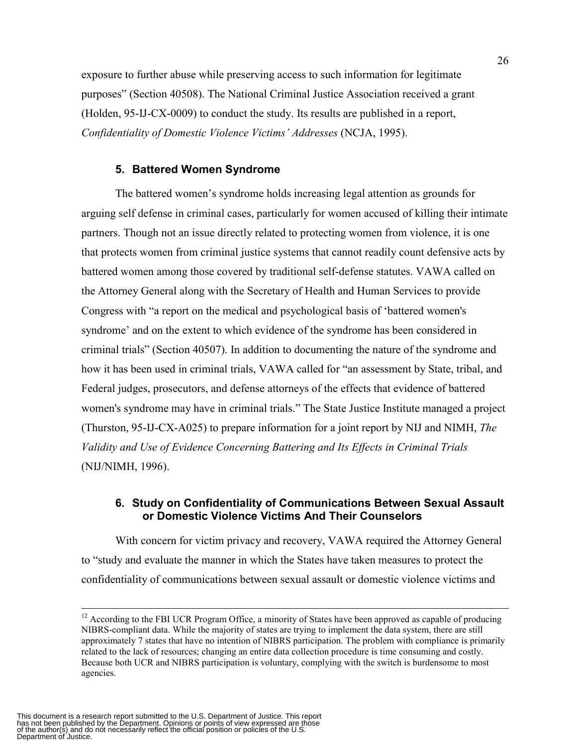exposure to further abuse while preserving access to such information for legitimate purposes" (Section 40508). The National Criminal Justice Association received a grant (Holden, 95-IJ-CX-0009) to conduct the study. Its results are published in a report, *Confidentiality of Domestic Violence Victims' Addresses* (NCJA, 1995).

#### **5. Battered Women Syndrome**

The battered women's syndrome holds increasing legal attention as grounds for arguing self defense in criminal cases, particularly for women accused of killing their intimate partners. Though not an issue directly related to protecting women from violence, it is one that protects women from criminal justice systems that cannot readily count defensive acts by battered women among those covered by traditional self-defense statutes. VAWA called on the Attorney General along with the Secretary of Health and Human Services to provide Congress with "a report on the medical and psychological basis of 'battered women's syndrome' and on the extent to which evidence of the syndrome has been considered in criminal trials" (Section 40507). In addition to documenting the nature of the syndrome and how it has been used in criminal trials, VAWA called for "an assessment by State, tribal, and Federal judges, prosecutors, and defense attorneys of the effects that evidence of battered women's syndrome may have in criminal trials." The State Justice Institute managed a project (Thurston, 95-IJ-CX-A025) to prepare information for a joint report by NIJ and NIMH, *The Validity and Use of Evidence Concerning Battering and Its Effects in Criminal Trials*  (NIJ/NIMH, 1996).

#### **6. Study on Confidentiality of Communications Between Sexual Assault or Domestic Violence Victims And Their Counselors**

With concern for victim privacy and recovery, VAWA required the Attorney General to "study and evaluate the manner in which the States have taken measures to protect the confidentiality of communications between sexual assault or domestic violence victims and

 $12$  According to the FBI UCR Program Office, a minority of States have been approved as capable of producing NIBRS-compliant data. While the majority of states are trying to implement the data system, there are still approximately 7 states that have no intention of NIBRS participation. The problem with compliance is primarily related to the lack of resources; changing an entire data collection procedure is time consuming and costly. Because both UCR and NIBRS participation is voluntary, complying with the switch is burdensome to most agencies.

<sup>26</sup>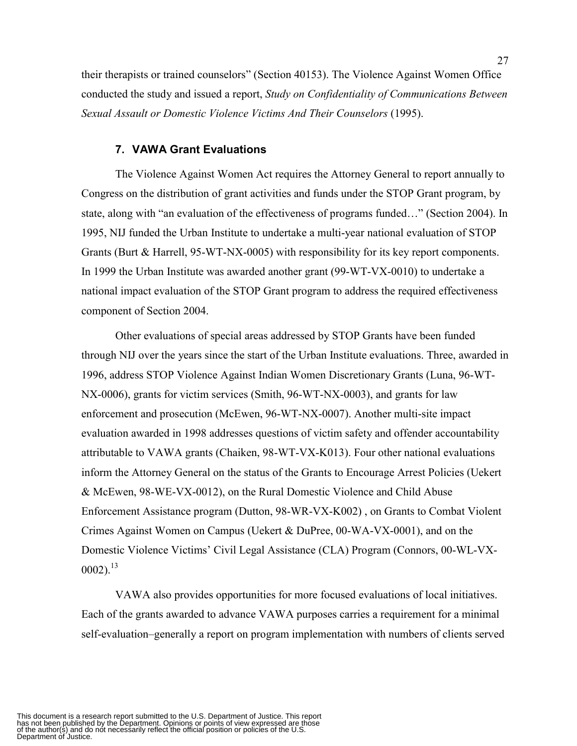their therapists or trained counselors" (Section 40153). The Violence Against Women Office conducted the study and issued a report, *Study on Confidentiality of Communications Between Sexual Assault or Domestic Violence Victims And Their Counselors* (1995).

#### **7. VAWA Grant Evaluations**

The Violence Against Women Act requires the Attorney General to report annually to Congress on the distribution of grant activities and funds under the STOP Grant program, by state, along with "an evaluation of the effectiveness of programs funded…" (Section 2004). In 1995, NIJ funded the Urban Institute to undertake a multi-year national evaluation of STOP Grants (Burt & Harrell, 95-WT-NX-0005) with responsibility for its key report components. In 1999 the Urban Institute was awarded another grant (99-WT-VX-0010) to undertake a national impact evaluation of the STOP Grant program to address the required effectiveness component of Section 2004.

Other evaluations of special areas addressed by STOP Grants have been funded through NIJ over the years since the start of the Urban Institute evaluations. Three, awarded in 1996, address STOP Violence Against Indian Women Discretionary Grants (Luna, 96-WT-NX-0006), grants for victim services (Smith, 96-WT-NX-0003), and grants for law enforcement and prosecution (McEwen, 96-WT-NX-0007). Another multi-site impact evaluation awarded in 1998 addresses questions of victim safety and offender accountability attributable to VAWA grants (Chaiken, 98-WT-VX-K013). Four other national evaluations inform the Attorney General on the status of the Grants to Encourage Arrest Policies (Uekert & McEwen, 98-WE-VX-0012), on the Rural Domestic Violence and Child Abuse Enforcement Assistance program (Dutton, 98-WR-VX-K002) , on Grants to Combat Violent Crimes Against Women on Campus (Uekert & DuPree, 00-WA-VX-0001), and on the Domestic Violence Victims' Civil Legal Assistance (CLA) Program (Connors, 00-WL-VX-0002).<sup>13</sup>

VAWA also provides opportunities for more focused evaluations of local initiatives. Each of the grants awarded to advance VAWA purposes carries a requirement for a minimal self-evaluation–generally a report on program implementation with numbers of clients served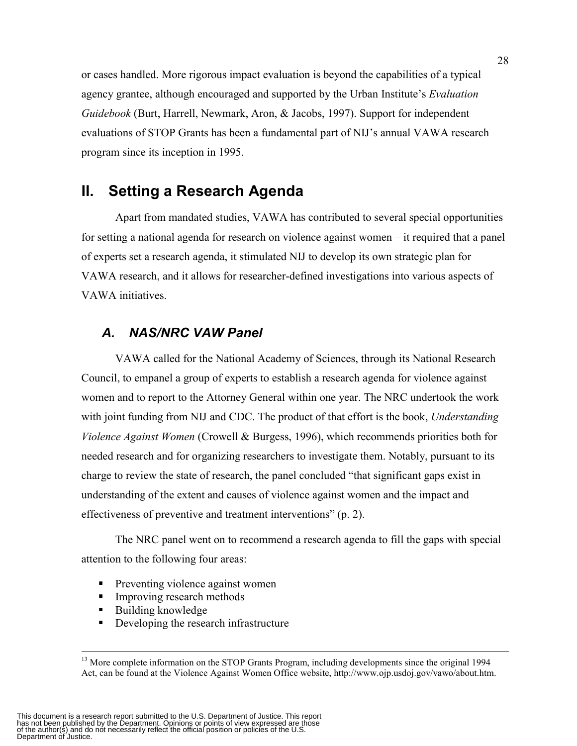or cases handled. More rigorous impact evaluation is beyond the capabilities of a typical agency grantee, although encouraged and supported by the Urban Institute's *Evaluation Guidebook* (Burt, Harrell, Newmark, Aron, & Jacobs, 1997). Support for independent evaluations of STOP Grants has been a fundamental part of NIJ's annual VAWA research program since its inception in 1995.

## <span id="page-30-0"></span>**II. Setting a Research Agenda**

Apart from mandated studies, VAWA has contributed to several special opportunities for setting a national agenda for research on violence against women – it required that a panel of experts set a research agenda, it stimulated NIJ to develop its own strategic plan for VAWA research, and it allows for researcher-defined investigations into various aspects of VAWA initiatives.

## *A. NAS/NRC VAW Panel*

VAWA called for the National Academy of Sciences, through its National Research Council, to empanel a group of experts to establish a research agenda for violence against women and to report to the Attorney General within one year. The NRC undertook the work with joint funding from NIJ and CDC. The product of that effort is the book, *Understanding Violence Against Women* (Crowell & Burgess, 1996), which recommends priorities both for needed research and for organizing researchers to investigate them. Notably, pursuant to its charge to review the state of research, the panel concluded "that significant gaps exist in understanding of the extent and causes of violence against women and the impact and effectiveness of preventive and treatment interventions" (p. 2).

The NRC panel went on to recommend a research agenda to fill the gaps with special attention to the following four areas:

- $\blacksquare$  Preventing violence against women
- Improving research methods
- Building knowledge
- Developing the research infrastructure

<sup>&</sup>lt;sup>13</sup> More complete information on the STOP Grants Program, including developments since the original 1994 Act, can be found at the Violence Against Women Office website, http://www.ojp.usdoj.gov/vawo/about.htm.

This document is a research report submitted to the U.S. Department of Justice. This report<br>has not been published by the Department. Opinions or points of view expressed are those<br>of the author(s) and do not necessarily r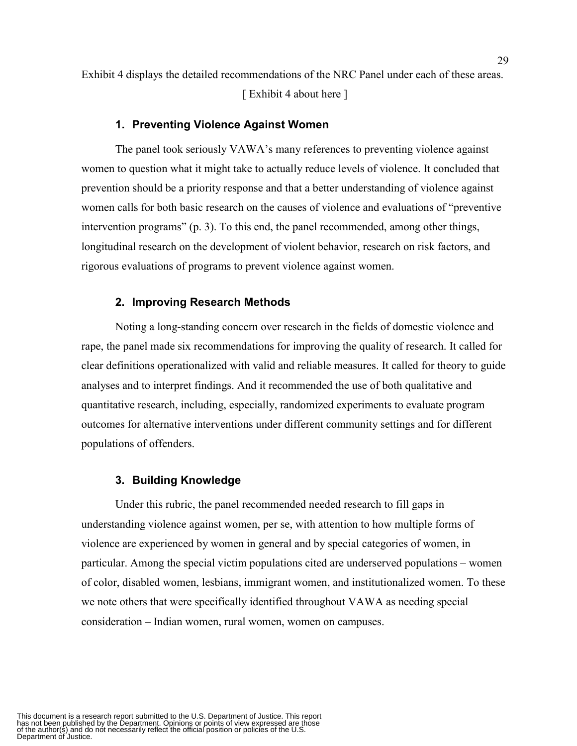Exhibit 4 displays the detailed recommendations of the NRC Panel under each of these areas. [ Exhibit 4 about here ]

#### **1. Preventing Violence Against Women**

The panel took seriously VAWA's many references to preventing violence against women to question what it might take to actually reduce levels of violence. It concluded that prevention should be a priority response and that a better understanding of violence against women calls for both basic research on the causes of violence and evaluations of "preventive intervention programs" (p. 3). To this end, the panel recommended, among other things, longitudinal research on the development of violent behavior, research on risk factors, and rigorous evaluations of programs to prevent violence against women.

#### **2. Improving Research Methods**

Noting a long-standing concern over research in the fields of domestic violence and rape, the panel made six recommendations for improving the quality of research. It called for clear definitions operationalized with valid and reliable measures. It called for theory to guide analyses and to interpret findings. And it recommended the use of both qualitative and quantitative research, including, especially, randomized experiments to evaluate program outcomes for alternative interventions under different community settings and for different populations of offenders.

#### **3. Building Knowledge**

Under this rubric, the panel recommended needed research to fill gaps in understanding violence against women, per se, with attention to how multiple forms of violence are experienced by women in general and by special categories of women, in particular. Among the special victim populations cited are underserved populations – women of color, disabled women, lesbians, immigrant women, and institutionalized women. To these we note others that were specifically identified throughout VAWA as needing special consideration – Indian women, rural women, women on campuses.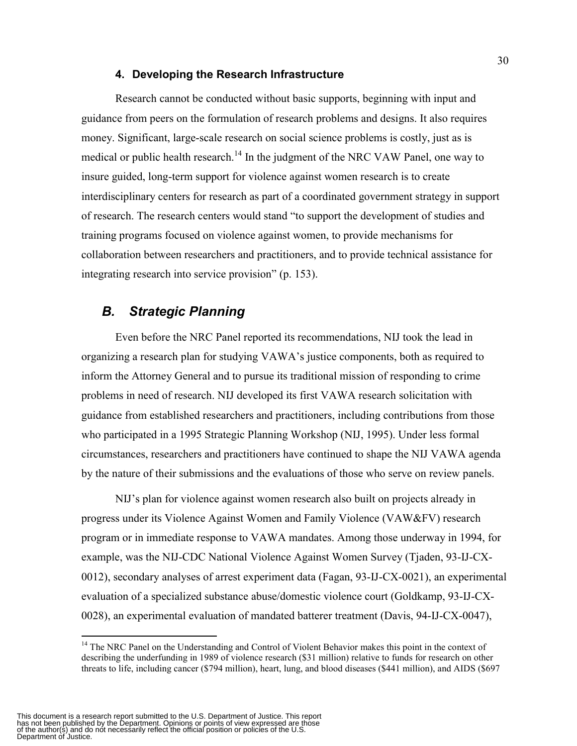#### **4. Developing the Research Infrastructure**

Research cannot be conducted without basic supports, beginning with input and guidance from peers on the formulation of research problems and designs. It also requires money. Significant, large-scale research on social science problems is costly, just as is medical or public health research.<sup>14</sup> In the judgment of the NRC VAW Panel, one way to insure guided, long-term support for violence against women research is to create interdisciplinary centers for research as part of a coordinated government strategy in support of research. The research centers would stand "to support the development of studies and training programs focused on violence against women, to provide mechanisms for collaboration between researchers and practitioners, and to provide technical assistance for integrating research into service provision" (p. 153).

#### *B. Strategic Planning*

Even before the NRC Panel reported its recommendations, NIJ took the lead in organizing a research plan for studying VAWA's justice components, both as required to inform the Attorney General and to pursue its traditional mission of responding to crime problems in need of research. NIJ developed its first VAWA research solicitation with guidance from established researchers and practitioners, including contributions from those who participated in a 1995 Strategic Planning Workshop (NIJ, 1995). Under less formal circumstances, researchers and practitioners have continued to shape the NIJ VAWA agenda by the nature of their submissions and the evaluations of those who serve on review panels.

NIJ's plan for violence against women research also built on projects already in progress under its Violence Against Women and Family Violence (VAW&FV) research program or in immediate response to VAWA mandates. Among those underway in 1994, for example, was the NIJ-CDC National Violence Against Women Survey (Tjaden, 93-IJ-CX-0012), secondary analyses of arrest experiment data (Fagan, 93-IJ-CX-0021), an experimental evaluation of a specialized substance abuse/domestic violence court (Goldkamp, 93-IJ-CX-0028), an experimental evaluation of mandated batterer treatment (Davis, 94-IJ-CX-0047),

<sup>&</sup>lt;sup>14</sup> The NRC Panel on the Understanding and Control of Violent Behavior makes this point in the context of describing the underfunding in 1989 of violence research (\$31 million) relative to funds for research on other threats to life, including cancer (\$794 million), heart, lung, and blood diseases (\$441 million), and AIDS (\$697

This document is a research report submitted to the U.S. Department of Justice. This report<br>has not been published by the Department. Opinions or points of view expressed are those<br>of the author(s) and do not necessarily r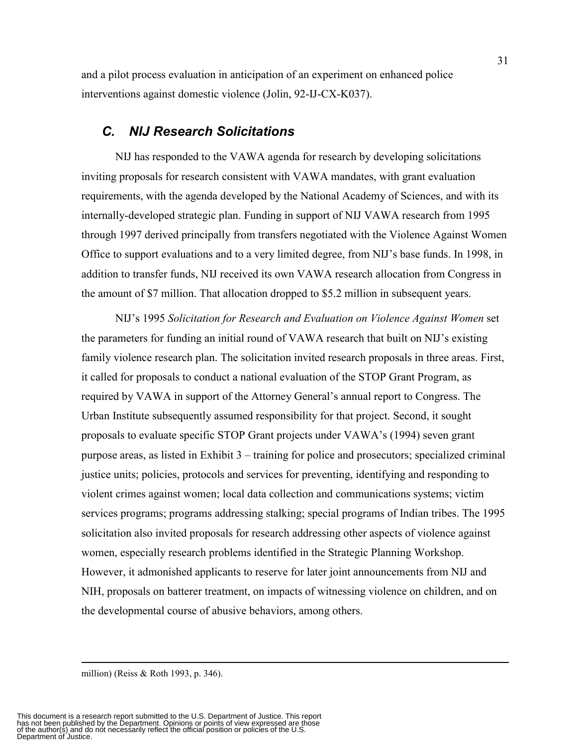and a pilot process evaluation in anticipation of an experiment on enhanced police interventions against domestic violence (Jolin, 92-IJ-CX-K037).

#### *C. NIJ Research Solicitations*

NIJ has responded to the VAWA agenda for research by developing solicitations inviting proposals for research consistent with VAWA mandates, with grant evaluation requirements, with the agenda developed by the National Academy of Sciences, and with its internally-developed strategic plan. Funding in support of NIJ VAWA research from 1995 through 1997 derived principally from transfers negotiated with the Violence Against Women Office to support evaluations and to a very limited degree, from NIJ's base funds. In 1998, in addition to transfer funds, NIJ received its own VAWA research allocation from Congress in the amount of \$7 million. That allocation dropped to \$5.2 million in subsequent years.

NIJ's 1995 *Solicitation for Research and Evaluation on Violence Against Women* set the parameters for funding an initial round of VAWA research that built on NIJ's existing family violence research plan. The solicitation invited research proposals in three areas. First, it called for proposals to conduct a national evaluation of the STOP Grant Program, as required by VAWA in support of the Attorney General's annual report to Congress. The Urban Institute subsequently assumed responsibility for that project. Second, it sought proposals to evaluate specific STOP Grant projects under VAWA's (1994) seven grant purpose areas, as listed in Exhibit 3 – training for police and prosecutors; specialized criminal justice units; policies, protocols and services for preventing, identifying and responding to violent crimes against women; local data collection and communications systems; victim services programs; programs addressing stalking; special programs of Indian tribes. The 1995 solicitation also invited proposals for research addressing other aspects of violence against women, especially research problems identified in the Strategic Planning Workshop. However, it admonished applicants to reserve for later joint announcements from NIJ and NIH, proposals on batterer treatment, on impacts of witnessing violence on children, and on the developmental course of abusive behaviors, among others.

million) (Reiss & Roth 1993, p. 346).

This document is a research report submitted to the U.S. Department of Justice. This report<br>has not been published by the Department. Opinions or points of view expressed are those<br>of the author(s) and do not necessarily r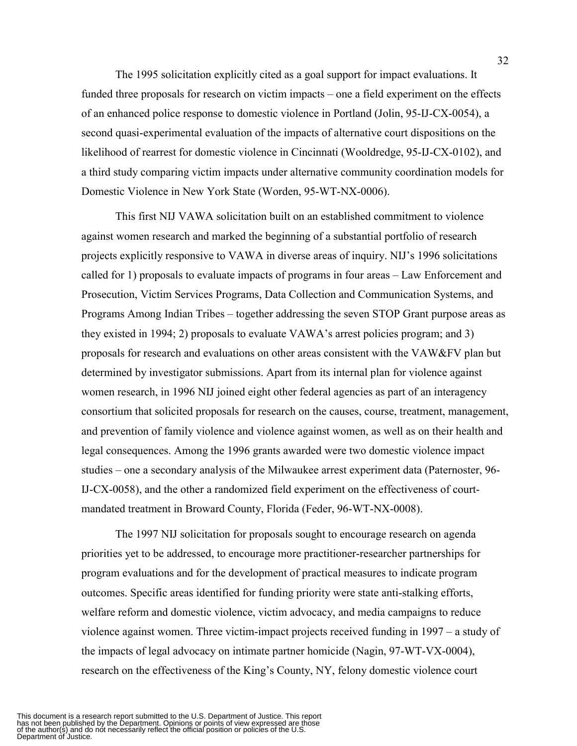The 1995 solicitation explicitly cited as a goal support for impact evaluations. It funded three proposals for research on victim impacts – one a field experiment on the effects of an enhanced police response to domestic violence in Portland (Jolin, 95-IJ-CX-0054), a second quasi-experimental evaluation of the impacts of alternative court dispositions on the likelihood of rearrest for domestic violence in Cincinnati (Wooldredge, 95-IJ-CX-0102), and a third study comparing victim impacts under alternative community coordination models for Domestic Violence in New York State (Worden, 95-WT-NX-0006).

This first NIJ VAWA solicitation built on an established commitment to violence against women research and marked the beginning of a substantial portfolio of research projects explicitly responsive to VAWA in diverse areas of inquiry. NIJ's 1996 solicitations called for 1) proposals to evaluate impacts of programs in four areas – Law Enforcement and Prosecution, Victim Services Programs, Data Collection and Communication Systems, and Programs Among Indian Tribes – together addressing the seven STOP Grant purpose areas as they existed in 1994; 2) proposals to evaluate VAWA's arrest policies program; and 3) proposals for research and evaluations on other areas consistent with the VAW&FV plan but determined by investigator submissions. Apart from its internal plan for violence against women research, in 1996 NIJ joined eight other federal agencies as part of an interagency consortium that solicited proposals for research on the causes, course, treatment, management, and prevention of family violence and violence against women, as well as on their health and legal consequences. Among the 1996 grants awarded were two domestic violence impact studies – one a secondary analysis of the Milwaukee arrest experiment data (Paternoster, 96- IJ-CX-0058), and the other a randomized field experiment on the effectiveness of courtmandated treatment in Broward County, Florida (Feder, 96-WT-NX-0008).

The 1997 NIJ solicitation for proposals sought to encourage research on agenda priorities yet to be addressed, to encourage more practitioner-researcher partnerships for program evaluations and for the development of practical measures to indicate program outcomes. Specific areas identified for funding priority were state anti-stalking efforts, welfare reform and domestic violence, victim advocacy, and media campaigns to reduce violence against women. Three victim-impact projects received funding in 1997 – a study of the impacts of legal advocacy on intimate partner homicide (Nagin, 97-WT-VX-0004), research on the effectiveness of the King's County, NY, felony domestic violence court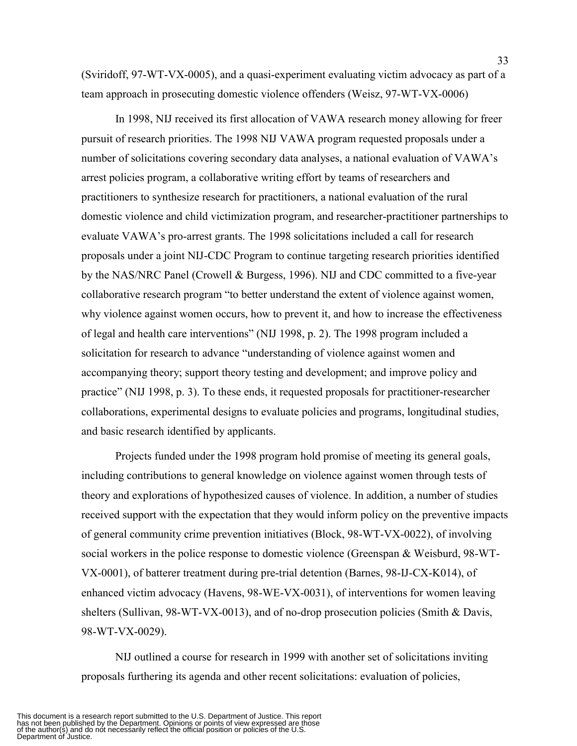(Sviridoff, 97-WT-VX-0005), and a quasi-experiment evaluating victim advocacy as part of a team approach in prosecuting domestic violence offenders (Weisz, 97-WT-VX-0006)

In 1998, NIJ received its first allocation of VAWA research money allowing for freer pursuit of research priorities. The 1998 NIJ VAWA program requested proposals under a number of solicitations covering secondary data analyses, a national evaluation of VAWA's arrest policies program, a collaborative writing effort by teams of researchers and practitioners to synthesize research for practitioners, a national evaluation of the rural domestic violence and child victimization program, and researcher-practitioner partnerships to evaluate VAWA's pro-arrest grants. The 1998 solicitations included a call for research proposals under a joint NIJ-CDC Program to continue targeting research priorities identified by the NAS/NRC Panel (Crowell & Burgess, 1996). NIJ and CDC committed to a five-year collaborative research program "to better understand the extent of violence against women, why violence against women occurs, how to prevent it, and how to increase the effectiveness of legal and health care interventions" (NIJ 1998, p. 2). The 1998 program included a solicitation for research to advance "understanding of violence against women and accompanying theory; support theory testing and development; and improve policy and practice" (NIJ 1998, p. 3). To these ends, it requested proposals for practitioner-researcher collaborations, experimental designs to evaluate policies and programs, longitudinal studies, and basic research identified by applicants.

Projects funded under the 1998 program hold promise of meeting its general goals, including contributions to general knowledge on violence against women through tests of theory and explorations of hypothesized causes of violence. In addition, a number of studies received support with the expectation that they would inform policy on the preventive impacts of general community crime prevention initiatives (Block, 98-WT-VX-0022), of involving social workers in the police response to domestic violence (Greenspan & Weisburd, 98-WT-VX-0001), of batterer treatment during pre-trial detention (Barnes, 98-IJ-CX-K014), of enhanced victim advocacy (Havens, 98-WE-VX-0031), of interventions for women leaving shelters (Sullivan, 98-WT-VX-0013), and of no-drop prosecution policies (Smith & Davis, 98-WT-VX-0029).

NIJ outlined a course for research in 1999 with another set of solicitations inviting proposals furthering its agenda and other recent solicitations: evaluation of policies,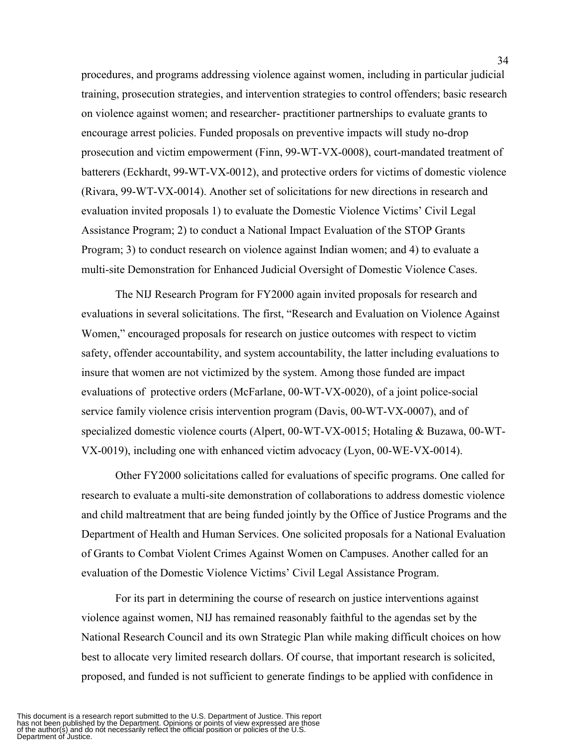procedures, and programs addressing violence against women, including in particular judicial training, prosecution strategies, and intervention strategies to control offenders; basic research on violence against women; and researcher- practitioner partnerships to evaluate grants to encourage arrest policies. Funded proposals on preventive impacts will study no-drop prosecution and victim empowerment (Finn, 99-WT-VX-0008), court-mandated treatment of batterers (Eckhardt, 99-WT-VX-0012), and protective orders for victims of domestic violence (Rivara, 99-WT-VX-0014). Another set of solicitations for new directions in research and evaluation invited proposals 1) to evaluate the Domestic Violence Victims' Civil Legal Assistance Program; 2) to conduct a National Impact Evaluation of the STOP Grants Program; 3) to conduct research on violence against Indian women; and 4) to evaluate a multi-site Demonstration for Enhanced Judicial Oversight of Domestic Violence Cases.

The NIJ Research Program for FY2000 again invited proposals for research and evaluations in several solicitations. The first, "Research and Evaluation on Violence Against Women," encouraged proposals for research on justice outcomes with respect to victim safety, offender accountability, and system accountability, the latter including evaluations to insure that women are not victimized by the system. Among those funded are impact evaluations of protective orders (McFarlane, 00-WT-VX-0020), of a joint police-social service family violence crisis intervention program (Davis, 00-WT-VX-0007), and of specialized domestic violence courts (Alpert, 00-WT-VX-0015; Hotaling & Buzawa, 00-WT-VX-0019), including one with enhanced victim advocacy (Lyon, 00-WE-VX-0014).

Other FY2000 solicitations called for evaluations of specific programs. One called for research to evaluate a multi-site demonstration of collaborations to address domestic violence and child maltreatment that are being funded jointly by the Office of Justice Programs and the Department of Health and Human Services. One solicited proposals for a National Evaluation of Grants to Combat Violent Crimes Against Women on Campuses. Another called for an evaluation of the Domestic Violence Victims' Civil Legal Assistance Program.

For its part in determining the course of research on justice interventions against violence against women, NIJ has remained reasonably faithful to the agendas set by the National Research Council and its own Strategic Plan while making difficult choices on how best to allocate very limited research dollars. Of course, that important research is solicited, proposed, and funded is not sufficient to generate findings to be applied with confidence in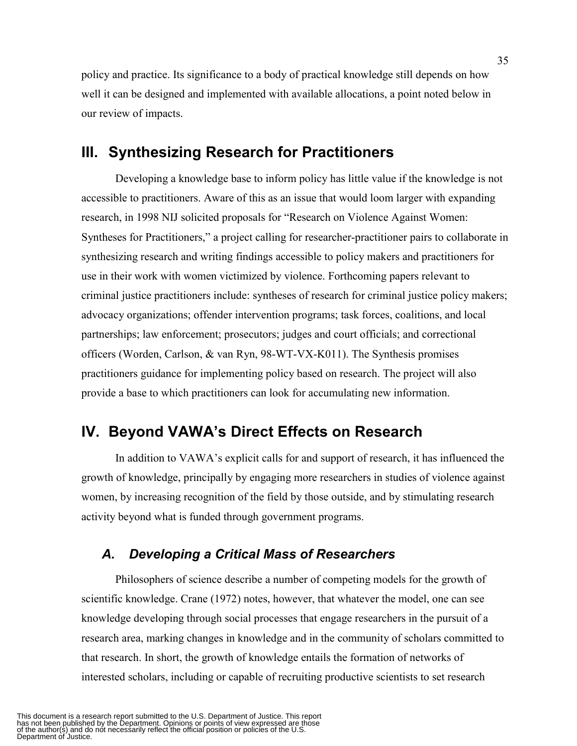policy and practice. Its significance to a body of practical knowledge still depends on how well it can be designed and implemented with available allocations, a point noted below in our review of impacts.

## **III. Synthesizing Research for Practitioners**

Developing a knowledge base to inform policy has little value if the knowledge is not accessible to practitioners. Aware of this as an issue that would loom larger with expanding research, in 1998 NIJ solicited proposals for "Research on Violence Against Women: Syntheses for Practitioners," a project calling for researcher-practitioner pairs to collaborate in synthesizing research and writing findings accessible to policy makers and practitioners for use in their work with women victimized by violence. Forthcoming papers relevant to criminal justice practitioners include: syntheses of research for criminal justice policy makers; advocacy organizations; offender intervention programs; task forces, coalitions, and local partnerships; law enforcement; prosecutors; judges and court officials; and correctional officers (Worden, Carlson, & van Ryn, 98-WT-VX-K011). The Synthesis promises practitioners guidance for implementing policy based on research. The project will also provide a base to which practitioners can look for accumulating new information.

## **IV. Beyond VAWA's Direct Effects on Research**

In addition to VAWA's explicit calls for and support of research, it has influenced the growth of knowledge, principally by engaging more researchers in studies of violence against women, by increasing recognition of the field by those outside, and by stimulating research activity beyond what is funded through government programs.

### *A. Developing a Critical Mass of Researchers*

Philosophers of science describe a number of competing models for the growth of scientific knowledge. Crane (1972) notes, however, that whatever the model, one can see knowledge developing through social processes that engage researchers in the pursuit of a research area, marking changes in knowledge and in the community of scholars committed to that research. In short, the growth of knowledge entails the formation of networks of interested scholars, including or capable of recruiting productive scientists to set research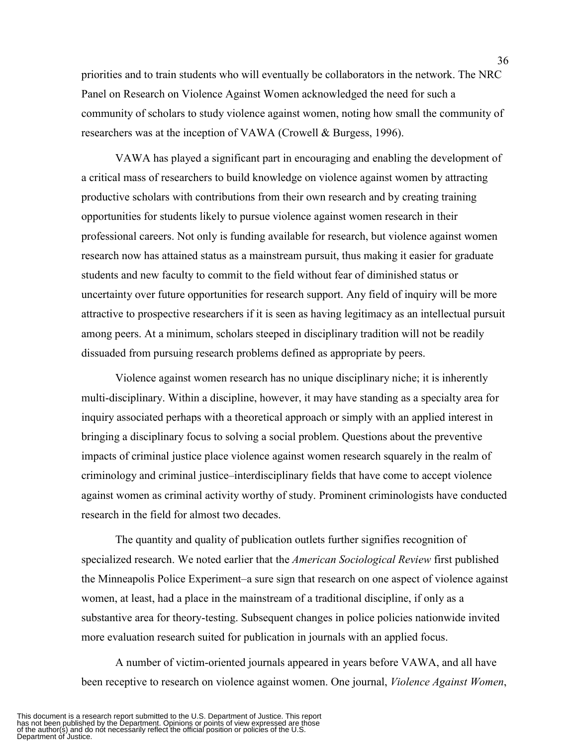priorities and to train students who will eventually be collaborators in the network. The NRC Panel on Research on Violence Against Women acknowledged the need for such a community of scholars to study violence against women, noting how small the community of researchers was at the inception of VAWA (Crowell & Burgess, 1996).

VAWA has played a significant part in encouraging and enabling the development of a critical mass of researchers to build knowledge on violence against women by attracting productive scholars with contributions from their own research and by creating training opportunities for students likely to pursue violence against women research in their professional careers. Not only is funding available for research, but violence against women research now has attained status as a mainstream pursuit, thus making it easier for graduate students and new faculty to commit to the field without fear of diminished status or uncertainty over future opportunities for research support. Any field of inquiry will be more attractive to prospective researchers if it is seen as having legitimacy as an intellectual pursuit among peers. At a minimum, scholars steeped in disciplinary tradition will not be readily dissuaded from pursuing research problems defined as appropriate by peers.

Violence against women research has no unique disciplinary niche; it is inherently multi-disciplinary. Within a discipline, however, it may have standing as a specialty area for inquiry associated perhaps with a theoretical approach or simply with an applied interest in bringing a disciplinary focus to solving a social problem. Questions about the preventive impacts of criminal justice place violence against women research squarely in the realm of criminology and criminal justice–interdisciplinary fields that have come to accept violence against women as criminal activity worthy of study. Prominent criminologists have conducted research in the field for almost two decades.

The quantity and quality of publication outlets further signifies recognition of specialized research. We noted earlier that the *American Sociological Review* first published the Minneapolis Police Experiment–a sure sign that research on one aspect of violence against women, at least, had a place in the mainstream of a traditional discipline, if only as a substantive area for theory-testing. Subsequent changes in police policies nationwide invited more evaluation research suited for publication in journals with an applied focus.

A number of victim-oriented journals appeared in years before VAWA, and all have been receptive to research on violence against women. One journal, *Violence Against Women*,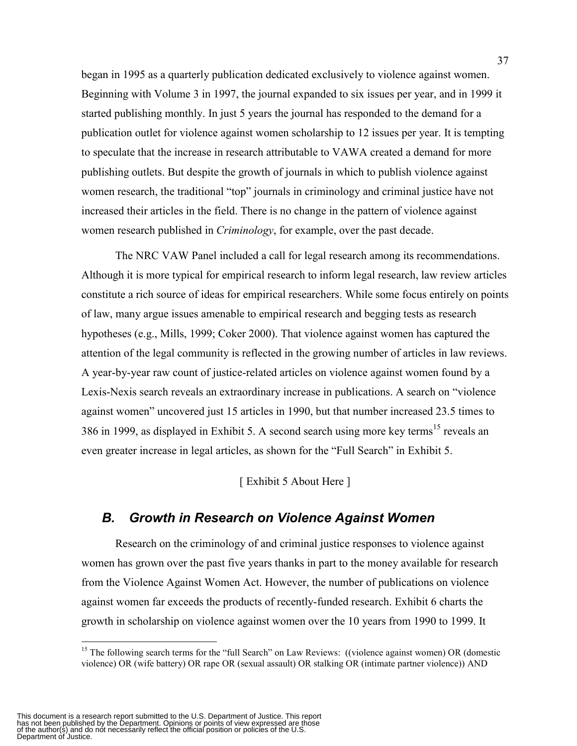began in 1995 as a quarterly publication dedicated exclusively to violence against women. Beginning with Volume 3 in 1997, the journal expanded to six issues per year, and in 1999 it started publishing monthly. In just 5 years the journal has responded to the demand for a publication outlet for violence against women scholarship to 12 issues per year. It is tempting to speculate that the increase in research attributable to VAWA created a demand for more publishing outlets. But despite the growth of journals in which to publish violence against women research, the traditional "top" journals in criminology and criminal justice have not increased their articles in the field. There is no change in the pattern of violence against women research published in *Criminology*, for example, over the past decade.

The NRC VAW Panel included a call for legal research among its recommendations. Although it is more typical for empirical research to inform legal research, law review articles constitute a rich source of ideas for empirical researchers. While some focus entirely on points of law, many argue issues amenable to empirical research and begging tests as research hypotheses (e.g., Mills, 1999; Coker 2000). That violence against women has captured the attention of the legal community is reflected in the growing number of articles in law reviews. A year-by-year raw count of justice-related articles on violence against women found by a Lexis-Nexis search reveals an extraordinary increase in publications. A search on "violence against women" uncovered just 15 articles in 1990, but that number increased 23.5 times to 386 in 1999, as displayed in Exhibit 5. A second search using more key terms<sup>15</sup> reveals an even greater increase in legal articles, as shown for the "Full Search" in Exhibit 5.

[ Exhibit 5 About Here ]

#### *B. Growth in Research on Violence Against Women*

Research on the criminology of and criminal justice responses to violence against women has grown over the past five years thanks in part to the money available for research from the Violence Against Women Act. However, the number of publications on violence against women far exceeds the products of recently-funded research. Exhibit 6 charts the growth in scholarship on violence against women over the 10 years from 1990 to 1999. It

<sup>&</sup>lt;sup>15</sup> The following search terms for the "full Search" on Law Reviews: ((violence against women) OR (domestic violence) OR (wife battery) OR rape OR (sexual assault) OR stalking OR (intimate partner violence)) AND

This document is a research report submitted to the U.S. Department of Justice. This report<br>has not been published by the Department. Opinions or points of view expressed are those<br>of the author(s) and do not necessarily r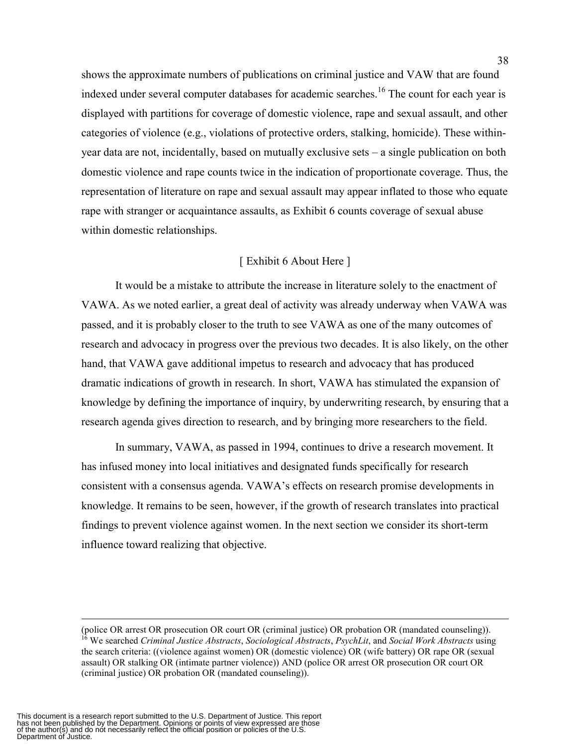shows the approximate numbers of publications on criminal justice and VAW that are found indexed under several computer databases for academic searches.<sup>16</sup> The count for each year is displayed with partitions for coverage of domestic violence, rape and sexual assault, and other categories of violence (e.g., violations of protective orders, stalking, homicide). These withinyear data are not, incidentally, based on mutually exclusive sets – a single publication on both domestic violence and rape counts twice in the indication of proportionate coverage. Thus, the representation of literature on rape and sexual assault may appear inflated to those who equate rape with stranger or acquaintance assaults, as Exhibit 6 counts coverage of sexual abuse within domestic relationships.

#### [ Exhibit 6 About Here ]

It would be a mistake to attribute the increase in literature solely to the enactment of VAWA. As we noted earlier, a great deal of activity was already underway when VAWA was passed, and it is probably closer to the truth to see VAWA as one of the many outcomes of research and advocacy in progress over the previous two decades. It is also likely, on the other hand, that VAWA gave additional impetus to research and advocacy that has produced dramatic indications of growth in research. In short, VAWA has stimulated the expansion of knowledge by defining the importance of inquiry, by underwriting research, by ensuring that a research agenda gives direction to research, and by bringing more researchers to the field.

In summary, VAWA, as passed in 1994, continues to drive a research movement. It has infused money into local initiatives and designated funds specifically for research consistent with a consensus agenda. VAWA's effects on research promise developments in knowledge. It remains to be seen, however, if the growth of research translates into practical findings to prevent violence against women. In the next section we consider its short-term influence toward realizing that objective.

<sup>(</sup>police OR arrest OR prosecution OR court OR (criminal justice) OR probation OR (mandated counseling)).<br><sup>16</sup> We searched *Criminal Justice Abstracts*, *Sociological Abstracts*, *PsychLit*, and *Social Work Abstracts* using the search criteria: ((violence against women) OR (domestic violence) OR (wife battery) OR rape OR (sexual assault) OR stalking OR (intimate partner violence)) AND (police OR arrest OR prosecution OR court OR (criminal justice) OR probation OR (mandated counseling)).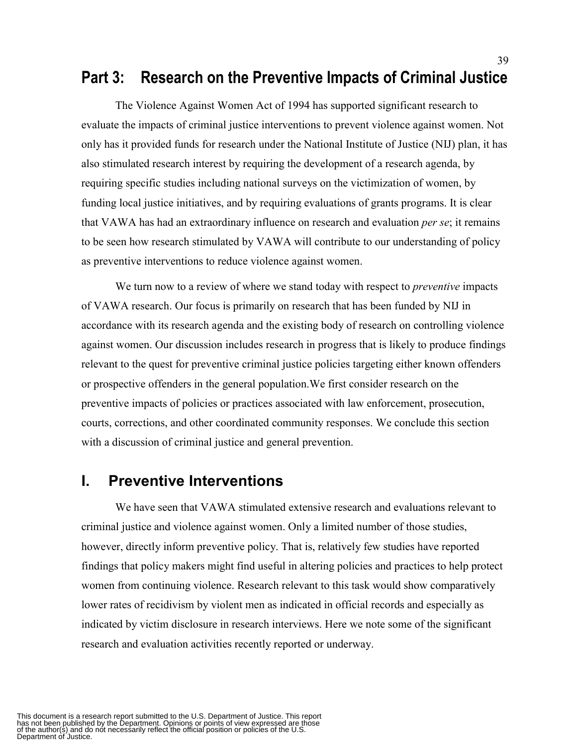# **Part 3: Research on the Preventive Impacts of Criminal Justice**

The Violence Against Women Act of 1994 has supported significant research to evaluate the impacts of criminal justice interventions to prevent violence against women. Not only has it provided funds for research under the National Institute of Justice (NIJ) plan, it has also stimulated research interest by requiring the development of a research agenda, by requiring specific studies including national surveys on the victimization of women, by funding local justice initiatives, and by requiring evaluations of grants programs. It is clear that VAWA has had an extraordinary influence on research and evaluation *per se*; it remains to be seen how research stimulated by VAWA will contribute to our understanding of policy as preventive interventions to reduce violence against women.

We turn now to a review of where we stand today with respect to *preventive* impacts of VAWA research. Our focus is primarily on research that has been funded by NIJ in accordance with its research agenda and the existing body of research on controlling violence against women. Our discussion includes research in progress that is likely to produce findings relevant to the quest for preventive criminal justice policies targeting either known offenders or prospective offenders in the general population.We first consider research on the preventive impacts of policies or practices associated with law enforcement, prosecution, courts, corrections, and other coordinated community responses. We conclude this section with a discussion of criminal justice and general prevention.

## **I. Preventive Interventions**

We have seen that VAWA stimulated extensive research and evaluations relevant to criminal justice and violence against women. Only a limited number of those studies, however, directly inform preventive policy. That is, relatively few studies have reported findings that policy makers might find useful in altering policies and practices to help protect women from continuing violence. Research relevant to this task would show comparatively lower rates of recidivism by violent men as indicated in official records and especially as indicated by victim disclosure in research interviews. Here we note some of the significant research and evaluation activities recently reported or underway.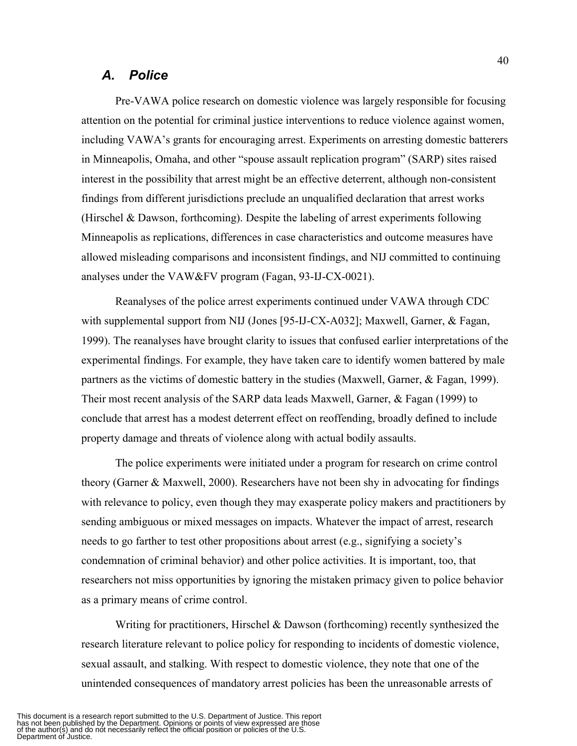### *A. Police*

Pre-VAWA police research on domestic violence was largely responsible for focusing attention on the potential for criminal justice interventions to reduce violence against women, including VAWA's grants for encouraging arrest. Experiments on arresting domestic batterers in Minneapolis, Omaha, and other "spouse assault replication program" (SARP) sites raised interest in the possibility that arrest might be an effective deterrent, although non-consistent findings from different jurisdictions preclude an unqualified declaration that arrest works (Hirschel & Dawson, forthcoming). Despite the labeling of arrest experiments following Minneapolis as replications, differences in case characteristics and outcome measures have allowed misleading comparisons and inconsistent findings, and NIJ committed to continuing analyses under the VAW&FV program (Fagan, 93-IJ-CX-0021).

Reanalyses of the police arrest experiments continued under VAWA through CDC with supplemental support from NIJ (Jones [95-IJ-CX-A032]; Maxwell, Garner, & Fagan, 1999). The reanalyses have brought clarity to issues that confused earlier interpretations of the experimental findings. For example, they have taken care to identify women battered by male partners as the victims of domestic battery in the studies (Maxwell, Garner, & Fagan, 1999). Their most recent analysis of the SARP data leads Maxwell, Garner, & Fagan (1999) to conclude that arrest has a modest deterrent effect on reoffending, broadly defined to include property damage and threats of violence along with actual bodily assaults.

The police experiments were initiated under a program for research on crime control theory (Garner & Maxwell, 2000). Researchers have not been shy in advocating for findings with relevance to policy, even though they may exasperate policy makers and practitioners by sending ambiguous or mixed messages on impacts. Whatever the impact of arrest, research needs to go farther to test other propositions about arrest (e.g., signifying a society's condemnation of criminal behavior) and other police activities. It is important, too, that researchers not miss opportunities by ignoring the mistaken primacy given to police behavior as a primary means of crime control.

Writing for practitioners, Hirschel & Dawson (forthcoming) recently synthesized the research literature relevant to police policy for responding to incidents of domestic violence, sexual assault, and stalking. With respect to domestic violence, they note that one of the unintended consequences of mandatory arrest policies has been the unreasonable arrests of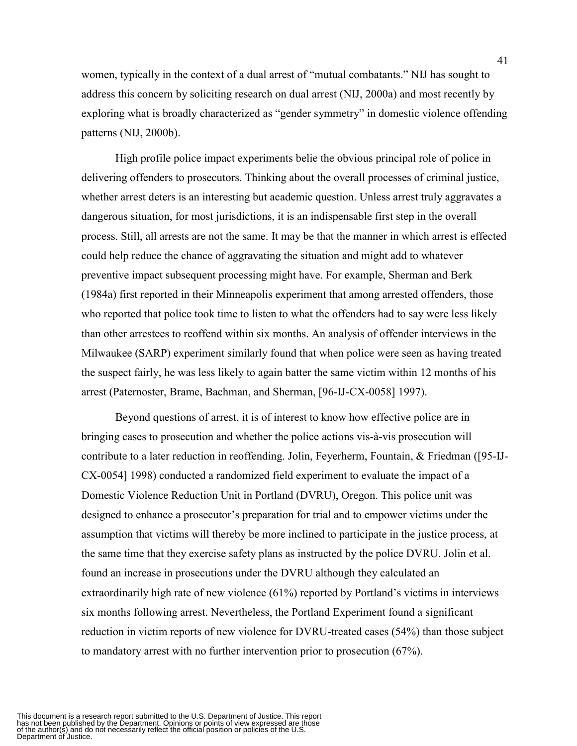women, typically in the context of a dual arrest of "mutual combatants." NIJ has sought to address this concern by soliciting research on dual arrest (NIJ, 2000a) and most recently by exploring what is broadly characterized as "gender symmetry" in domestic violence offending patterns (NIJ, 2000b).

High profile police impact experiments belie the obvious principal role of police in delivering offenders to prosecutors. Thinking about the overall processes of criminal justice, whether arrest deters is an interesting but academic question. Unless arrest truly aggravates a dangerous situation, for most jurisdictions, it is an indispensable first step in the overall process. Still, all arrests are not the same. It may be that the manner in which arrest is effected could help reduce the chance of aggravating the situation and might add to whatever preventive impact subsequent processing might have. For example, Sherman and Berk (1984a) first reported in their Minneapolis experiment that among arrested offenders, those who reported that police took time to listen to what the offenders had to say were less likely than other arrestees to reoffend within six months. An analysis of offender interviews in the Milwaukee (SARP) experiment similarly found that when police were seen as having treated the suspect fairly, he was less likely to again batter the same victim within 12 months of his arrest (Paternoster, Brame, Bachman, and Sherman, [96-IJ-CX-0058] 1997).

Beyond questions of arrest, it is of interest to know how effective police are in bringing cases to prosecution and whether the police actions vis-à-vis prosecution will contribute to a later reduction in reoffending. Jolin, Feyerherm, Fountain, & Friedman ([95-IJ-CX-0054] 1998) conducted a randomized field experiment to evaluate the impact of a Domestic Violence Reduction Unit in Portland (DVRU), Oregon. This police unit was designed to enhance a prosecutor's preparation for trial and to empower victims under the assumption that victims will thereby be more inclined to participate in the justice process, at the same time that they exercise safety plans as instructed by the police DVRU. Jolin et al. found an increase in prosecutions under the DVRU although they calculated an extraordinarily high rate of new violence (61%) reported by Portland's victims in interviews six months following arrest. Nevertheless, the Portland Experiment found a significant reduction in victim reports of new violence for DVRU-treated cases (54%) than those subject to mandatory arrest with no further intervention prior to prosecution (67%).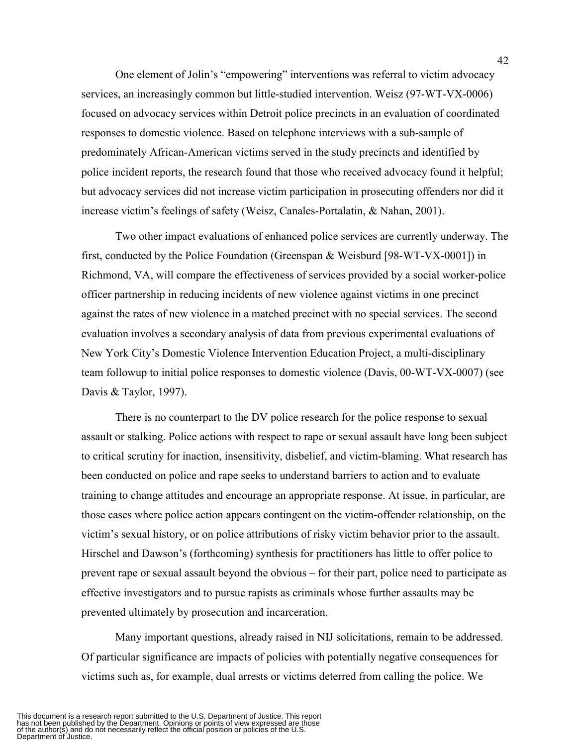One element of Jolin's "empowering" interventions was referral to victim advocacy services, an increasingly common but little-studied intervention. Weisz (97-WT-VX-0006) focused on advocacy services within Detroit police precincts in an evaluation of coordinated responses to domestic violence. Based on telephone interviews with a sub-sample of predominately African-American victims served in the study precincts and identified by police incident reports, the research found that those who received advocacy found it helpful; but advocacy services did not increase victim participation in prosecuting offenders nor did it increase victim's feelings of safety (Weisz, Canales-Portalatin, & Nahan, 2001).

Two other impact evaluations of enhanced police services are currently underway. The first, conducted by the Police Foundation (Greenspan & Weisburd [98-WT-VX-0001]) in Richmond, VA, will compare the effectiveness of services provided by a social worker-police officer partnership in reducing incidents of new violence against victims in one precinct against the rates of new violence in a matched precinct with no special services. The second evaluation involves a secondary analysis of data from previous experimental evaluations of New York City's Domestic Violence Intervention Education Project, a multi-disciplinary team followup to initial police responses to domestic violence (Davis, 00-WT-VX-0007) (see Davis & Taylor, 1997).

There is no counterpart to the DV police research for the police response to sexual assault or stalking. Police actions with respect to rape or sexual assault have long been subject to critical scrutiny for inaction, insensitivity, disbelief, and victim-blaming. What research has been conducted on police and rape seeks to understand barriers to action and to evaluate training to change attitudes and encourage an appropriate response. At issue, in particular, are those cases where police action appears contingent on the victim-offender relationship, on the victim's sexual history, or on police attributions of risky victim behavior prior to the assault. Hirschel and Dawson's (forthcoming) synthesis for practitioners has little to offer police to prevent rape or sexual assault beyond the obvious – for their part, police need to participate as effective investigators and to pursue rapists as criminals whose further assaults may be prevented ultimately by prosecution and incarceration.

Many important questions, already raised in NIJ solicitations, remain to be addressed. Of particular significance are impacts of policies with potentially negative consequences for victims such as, for example, dual arrests or victims deterred from calling the police. We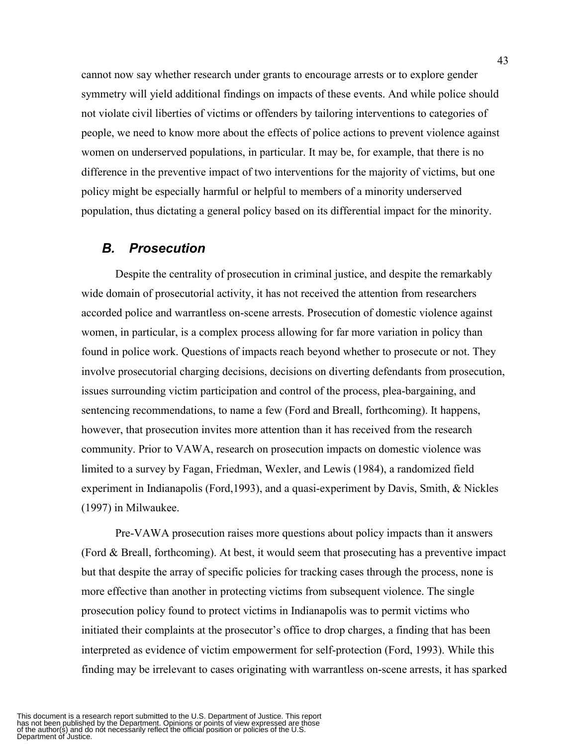cannot now say whether research under grants to encourage arrests or to explore gender symmetry will yield additional findings on impacts of these events. And while police should not violate civil liberties of victims or offenders by tailoring interventions to categories of people, we need to know more about the effects of police actions to prevent violence against women on underserved populations, in particular. It may be, for example, that there is no difference in the preventive impact of two interventions for the majority of victims, but one policy might be especially harmful or helpful to members of a minority underserved population, thus dictating a general policy based on its differential impact for the minority.

#### *B. Prosecution*

Despite the centrality of prosecution in criminal justice, and despite the remarkably wide domain of prosecutorial activity, it has not received the attention from researchers accorded police and warrantless on-scene arrests. Prosecution of domestic violence against women, in particular, is a complex process allowing for far more variation in policy than found in police work. Questions of impacts reach beyond whether to prosecute or not. They involve prosecutorial charging decisions, decisions on diverting defendants from prosecution, issues surrounding victim participation and control of the process, plea-bargaining, and sentencing recommendations, to name a few (Ford and Breall, forthcoming). It happens, however, that prosecution invites more attention than it has received from the research community. Prior to VAWA, research on prosecution impacts on domestic violence was limited to a survey by Fagan, Friedman, Wexler, and Lewis (1984), a randomized field experiment in Indianapolis (Ford,1993), and a quasi-experiment by Davis, Smith, & Nickles (1997) in Milwaukee.

Pre-VAWA prosecution raises more questions about policy impacts than it answers (Ford & Breall, forthcoming). At best, it would seem that prosecuting has a preventive impact but that despite the array of specific policies for tracking cases through the process, none is more effective than another in protecting victims from subsequent violence. The single prosecution policy found to protect victims in Indianapolis was to permit victims who initiated their complaints at the prosecutor's office to drop charges, a finding that has been interpreted as evidence of victim empowerment for self-protection (Ford, 1993). While this finding may be irrelevant to cases originating with warrantless on-scene arrests, it has sparked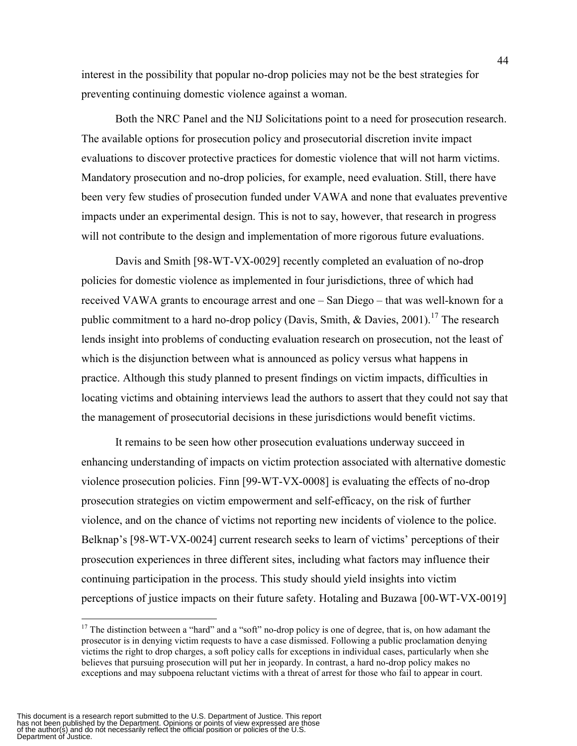interest in the possibility that popular no-drop policies may not be the best strategies for preventing continuing domestic violence against a woman.

Both the NRC Panel and the NIJ Solicitations point to a need for prosecution research. The available options for prosecution policy and prosecutorial discretion invite impact evaluations to discover protective practices for domestic violence that will not harm victims. Mandatory prosecution and no-drop policies, for example, need evaluation. Still, there have been very few studies of prosecution funded under VAWA and none that evaluates preventive impacts under an experimental design. This is not to say, however, that research in progress will not contribute to the design and implementation of more rigorous future evaluations.

Davis and Smith [98-WT-VX-0029] recently completed an evaluation of no-drop policies for domestic violence as implemented in four jurisdictions, three of which had received VAWA grants to encourage arrest and one – San Diego – that was well-known for a public commitment to a hard no-drop policy (Davis, Smith,  $\&$  Davies, 2001).<sup>17</sup> The research lends insight into problems of conducting evaluation research on prosecution, not the least of which is the disjunction between what is announced as policy versus what happens in practice. Although this study planned to present findings on victim impacts, difficulties in locating victims and obtaining interviews lead the authors to assert that they could not say that the management of prosecutorial decisions in these jurisdictions would benefit victims.

It remains to be seen how other prosecution evaluations underway succeed in enhancing understanding of impacts on victim protection associated with alternative domestic violence prosecution policies. Finn [99-WT-VX-0008] is evaluating the effects of no-drop prosecution strategies on victim empowerment and self-efficacy, on the risk of further violence, and on the chance of victims not reporting new incidents of violence to the police. Belknap's [98-WT-VX-0024] current research seeks to learn of victims' perceptions of their prosecution experiences in three different sites, including what factors may influence their continuing participation in the process. This study should yield insights into victim perceptions of justice impacts on their future safety. Hotaling and Buzawa [00-WT-VX-0019]

<sup>&</sup>lt;sup>17</sup> The distinction between a "hard" and a "soft" no-drop policy is one of degree, that is, on how adamant the prosecutor is in denying victim requests to have a case dismissed. Following a public proclamation denying victims the right to drop charges, a soft policy calls for exceptions in individual cases, particularly when she believes that pursuing prosecution will put her in jeopardy. In contrast, a hard no-drop policy makes no exceptions and may subpoena reluctant victims with a threat of arrest for those who fail to appear in court.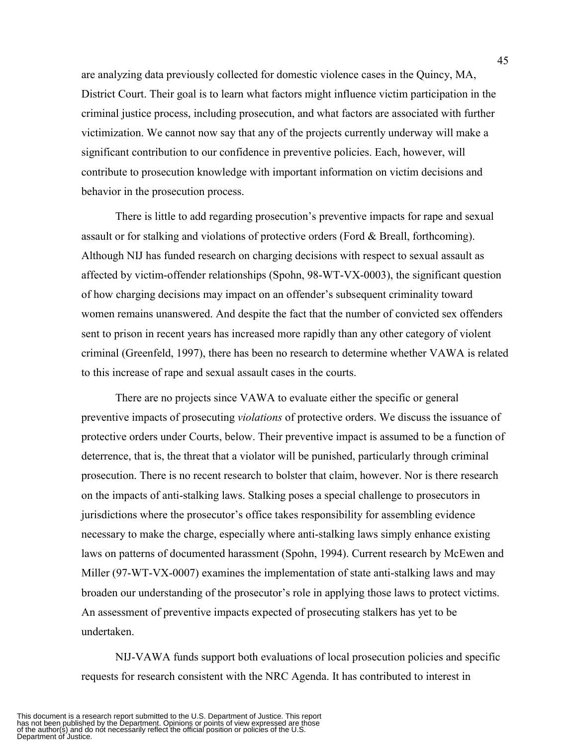are analyzing data previously collected for domestic violence cases in the Quincy, MA, District Court. Their goal is to learn what factors might influence victim participation in the criminal justice process, including prosecution, and what factors are associated with further victimization. We cannot now say that any of the projects currently underway will make a significant contribution to our confidence in preventive policies. Each, however, will contribute to prosecution knowledge with important information on victim decisions and behavior in the prosecution process.

There is little to add regarding prosecution's preventive impacts for rape and sexual assault or for stalking and violations of protective orders (Ford & Breall, forthcoming). Although NIJ has funded research on charging decisions with respect to sexual assault as affected by victim-offender relationships (Spohn, 98-WT-VX-0003), the significant question of how charging decisions may impact on an offender's subsequent criminality toward women remains unanswered. And despite the fact that the number of convicted sex offenders sent to prison in recent years has increased more rapidly than any other category of violent criminal (Greenfeld, 1997), there has been no research to determine whether VAWA is related to this increase of rape and sexual assault cases in the courts.

There are no projects since VAWA to evaluate either the specific or general preventive impacts of prosecuting *violations* of protective orders. We discuss the issuance of protective orders under Courts, below. Their preventive impact is assumed to be a function of deterrence, that is, the threat that a violator will be punished, particularly through criminal prosecution. There is no recent research to bolster that claim, however. Nor is there research on the impacts of anti-stalking laws. Stalking poses a special challenge to prosecutors in jurisdictions where the prosecutor's office takes responsibility for assembling evidence necessary to make the charge, especially where anti-stalking laws simply enhance existing laws on patterns of documented harassment (Spohn, 1994). Current research by McEwen and Miller (97-WT-VX-0007) examines the implementation of state anti-stalking laws and may broaden our understanding of the prosecutor's role in applying those laws to protect victims. An assessment of preventive impacts expected of prosecuting stalkers has yet to be undertaken.

NIJ-VAWA funds support both evaluations of local prosecution policies and specific requests for research consistent with the NRC Agenda. It has contributed to interest in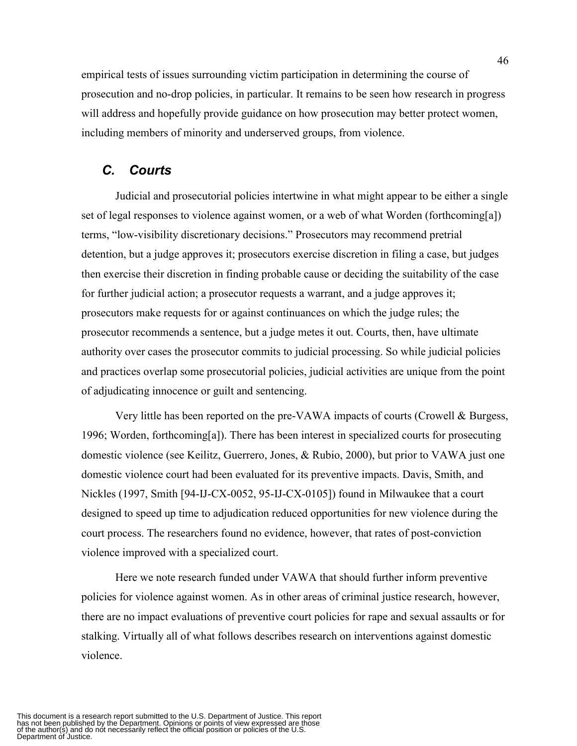empirical tests of issues surrounding victim participation in determining the course of prosecution and no-drop policies, in particular. It remains to be seen how research in progress will address and hopefully provide guidance on how prosecution may better protect women, including members of minority and underserved groups, from violence.

### *C. Courts*

Judicial and prosecutorial policies intertwine in what might appear to be either a single set of legal responses to violence against women, or a web of what Worden (forthcoming[a]) terms, "low-visibility discretionary decisions." Prosecutors may recommend pretrial detention, but a judge approves it; prosecutors exercise discretion in filing a case, but judges then exercise their discretion in finding probable cause or deciding the suitability of the case for further judicial action; a prosecutor requests a warrant, and a judge approves it; prosecutors make requests for or against continuances on which the judge rules; the prosecutor recommends a sentence, but a judge metes it out. Courts, then, have ultimate authority over cases the prosecutor commits to judicial processing. So while judicial policies and practices overlap some prosecutorial policies, judicial activities are unique from the point of adjudicating innocence or guilt and sentencing.

Very little has been reported on the pre-VAWA impacts of courts (Crowell & Burgess, 1996; Worden, forthcoming[a]). There has been interest in specialized courts for prosecuting domestic violence (see Keilitz, Guerrero, Jones, & Rubio, 2000), but prior to VAWA just one domestic violence court had been evaluated for its preventive impacts. Davis, Smith, and Nickles (1997, Smith [94-IJ-CX-0052, 95-IJ-CX-0105]) found in Milwaukee that a court designed to speed up time to adjudication reduced opportunities for new violence during the court process. The researchers found no evidence, however, that rates of post-conviction violence improved with a specialized court.

Here we note research funded under VAWA that should further inform preventive policies for violence against women. As in other areas of criminal justice research, however, there are no impact evaluations of preventive court policies for rape and sexual assaults or for stalking. Virtually all of what follows describes research on interventions against domestic violence.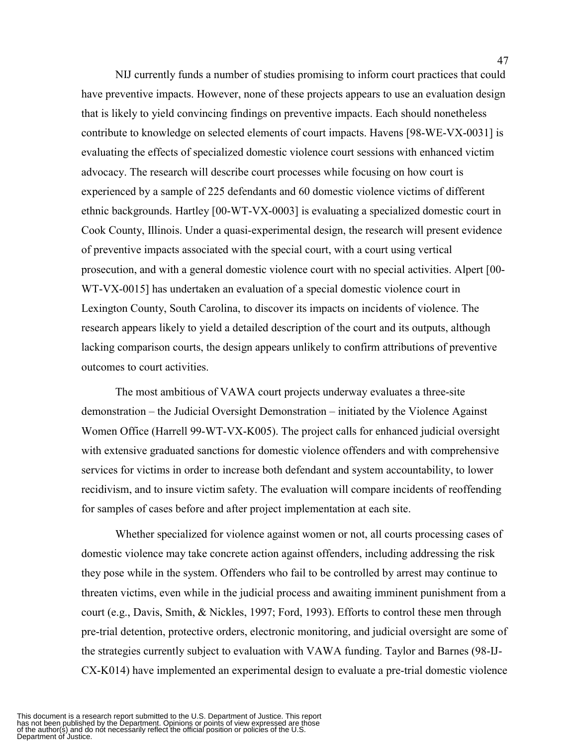NIJ currently funds a number of studies promising to inform court practices that could have preventive impacts. However, none of these projects appears to use an evaluation design that is likely to yield convincing findings on preventive impacts. Each should nonetheless contribute to knowledge on selected elements of court impacts. Havens [98-WE-VX-0031] is evaluating the effects of specialized domestic violence court sessions with enhanced victim advocacy. The research will describe court processes while focusing on how court is experienced by a sample of 225 defendants and 60 domestic violence victims of different ethnic backgrounds. Hartley [00-WT-VX-0003] is evaluating a specialized domestic court in Cook County, Illinois. Under a quasi-experimental design, the research will present evidence of preventive impacts associated with the special court, with a court using vertical prosecution, and with a general domestic violence court with no special activities. Alpert [00- WT-VX-0015] has undertaken an evaluation of a special domestic violence court in Lexington County, South Carolina, to discover its impacts on incidents of violence. The research appears likely to yield a detailed description of the court and its outputs, although lacking comparison courts, the design appears unlikely to confirm attributions of preventive outcomes to court activities.

The most ambitious of VAWA court projects underway evaluates a three-site demonstration – the Judicial Oversight Demonstration – initiated by the Violence Against Women Office (Harrell 99-WT-VX-K005). The project calls for enhanced judicial oversight with extensive graduated sanctions for domestic violence offenders and with comprehensive services for victims in order to increase both defendant and system accountability, to lower recidivism, and to insure victim safety. The evaluation will compare incidents of reoffending for samples of cases before and after project implementation at each site.

Whether specialized for violence against women or not, all courts processing cases of domestic violence may take concrete action against offenders, including addressing the risk they pose while in the system. Offenders who fail to be controlled by arrest may continue to threaten victims, even while in the judicial process and awaiting imminent punishment from a court (e.g., Davis, Smith, & Nickles, 1997; Ford, 1993). Efforts to control these men through pre-trial detention, protective orders, electronic monitoring, and judicial oversight are some of the strategies currently subject to evaluation with VAWA funding. Taylor and Barnes (98-IJ-CX-K014) have implemented an experimental design to evaluate a pre-trial domestic violence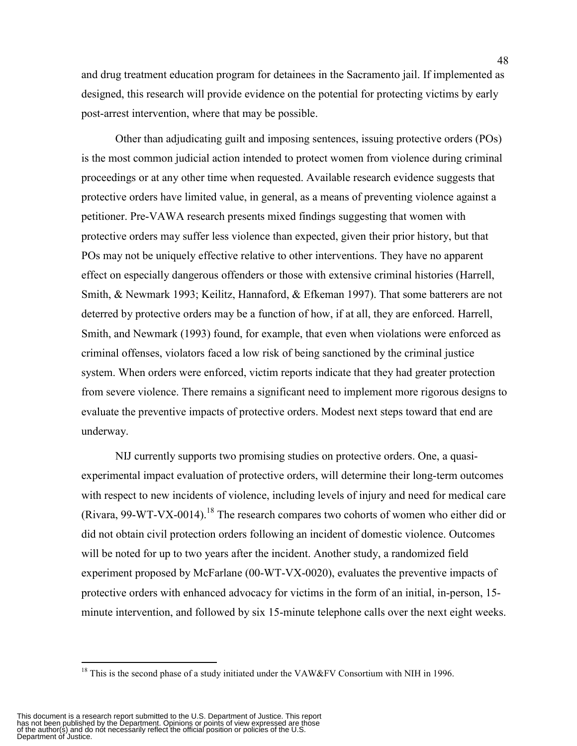and drug treatment education program for detainees in the Sacramento jail. If implemented as designed, this research will provide evidence on the potential for protecting victims by early post-arrest intervention, where that may be possible.

Other than adjudicating guilt and imposing sentences, issuing protective orders (POs) is the most common judicial action intended to protect women from violence during criminal proceedings or at any other time when requested. Available research evidence suggests that protective orders have limited value, in general, as a means of preventing violence against a petitioner. Pre-VAWA research presents mixed findings suggesting that women with protective orders may suffer less violence than expected, given their prior history, but that POs may not be uniquely effective relative to other interventions. They have no apparent effect on especially dangerous offenders or those with extensive criminal histories (Harrell, Smith, & Newmark 1993; Keilitz, Hannaford, & Efkeman 1997). That some batterers are not deterred by protective orders may be a function of how, if at all, they are enforced. Harrell, Smith, and Newmark (1993) found, for example, that even when violations were enforced as criminal offenses, violators faced a low risk of being sanctioned by the criminal justice system. When orders were enforced, victim reports indicate that they had greater protection from severe violence. There remains a significant need to implement more rigorous designs to evaluate the preventive impacts of protective orders. Modest next steps toward that end are underway.

NIJ currently supports two promising studies on protective orders. One, a quasiexperimental impact evaluation of protective orders, will determine their long-term outcomes with respect to new incidents of violence, including levels of injury and need for medical care (Rivara, 99-WT-VX-0014).<sup>18</sup> The research compares two cohorts of women who either did or did not obtain civil protection orders following an incident of domestic violence. Outcomes will be noted for up to two years after the incident. Another study, a randomized field experiment proposed by McFarlane (00-WT-VX-0020), evaluates the preventive impacts of protective orders with enhanced advocacy for victims in the form of an initial, in-person, 15 minute intervention, and followed by six 15-minute telephone calls over the next eight weeks.

 $18$  This is the second phase of a study initiated under the VAW&FV Consortium with NIH in 1996.

This document is a research report submitted to the U.S. Department of Justice. This report<br>has not been published by the Department. Opinions or points of view expressed are those<br>of the author(s) and do not necessarily r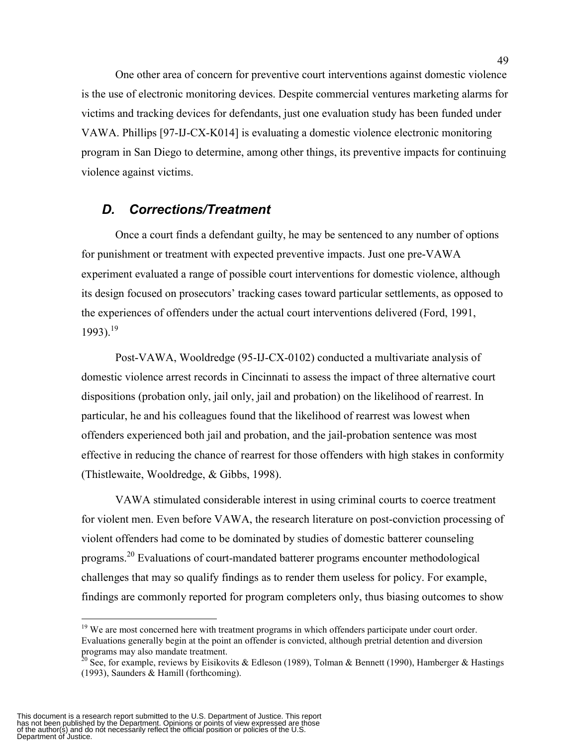One other area of concern for preventive court interventions against domestic violence is the use of electronic monitoring devices. Despite commercial ventures marketing alarms for victims and tracking devices for defendants, just one evaluation study has been funded under VAWA. Phillips [97-IJ-CX-K014] is evaluating a domestic violence electronic monitoring program in San Diego to determine, among other things, its preventive impacts for continuing violence against victims.

#### *D. Corrections/Treatment*

Once a court finds a defendant guilty, he may be sentenced to any number of options for punishment or treatment with expected preventive impacts. Just one pre-VAWA experiment evaluated a range of possible court interventions for domestic violence, although its design focused on prosecutors' tracking cases toward particular settlements, as opposed to the experiences of offenders under the actual court interventions delivered (Ford, 1991, 1993).19

Post-VAWA, Wooldredge (95-IJ-CX-0102) conducted a multivariate analysis of domestic violence arrest records in Cincinnati to assess the impact of three alternative court dispositions (probation only, jail only, jail and probation) on the likelihood of rearrest. In particular, he and his colleagues found that the likelihood of rearrest was lowest when offenders experienced both jail and probation, and the jail-probation sentence was most effective in reducing the chance of rearrest for those offenders with high stakes in conformity (Thistlewaite, Wooldredge, & Gibbs, 1998).

VAWA stimulated considerable interest in using criminal courts to coerce treatment for violent men. Even before VAWA, the research literature on post-conviction processing of violent offenders had come to be dominated by studies of domestic batterer counseling programs.20 Evaluations of court-mandated batterer programs encounter methodological challenges that may so qualify findings as to render them useless for policy. For example, findings are commonly reported for program completers only, thus biasing outcomes to show

<sup>&</sup>lt;sup>19</sup> We are most concerned here with treatment programs in which offenders participate under court order. Evaluations generally begin at the point an offender is convicted, although pretrial detention and diversion programs may also mandate treatment.<br><sup>20</sup> See, for example, reviews by Eisikovits & Edleson (1989), Tolman & Bennett (1990), Hamberger & Hastings

<sup>(1993),</sup> Saunders & Hamill (forthcoming).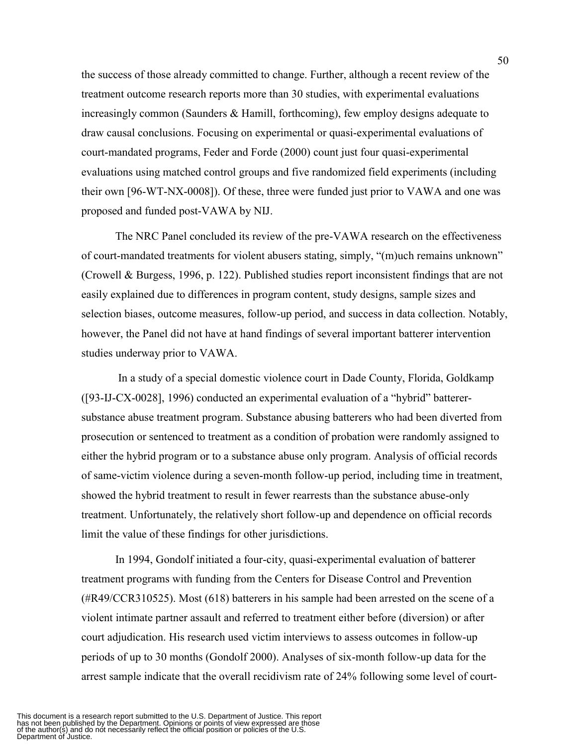the success of those already committed to change. Further, although a recent review of the treatment outcome research reports more than 30 studies, with experimental evaluations increasingly common (Saunders & Hamill, forthcoming), few employ designs adequate to draw causal conclusions. Focusing on experimental or quasi-experimental evaluations of court-mandated programs, Feder and Forde (2000) count just four quasi-experimental evaluations using matched control groups and five randomized field experiments (including their own [96-WT-NX-0008]). Of these, three were funded just prior to VAWA and one was proposed and funded post-VAWA by NIJ.

The NRC Panel concluded its review of the pre-VAWA research on the effectiveness of court-mandated treatments for violent abusers stating, simply, "(m)uch remains unknown" (Crowell & Burgess, 1996, p. 122). Published studies report inconsistent findings that are not easily explained due to differences in program content, study designs, sample sizes and selection biases, outcome measures, follow-up period, and success in data collection. Notably, however, the Panel did not have at hand findings of several important batterer intervention studies underway prior to VAWA.

In a study of a special domestic violence court in Dade County, Florida, Goldkamp ([93-IJ-CX-0028], 1996) conducted an experimental evaluation of a "hybrid" batterersubstance abuse treatment program. Substance abusing batterers who had been diverted from prosecution or sentenced to treatment as a condition of probation were randomly assigned to either the hybrid program or to a substance abuse only program. Analysis of official records of same-victim violence during a seven-month follow-up period, including time in treatment, showed the hybrid treatment to result in fewer rearrests than the substance abuse-only treatment. Unfortunately, the relatively short follow-up and dependence on official records limit the value of these findings for other jurisdictions.

In 1994, Gondolf initiated a four-city, quasi-experimental evaluation of batterer treatment programs with funding from the Centers for Disease Control and Prevention (#R49/CCR310525). Most (618) batterers in his sample had been arrested on the scene of a violent intimate partner assault and referred to treatment either before (diversion) or after court adjudication. His research used victim interviews to assess outcomes in follow-up periods of up to 30 months (Gondolf 2000). Analyses of six-month follow-up data for the arrest sample indicate that the overall recidivism rate of 24% following some level of court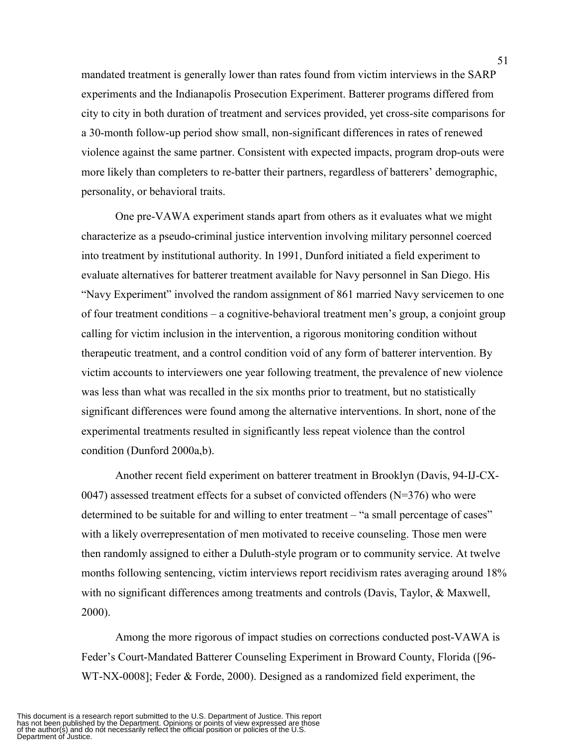mandated treatment is generally lower than rates found from victim interviews in the SARP experiments and the Indianapolis Prosecution Experiment. Batterer programs differed from city to city in both duration of treatment and services provided, yet cross-site comparisons for a 30-month follow-up period show small, non-significant differences in rates of renewed violence against the same partner. Consistent with expected impacts, program drop-outs were more likely than completers to re-batter their partners, regardless of batterers' demographic, personality, or behavioral traits.

One pre-VAWA experiment stands apart from others as it evaluates what we might characterize as a pseudo-criminal justice intervention involving military personnel coerced into treatment by institutional authority. In 1991, Dunford initiated a field experiment to evaluate alternatives for batterer treatment available for Navy personnel in San Diego. His "Navy Experiment" involved the random assignment of 861 married Navy servicemen to one of four treatment conditions – a cognitive-behavioral treatment men's group, a conjoint group calling for victim inclusion in the intervention, a rigorous monitoring condition without therapeutic treatment, and a control condition void of any form of batterer intervention. By victim accounts to interviewers one year following treatment, the prevalence of new violence was less than what was recalled in the six months prior to treatment, but no statistically significant differences were found among the alternative interventions. In short, none of the experimental treatments resulted in significantly less repeat violence than the control condition (Dunford 2000a,b).

Another recent field experiment on batterer treatment in Brooklyn (Davis, 94-IJ-CX-0047) assessed treatment effects for a subset of convicted offenders (N=376) who were determined to be suitable for and willing to enter treatment – "a small percentage of cases" with a likely overrepresentation of men motivated to receive counseling. Those men were then randomly assigned to either a Duluth-style program or to community service. At twelve months following sentencing, victim interviews report recidivism rates averaging around 18% with no significant differences among treatments and controls (Davis, Taylor, & Maxwell, 2000).

Among the more rigorous of impact studies on corrections conducted post-VAWA is Feder's Court-Mandated Batterer Counseling Experiment in Broward County, Florida ([96- WT-NX-0008]; Feder & Forde, 2000). Designed as a randomized field experiment, the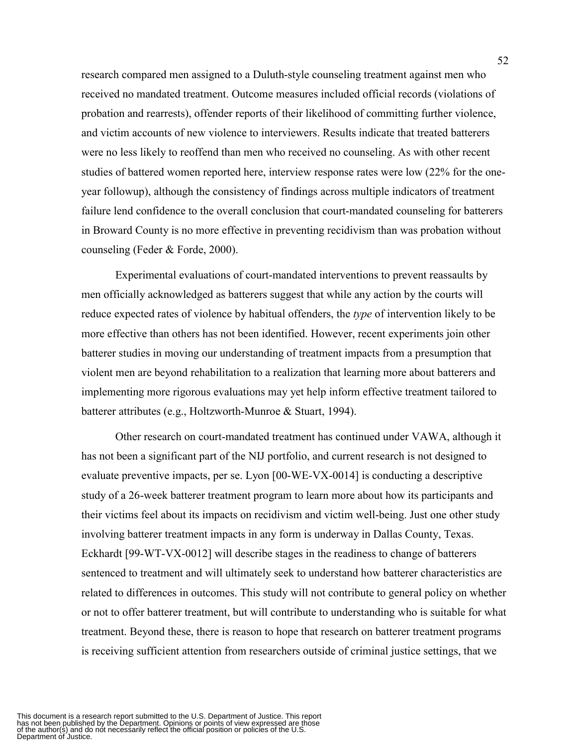research compared men assigned to a Duluth-style counseling treatment against men who received no mandated treatment. Outcome measures included official records (violations of probation and rearrests), offender reports of their likelihood of committing further violence, and victim accounts of new violence to interviewers. Results indicate that treated batterers were no less likely to reoffend than men who received no counseling. As with other recent studies of battered women reported here, interview response rates were low (22% for the oneyear followup), although the consistency of findings across multiple indicators of treatment failure lend confidence to the overall conclusion that court-mandated counseling for batterers in Broward County is no more effective in preventing recidivism than was probation without counseling (Feder & Forde, 2000).

Experimental evaluations of court-mandated interventions to prevent reassaults by men officially acknowledged as batterers suggest that while any action by the courts will reduce expected rates of violence by habitual offenders, the *type* of intervention likely to be more effective than others has not been identified. However, recent experiments join other batterer studies in moving our understanding of treatment impacts from a presumption that violent men are beyond rehabilitation to a realization that learning more about batterers and implementing more rigorous evaluations may yet help inform effective treatment tailored to batterer attributes (e.g., Holtzworth-Munroe & Stuart, 1994).

Other research on court-mandated treatment has continued under VAWA, although it has not been a significant part of the NIJ portfolio, and current research is not designed to evaluate preventive impacts, per se. Lyon [00-WE-VX-0014] is conducting a descriptive study of a 26-week batterer treatment program to learn more about how its participants and their victims feel about its impacts on recidivism and victim well-being. Just one other study involving batterer treatment impacts in any form is underway in Dallas County, Texas. Eckhardt [99-WT-VX-0012] will describe stages in the readiness to change of batterers sentenced to treatment and will ultimately seek to understand how batterer characteristics are related to differences in outcomes. This study will not contribute to general policy on whether or not to offer batterer treatment, but will contribute to understanding who is suitable for what treatment. Beyond these, there is reason to hope that research on batterer treatment programs is receiving sufficient attention from researchers outside of criminal justice settings, that we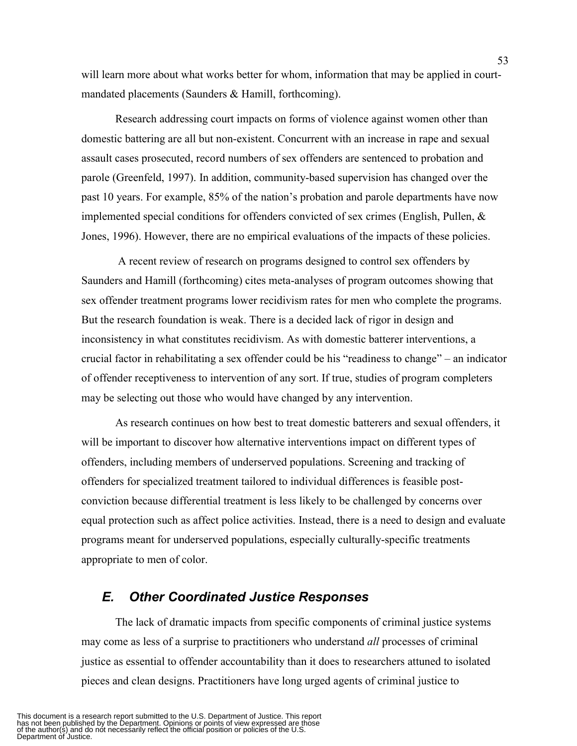will learn more about what works better for whom, information that may be applied in courtmandated placements (Saunders & Hamill, forthcoming).

Research addressing court impacts on forms of violence against women other than domestic battering are all but non-existent. Concurrent with an increase in rape and sexual assault cases prosecuted, record numbers of sex offenders are sentenced to probation and parole (Greenfeld, 1997). In addition, community-based supervision has changed over the past 10 years. For example, 85% of the nation's probation and parole departments have now implemented special conditions for offenders convicted of sex crimes (English, Pullen, & Jones, 1996). However, there are no empirical evaluations of the impacts of these policies.

A recent review of research on programs designed to control sex offenders by Saunders and Hamill (forthcoming) cites meta-analyses of program outcomes showing that sex offender treatment programs lower recidivism rates for men who complete the programs. But the research foundation is weak. There is a decided lack of rigor in design and inconsistency in what constitutes recidivism. As with domestic batterer interventions, a crucial factor in rehabilitating a sex offender could be his "readiness to change" – an indicator of offender receptiveness to intervention of any sort. If true, studies of program completers may be selecting out those who would have changed by any intervention.

As research continues on how best to treat domestic batterers and sexual offenders, it will be important to discover how alternative interventions impact on different types of offenders, including members of underserved populations. Screening and tracking of offenders for specialized treatment tailored to individual differences is feasible postconviction because differential treatment is less likely to be challenged by concerns over equal protection such as affect police activities. Instead, there is a need to design and evaluate programs meant for underserved populations, especially culturally-specific treatments appropriate to men of color.

### *E. Other Coordinated Justice Responses*

The lack of dramatic impacts from specific components of criminal justice systems may come as less of a surprise to practitioners who understand *all* processes of criminal justice as essential to offender accountability than it does to researchers attuned to isolated pieces and clean designs. Practitioners have long urged agents of criminal justice to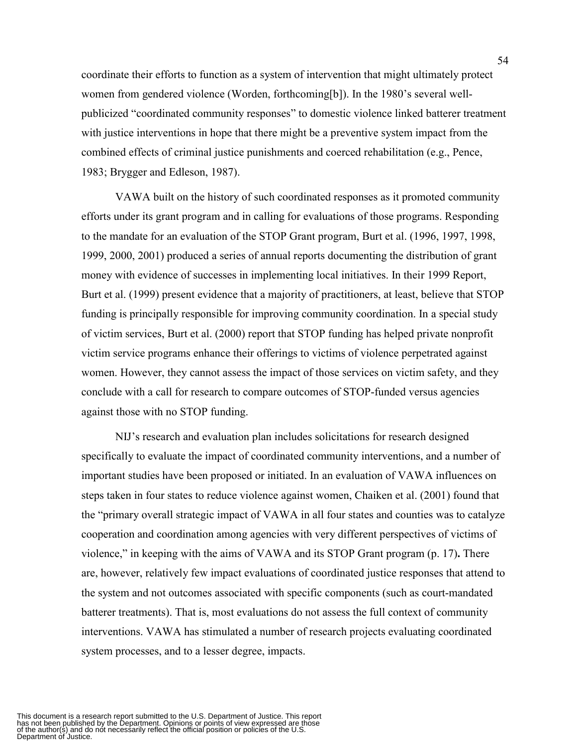coordinate their efforts to function as a system of intervention that might ultimately protect women from gendered violence (Worden, forthcoming[b]). In the 1980's several wellpublicized "coordinated community responses" to domestic violence linked batterer treatment with justice interventions in hope that there might be a preventive system impact from the combined effects of criminal justice punishments and coerced rehabilitation (e.g., Pence, 1983; Brygger and Edleson, 1987).

VAWA built on the history of such coordinated responses as it promoted community efforts under its grant program and in calling for evaluations of those programs. Responding to the mandate for an evaluation of the STOP Grant program, Burt et al. (1996, 1997, 1998, 1999, 2000, 2001) produced a series of annual reports documenting the distribution of grant money with evidence of successes in implementing local initiatives. In their 1999 Report, Burt et al. (1999) present evidence that a majority of practitioners, at least, believe that STOP funding is principally responsible for improving community coordination. In a special study of victim services, Burt et al. (2000) report that STOP funding has helped private nonprofit victim service programs enhance their offerings to victims of violence perpetrated against women. However, they cannot assess the impact of those services on victim safety, and they conclude with a call for research to compare outcomes of STOP-funded versus agencies against those with no STOP funding.

NIJ's research and evaluation plan includes solicitations for research designed specifically to evaluate the impact of coordinated community interventions, and a number of important studies have been proposed or initiated. In an evaluation of VAWA influences on steps taken in four states to reduce violence against women, Chaiken et al. (2001) found that the "primary overall strategic impact of VAWA in all four states and counties was to catalyze cooperation and coordination among agencies with very different perspectives of victims of violence," in keeping with the aims of VAWA and its STOP Grant program (p. 17)**.** There are, however, relatively few impact evaluations of coordinated justice responses that attend to the system and not outcomes associated with specific components (such as court-mandated batterer treatments). That is, most evaluations do not assess the full context of community interventions. VAWA has stimulated a number of research projects evaluating coordinated system processes, and to a lesser degree, impacts.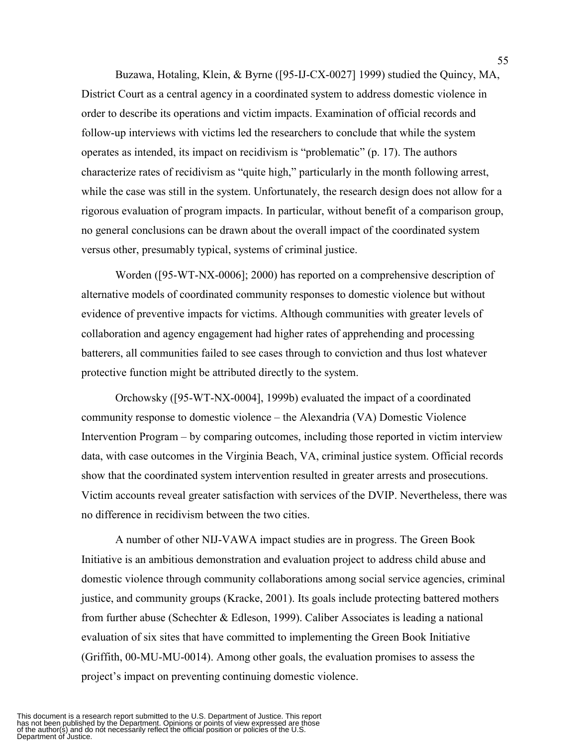Buzawa, Hotaling, Klein, & Byrne ([95-IJ-CX-0027] 1999) studied the Quincy, MA, District Court as a central agency in a coordinated system to address domestic violence in order to describe its operations and victim impacts. Examination of official records and follow-up interviews with victims led the researchers to conclude that while the system operates as intended, its impact on recidivism is "problematic" (p. 17). The authors characterize rates of recidivism as "quite high," particularly in the month following arrest, while the case was still in the system. Unfortunately, the research design does not allow for a rigorous evaluation of program impacts. In particular, without benefit of a comparison group, no general conclusions can be drawn about the overall impact of the coordinated system versus other, presumably typical, systems of criminal justice.

Worden ([95-WT-NX-0006]; 2000) has reported on a comprehensive description of alternative models of coordinated community responses to domestic violence but without evidence of preventive impacts for victims. Although communities with greater levels of collaboration and agency engagement had higher rates of apprehending and processing batterers, all communities failed to see cases through to conviction and thus lost whatever protective function might be attributed directly to the system.

Orchowsky ([95-WT-NX-0004], 1999b) evaluated the impact of a coordinated community response to domestic violence – the Alexandria (VA) Domestic Violence Intervention Program – by comparing outcomes, including those reported in victim interview data, with case outcomes in the Virginia Beach, VA, criminal justice system. Official records show that the coordinated system intervention resulted in greater arrests and prosecutions. Victim accounts reveal greater satisfaction with services of the DVIP. Nevertheless, there was no difference in recidivism between the two cities.

A number of other NIJ-VAWA impact studies are in progress. The Green Book Initiative is an ambitious demonstration and evaluation project to address child abuse and domestic violence through community collaborations among social service agencies, criminal justice, and community groups (Kracke, 2001). Its goals include protecting battered mothers from further abuse (Schechter & Edleson, 1999). Caliber Associates is leading a national evaluation of six sites that have committed to implementing the Green Book Initiative (Griffith, 00-MU-MU-0014). Among other goals, the evaluation promises to assess the project's impact on preventing continuing domestic violence.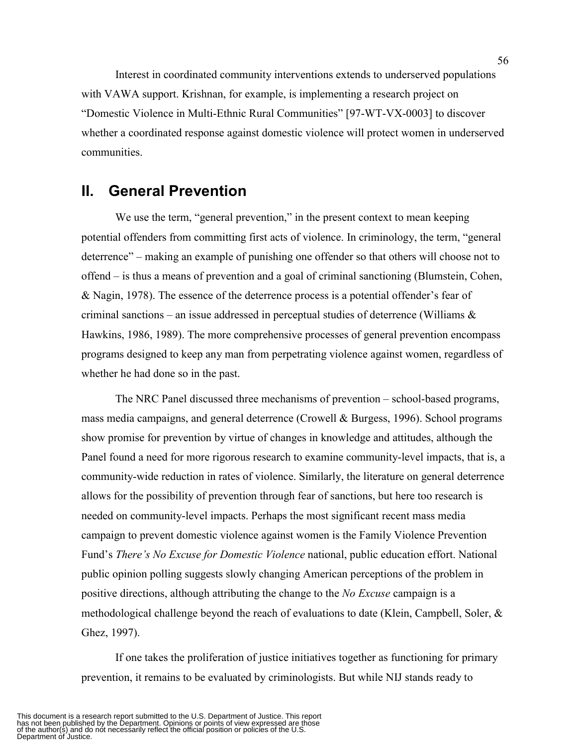Interest in coordinated community interventions extends to underserved populations with VAWA support. Krishnan, for example, is implementing a research project on "Domestic Violence in Multi-Ethnic Rural Communities" [97-WT-VX-0003] to discover whether a coordinated response against domestic violence will protect women in underserved communities.

### **II. General Prevention**

We use the term, "general prevention," in the present context to mean keeping potential offenders from committing first acts of violence. In criminology, the term, "general deterrence" – making an example of punishing one offender so that others will choose not to offend – is thus a means of prevention and a goal of criminal sanctioning (Blumstein, Cohen, & Nagin, 1978). The essence of the deterrence process is a potential offender's fear of criminal sanctions – an issue addressed in perceptual studies of deterrence (Williams  $\&$ Hawkins, 1986, 1989). The more comprehensive processes of general prevention encompass programs designed to keep any man from perpetrating violence against women, regardless of whether he had done so in the past.

The NRC Panel discussed three mechanisms of prevention – school-based programs, mass media campaigns, and general deterrence (Crowell  $\&$  Burgess, 1996). School programs show promise for prevention by virtue of changes in knowledge and attitudes, although the Panel found a need for more rigorous research to examine community-level impacts, that is, a community-wide reduction in rates of violence. Similarly, the literature on general deterrence allows for the possibility of prevention through fear of sanctions, but here too research is needed on community-level impacts. Perhaps the most significant recent mass media campaign to prevent domestic violence against women is the Family Violence Prevention Fund's *There's No Excuse for Domestic Violence* national, public education effort. National public opinion polling suggests slowly changing American perceptions of the problem in positive directions, although attributing the change to the *No Excuse* campaign is a methodological challenge beyond the reach of evaluations to date (Klein, Campbell, Soler, & Ghez, 1997).

If one takes the proliferation of justice initiatives together as functioning for primary prevention, it remains to be evaluated by criminologists. But while NIJ stands ready to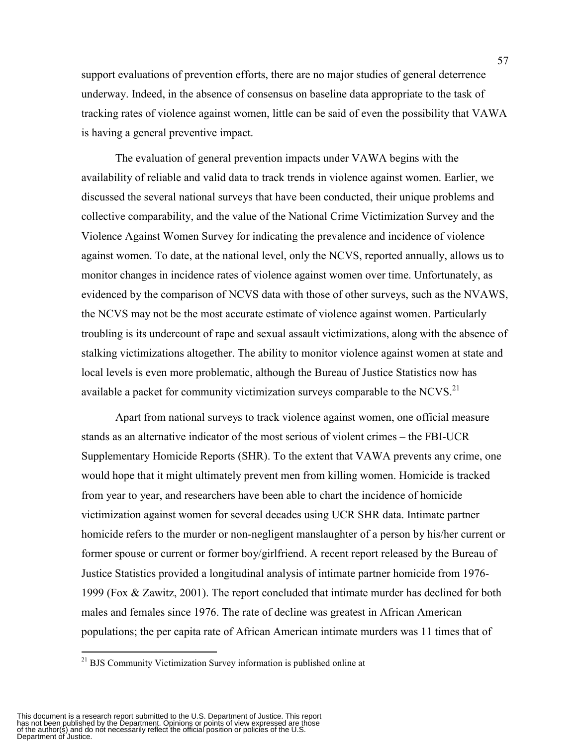support evaluations of prevention efforts, there are no major studies of general deterrence underway. Indeed, in the absence of consensus on baseline data appropriate to the task of tracking rates of violence against women, little can be said of even the possibility that VAWA is having a general preventive impact.

The evaluation of general prevention impacts under VAWA begins with the availability of reliable and valid data to track trends in violence against women. Earlier, we discussed the several national surveys that have been conducted, their unique problems and collective comparability, and the value of the National Crime Victimization Survey and the Violence Against Women Survey for indicating the prevalence and incidence of violence against women. To date, at the national level, only the NCVS, reported annually, allows us to monitor changes in incidence rates of violence against women over time. Unfortunately, as evidenced by the comparison of NCVS data with those of other surveys, such as the NVAWS, the NCVS may not be the most accurate estimate of violence against women. Particularly troubling is its undercount of rape and sexual assault victimizations, along with the absence of stalking victimizations altogether. The ability to monitor violence against women at state and local levels is even more problematic, although the Bureau of Justice Statistics now has available a packet for community victimization surveys comparable to the NCVS.<sup>21</sup>

Apart from national surveys to track violence against women, one official measure stands as an alternative indicator of the most serious of violent crimes – the FBI-UCR Supplementary Homicide Reports (SHR). To the extent that VAWA prevents any crime, one would hope that it might ultimately prevent men from killing women. Homicide is tracked from year to year, and researchers have been able to chart the incidence of homicide victimization against women for several decades using UCR SHR data. Intimate partner homicide refers to the murder or non-negligent manslaughter of a person by his/her current or former spouse or current or former boy/girlfriend. A recent report released by the Bureau of Justice Statistics provided a longitudinal analysis of intimate partner homicide from 1976- 1999 (Fox & Zawitz, 2001). The report concluded that intimate murder has declined for both males and females since 1976. The rate of decline was greatest in African American populations; the per capita rate of African American intimate murders was 11 times that of

<sup>&</sup>lt;sup>21</sup> BJS Community Victimization Survey information is published online at

This document is a research report submitted to the U.S. Department of Justice. This report<br>has not been published by the Department. Opinions or points of view expressed are those<br>of the author(s) and do not necessarily r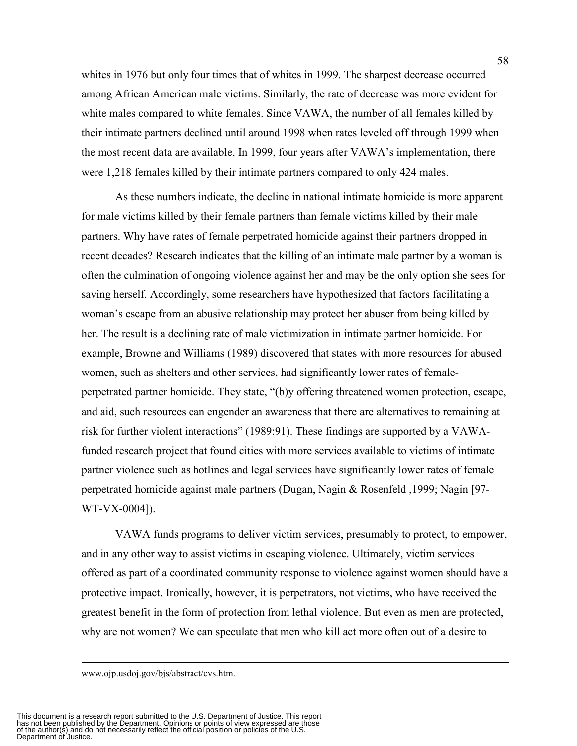whites in 1976 but only four times that of whites in 1999. The sharpest decrease occurred among African American male victims. Similarly, the rate of decrease was more evident for white males compared to white females. Since VAWA, the number of all females killed by their intimate partners declined until around 1998 when rates leveled off through 1999 when the most recent data are available. In 1999, four years after VAWA's implementation, there were 1,218 females killed by their intimate partners compared to only 424 males.

As these numbers indicate, the decline in national intimate homicide is more apparent for male victims killed by their female partners than female victims killed by their male partners. Why have rates of female perpetrated homicide against their partners dropped in recent decades? Research indicates that the killing of an intimate male partner by a woman is often the culmination of ongoing violence against her and may be the only option she sees for saving herself. Accordingly, some researchers have hypothesized that factors facilitating a woman's escape from an abusive relationship may protect her abuser from being killed by her. The result is a declining rate of male victimization in intimate partner homicide. For example, Browne and Williams (1989) discovered that states with more resources for abused women, such as shelters and other services, had significantly lower rates of femaleperpetrated partner homicide. They state, "(b)y offering threatened women protection, escape, and aid, such resources can engender an awareness that there are alternatives to remaining at risk for further violent interactions" (1989:91). These findings are supported by a VAWAfunded research project that found cities with more services available to victims of intimate partner violence such as hotlines and legal services have significantly lower rates of female perpetrated homicide against male partners (Dugan, Nagin & Rosenfeld ,1999; Nagin [97- WT-VX-0004]).

VAWA funds programs to deliver victim services, presumably to protect, to empower, and in any other way to assist victims in escaping violence. Ultimately, victim services offered as part of a coordinated community response to violence against women should have a protective impact. Ironically, however, it is perpetrators, not victims, who have received the greatest benefit in the form of protection from lethal violence. But even as men are protected, why are not women? We can speculate that men who kill act more often out of a desire to

www.ojp.usdoj.gov/bjs/abstract/cvs.htm.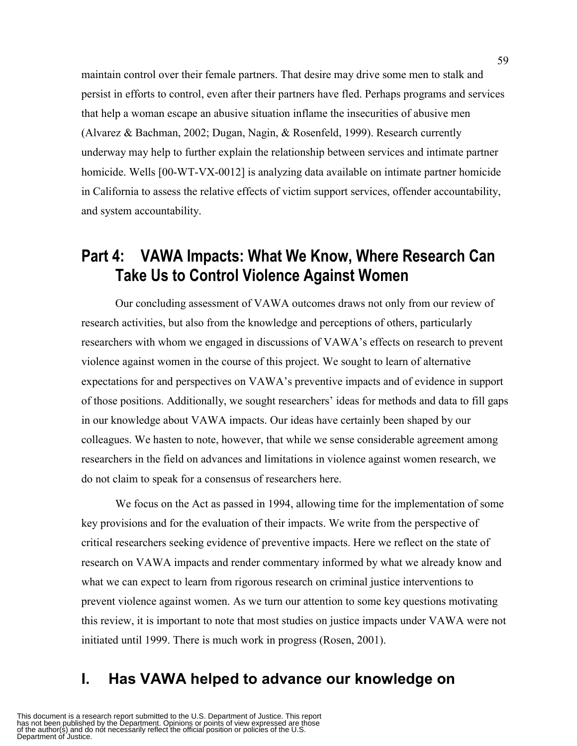maintain control over their female partners. That desire may drive some men to stalk and persist in efforts to control, even after their partners have fled. Perhaps programs and services that help a woman escape an abusive situation inflame the insecurities of abusive men (Alvarez & Bachman, 2002; Dugan, Nagin, & Rosenfeld, 1999). Research currently underway may help to further explain the relationship between services and intimate partner homicide. Wells [00-WT-VX-0012] is analyzing data available on intimate partner homicide in California to assess the relative effects of victim support services, offender accountability, and system accountability.

# **Part 4: VAWA Impacts: What We Know, Where Research Can Take Us to Control Violence Against Women**

Our concluding assessment of VAWA outcomes draws not only from our review of research activities, but also from the knowledge and perceptions of others, particularly researchers with whom we engaged in discussions of VAWA's effects on research to prevent violence against women in the course of this project. We sought to learn of alternative expectations for and perspectives on VAWA's preventive impacts and of evidence in support of those positions. Additionally, we sought researchers' ideas for methods and data to fill gaps in our knowledge about VAWA impacts. Our ideas have certainly been shaped by our colleagues. We hasten to note, however, that while we sense considerable agreement among researchers in the field on advances and limitations in violence against women research, we do not claim to speak for a consensus of researchers here.

We focus on the Act as passed in 1994, allowing time for the implementation of some key provisions and for the evaluation of their impacts. We write from the perspective of critical researchers seeking evidence of preventive impacts. Here we reflect on the state of research on VAWA impacts and render commentary informed by what we already know and what we can expect to learn from rigorous research on criminal justice interventions to prevent violence against women. As we turn our attention to some key questions motivating this review, it is important to note that most studies on justice impacts under VAWA were not initiated until 1999. There is much work in progress (Rosen, 2001).

## **I. Has VAWA helped to advance our knowledge on**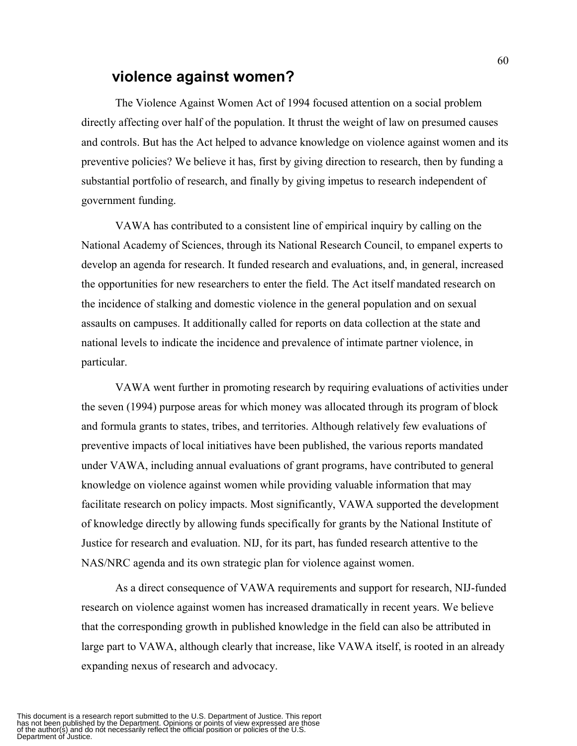### **violence against women?**

The Violence Against Women Act of 1994 focused attention on a social problem directly affecting over half of the population. It thrust the weight of law on presumed causes and controls. But has the Act helped to advance knowledge on violence against women and its preventive policies? We believe it has, first by giving direction to research, then by funding a substantial portfolio of research, and finally by giving impetus to research independent of government funding.

VAWA has contributed to a consistent line of empirical inquiry by calling on the National Academy of Sciences, through its National Research Council, to empanel experts to develop an agenda for research. It funded research and evaluations, and, in general, increased the opportunities for new researchers to enter the field. The Act itself mandated research on the incidence of stalking and domestic violence in the general population and on sexual assaults on campuses. It additionally called for reports on data collection at the state and national levels to indicate the incidence and prevalence of intimate partner violence, in particular.

VAWA went further in promoting research by requiring evaluations of activities under the seven (1994) purpose areas for which money was allocated through its program of block and formula grants to states, tribes, and territories. Although relatively few evaluations of preventive impacts of local initiatives have been published, the various reports mandated under VAWA, including annual evaluations of grant programs, have contributed to general knowledge on violence against women while providing valuable information that may facilitate research on policy impacts. Most significantly, VAWA supported the development of knowledge directly by allowing funds specifically for grants by the National Institute of Justice for research and evaluation. NIJ, for its part, has funded research attentive to the NAS/NRC agenda and its own strategic plan for violence against women.

As a direct consequence of VAWA requirements and support for research, NIJ-funded research on violence against women has increased dramatically in recent years. We believe that the corresponding growth in published knowledge in the field can also be attributed in large part to VAWA, although clearly that increase, like VAWA itself, is rooted in an already expanding nexus of research and advocacy.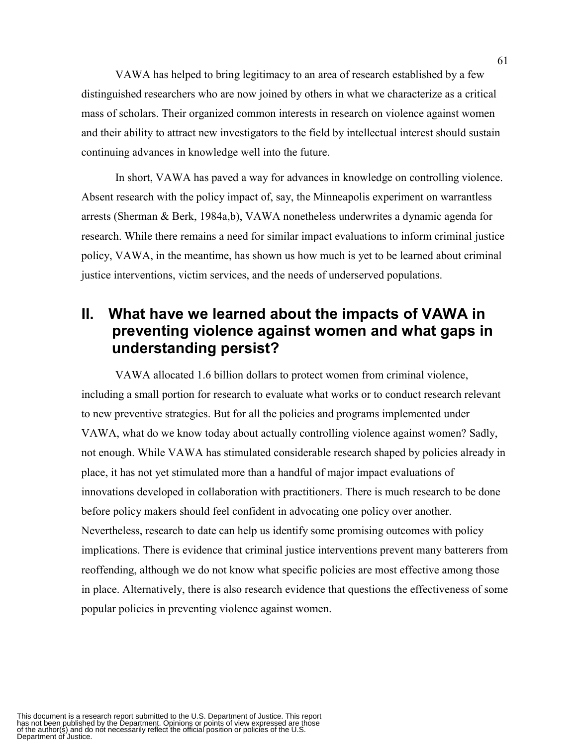VAWA has helped to bring legitimacy to an area of research established by a few distinguished researchers who are now joined by others in what we characterize as a critical mass of scholars. Their organized common interests in research on violence against women and their ability to attract new investigators to the field by intellectual interest should sustain continuing advances in knowledge well into the future.

In short, VAWA has paved a way for advances in knowledge on controlling violence. Absent research with the policy impact of, say, the Minneapolis experiment on warrantless arrests (Sherman & Berk, 1984a,b), VAWA nonetheless underwrites a dynamic agenda for research. While there remains a need for similar impact evaluations to inform criminal justice policy, VAWA, in the meantime, has shown us how much is yet to be learned about criminal justice interventions, victim services, and the needs of underserved populations.

# **II. What have we learned about the impacts of VAWA in preventing violence against women and what gaps in understanding persist?**

VAWA allocated 1.6 billion dollars to protect women from criminal violence, including a small portion for research to evaluate what works or to conduct research relevant to new preventive strategies. But for all the policies and programs implemented under VAWA, what do we know today about actually controlling violence against women? Sadly, not enough. While VAWA has stimulated considerable research shaped by policies already in place, it has not yet stimulated more than a handful of major impact evaluations of innovations developed in collaboration with practitioners. There is much research to be done before policy makers should feel confident in advocating one policy over another. Nevertheless, research to date can help us identify some promising outcomes with policy implications. There is evidence that criminal justice interventions prevent many batterers from reoffending, although we do not know what specific policies are most effective among those in place. Alternatively, there is also research evidence that questions the effectiveness of some popular policies in preventing violence against women.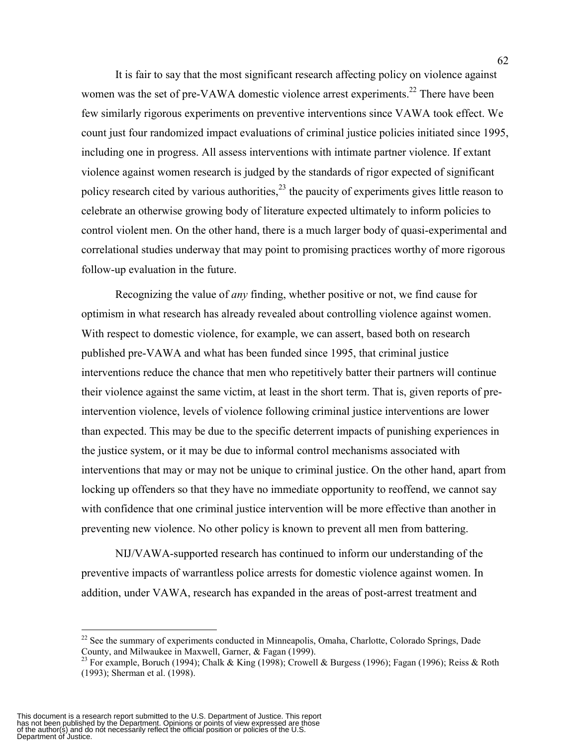It is fair to say that the most significant research affecting policy on violence against women was the set of pre-VAWA domestic violence arrest experiments.<sup>22</sup> There have been few similarly rigorous experiments on preventive interventions since VAWA took effect. We count just four randomized impact evaluations of criminal justice policies initiated since 1995, including one in progress. All assess interventions with intimate partner violence. If extant violence against women research is judged by the standards of rigor expected of significant policy research cited by various authorities,  $^{23}$  the paucity of experiments gives little reason to celebrate an otherwise growing body of literature expected ultimately to inform policies to control violent men. On the other hand, there is a much larger body of quasi-experimental and correlational studies underway that may point to promising practices worthy of more rigorous follow-up evaluation in the future.

Recognizing the value of *any* finding, whether positive or not, we find cause for optimism in what research has already revealed about controlling violence against women. With respect to domestic violence, for example, we can assert, based both on research published pre-VAWA and what has been funded since 1995, that criminal justice interventions reduce the chance that men who repetitively batter their partners will continue their violence against the same victim, at least in the short term. That is, given reports of preintervention violence, levels of violence following criminal justice interventions are lower than expected. This may be due to the specific deterrent impacts of punishing experiences in the justice system, or it may be due to informal control mechanisms associated with interventions that may or may not be unique to criminal justice. On the other hand, apart from locking up offenders so that they have no immediate opportunity to reoffend, we cannot say with confidence that one criminal justice intervention will be more effective than another in preventing new violence. No other policy is known to prevent all men from battering.

NIJ/VAWA-supported research has continued to inform our understanding of the preventive impacts of warrantless police arrests for domestic violence against women. In addition, under VAWA, research has expanded in the areas of post-arrest treatment and

This document is a research report submitted to the U.S. Department of Justice. This report<br>has not been published by the Department. Opinions or points of view expressed are those<br>of the author(s) and do not necessarily r

<sup>&</sup>lt;sup>22</sup> See the summary of experiments conducted in Minneapolis, Omaha, Charlotte, Colorado Springs, Dade County, and Milwaukee in Maxwell, Garner, & Fagan (1999).<br><sup>23</sup> For example, Boruch (1994); Chalk & King (1998); Crowell & Burgess (1996); Fagan (1996); Reiss & Roth

<sup>(1993);</sup> Sherman et al. (1998).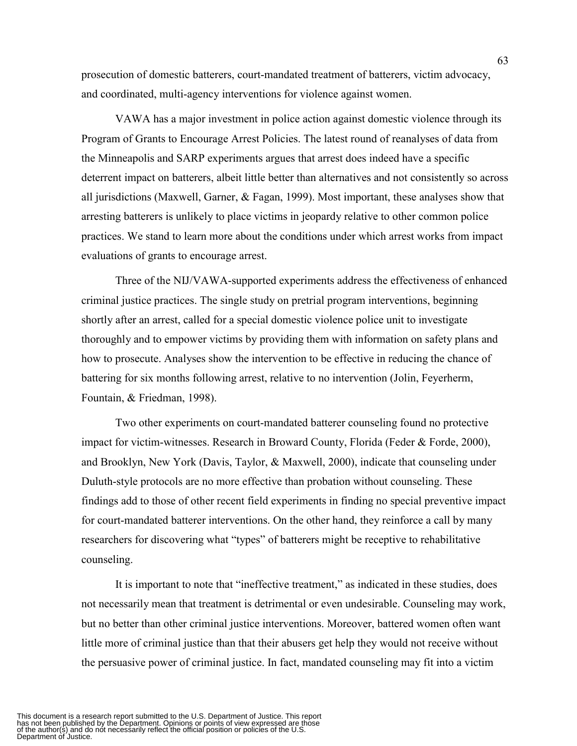prosecution of domestic batterers, court-mandated treatment of batterers, victim advocacy, and coordinated, multi-agency interventions for violence against women.

VAWA has a major investment in police action against domestic violence through its Program of Grants to Encourage Arrest Policies. The latest round of reanalyses of data from the Minneapolis and SARP experiments argues that arrest does indeed have a specific deterrent impact on batterers, albeit little better than alternatives and not consistently so across all jurisdictions (Maxwell, Garner, & Fagan, 1999). Most important, these analyses show that arresting batterers is unlikely to place victims in jeopardy relative to other common police practices. We stand to learn more about the conditions under which arrest works from impact evaluations of grants to encourage arrest.

Three of the NIJ/VAWA-supported experiments address the effectiveness of enhanced criminal justice practices. The single study on pretrial program interventions, beginning shortly after an arrest, called for a special domestic violence police unit to investigate thoroughly and to empower victims by providing them with information on safety plans and how to prosecute. Analyses show the intervention to be effective in reducing the chance of battering for six months following arrest, relative to no intervention (Jolin, Feyerherm, Fountain, & Friedman, 1998).

Two other experiments on court-mandated batterer counseling found no protective impact for victim-witnesses. Research in Broward County, Florida (Feder & Forde, 2000), and Brooklyn, New York (Davis, Taylor, & Maxwell, 2000), indicate that counseling under Duluth-style protocols are no more effective than probation without counseling. These findings add to those of other recent field experiments in finding no special preventive impact for court-mandated batterer interventions. On the other hand, they reinforce a call by many researchers for discovering what "types" of batterers might be receptive to rehabilitative counseling.

It is important to note that "ineffective treatment," as indicated in these studies, does not necessarily mean that treatment is detrimental or even undesirable. Counseling may work, but no better than other criminal justice interventions. Moreover, battered women often want little more of criminal justice than that their abusers get help they would not receive without the persuasive power of criminal justice. In fact, mandated counseling may fit into a victim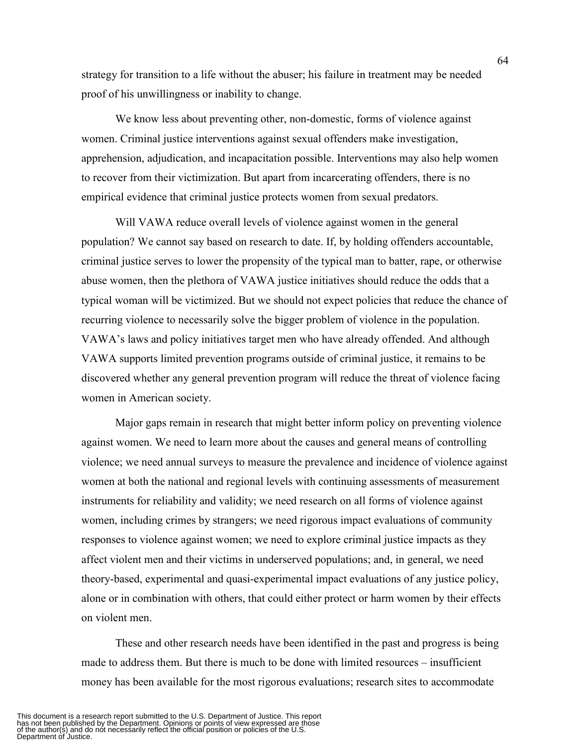strategy for transition to a life without the abuser; his failure in treatment may be needed proof of his unwillingness or inability to change.

We know less about preventing other, non-domestic, forms of violence against women. Criminal justice interventions against sexual offenders make investigation, apprehension, adjudication, and incapacitation possible. Interventions may also help women to recover from their victimization. But apart from incarcerating offenders, there is no empirical evidence that criminal justice protects women from sexual predators.

Will VAWA reduce overall levels of violence against women in the general population? We cannot say based on research to date. If, by holding offenders accountable, criminal justice serves to lower the propensity of the typical man to batter, rape, or otherwise abuse women, then the plethora of VAWA justice initiatives should reduce the odds that a typical woman will be victimized. But we should not expect policies that reduce the chance of recurring violence to necessarily solve the bigger problem of violence in the population. VAWA's laws and policy initiatives target men who have already offended. And although VAWA supports limited prevention programs outside of criminal justice, it remains to be discovered whether any general prevention program will reduce the threat of violence facing women in American society.

Major gaps remain in research that might better inform policy on preventing violence against women. We need to learn more about the causes and general means of controlling violence; we need annual surveys to measure the prevalence and incidence of violence against women at both the national and regional levels with continuing assessments of measurement instruments for reliability and validity; we need research on all forms of violence against women, including crimes by strangers; we need rigorous impact evaluations of community responses to violence against women; we need to explore criminal justice impacts as they affect violent men and their victims in underserved populations; and, in general, we need theory-based, experimental and quasi-experimental impact evaluations of any justice policy, alone or in combination with others, that could either protect or harm women by their effects on violent men.

These and other research needs have been identified in the past and progress is being made to address them. But there is much to be done with limited resources – insufficient money has been available for the most rigorous evaluations; research sites to accommodate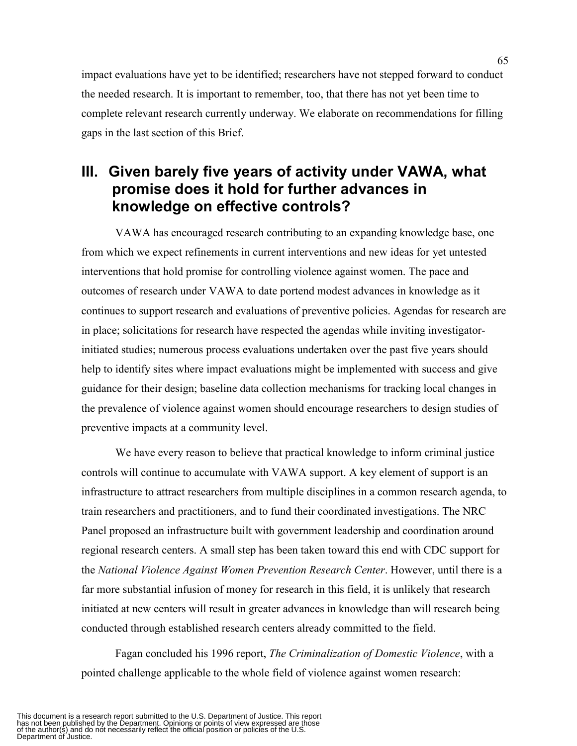impact evaluations have yet to be identified; researchers have not stepped forward to conduct the needed research. It is important to remember, too, that there has not yet been time to complete relevant research currently underway. We elaborate on recommendations for filling gaps in the last section of this Brief.

# **III. Given barely five years of activity under VAWA, what promise does it hold for further advances in knowledge on effective controls?**

VAWA has encouraged research contributing to an expanding knowledge base, one from which we expect refinements in current interventions and new ideas for yet untested interventions that hold promise for controlling violence against women. The pace and outcomes of research under VAWA to date portend modest advances in knowledge as it continues to support research and evaluations of preventive policies. Agendas for research are in place; solicitations for research have respected the agendas while inviting investigatorinitiated studies; numerous process evaluations undertaken over the past five years should help to identify sites where impact evaluations might be implemented with success and give guidance for their design; baseline data collection mechanisms for tracking local changes in the prevalence of violence against women should encourage researchers to design studies of preventive impacts at a community level.

We have every reason to believe that practical knowledge to inform criminal justice controls will continue to accumulate with VAWA support. A key element of support is an infrastructure to attract researchers from multiple disciplines in a common research agenda, to train researchers and practitioners, and to fund their coordinated investigations. The NRC Panel proposed an infrastructure built with government leadership and coordination around regional research centers. A small step has been taken toward this end with CDC support for the *National Violence Against Women Prevention Research Center*. However, until there is a far more substantial infusion of money for research in this field, it is unlikely that research initiated at new centers will result in greater advances in knowledge than will research being conducted through established research centers already committed to the field.

Fagan concluded his 1996 report, *The Criminalization of Domestic Violence*, with a pointed challenge applicable to the whole field of violence against women research: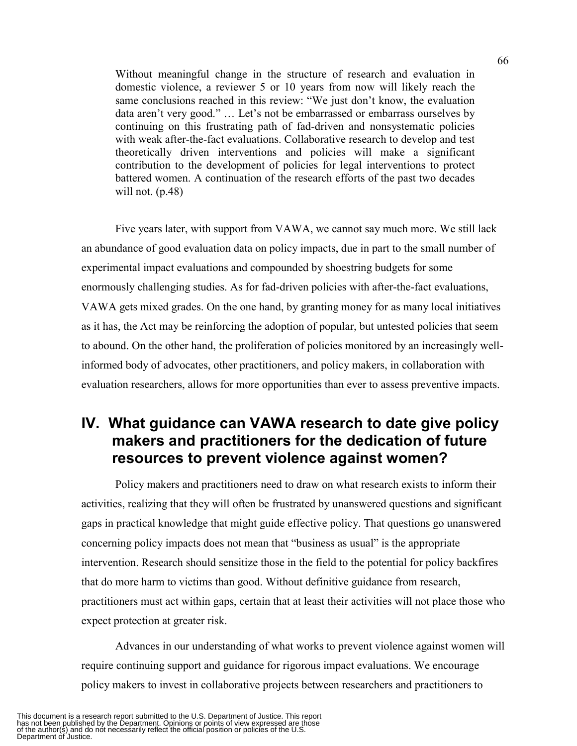Without meaningful change in the structure of research and evaluation in domestic violence, a reviewer 5 or 10 years from now will likely reach the same conclusions reached in this review: "We just don't know, the evaluation data aren't very good." … Let's not be embarrassed or embarrass ourselves by continuing on this frustrating path of fad-driven and nonsystematic policies with weak after-the-fact evaluations. Collaborative research to develop and test theoretically driven interventions and policies will make a significant contribution to the development of policies for legal interventions to protect battered women. A continuation of the research efforts of the past two decades will not. (p.48)

Five years later, with support from VAWA, we cannot say much more. We still lack an abundance of good evaluation data on policy impacts, due in part to the small number of experimental impact evaluations and compounded by shoestring budgets for some enormously challenging studies. As for fad-driven policies with after-the-fact evaluations, VAWA gets mixed grades. On the one hand, by granting money for as many local initiatives as it has, the Act may be reinforcing the adoption of popular, but untested policies that seem to abound. On the other hand, the proliferation of policies monitored by an increasingly wellinformed body of advocates, other practitioners, and policy makers, in collaboration with evaluation researchers, allows for more opportunities than ever to assess preventive impacts.

# **IV. What guidance can VAWA research to date give policy makers and practitioners for the dedication of future resources to prevent violence against women?**

Policy makers and practitioners need to draw on what research exists to inform their activities, realizing that they will often be frustrated by unanswered questions and significant gaps in practical knowledge that might guide effective policy. That questions go unanswered concerning policy impacts does not mean that "business as usual" is the appropriate intervention. Research should sensitize those in the field to the potential for policy backfires that do more harm to victims than good. Without definitive guidance from research, practitioners must act within gaps, certain that at least their activities will not place those who expect protection at greater risk.

Advances in our understanding of what works to prevent violence against women will require continuing support and guidance for rigorous impact evaluations. We encourage policy makers to invest in collaborative projects between researchers and practitioners to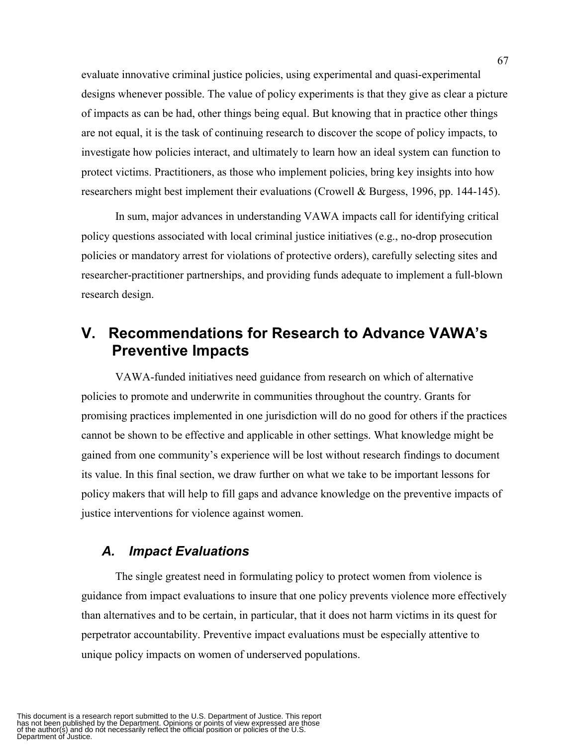evaluate innovative criminal justice policies, using experimental and quasi-experimental designs whenever possible. The value of policy experiments is that they give as clear a picture of impacts as can be had, other things being equal. But knowing that in practice other things are not equal, it is the task of continuing research to discover the scope of policy impacts, to investigate how policies interact, and ultimately to learn how an ideal system can function to protect victims. Practitioners, as those who implement policies, bring key insights into how researchers might best implement their evaluations (Crowell & Burgess, 1996, pp. 144-145).

In sum, major advances in understanding VAWA impacts call for identifying critical policy questions associated with local criminal justice initiatives (e.g., no-drop prosecution policies or mandatory arrest for violations of protective orders), carefully selecting sites and researcher-practitioner partnerships, and providing funds adequate to implement a full-blown research design.

## **V. Recommendations for Research to Advance VAWA's Preventive Impacts**

VAWA-funded initiatives need guidance from research on which of alternative policies to promote and underwrite in communities throughout the country. Grants for promising practices implemented in one jurisdiction will do no good for others if the practices cannot be shown to be effective and applicable in other settings. What knowledge might be gained from one community's experience will be lost without research findings to document its value. In this final section, we draw further on what we take to be important lessons for policy makers that will help to fill gaps and advance knowledge on the preventive impacts of justice interventions for violence against women.

### *A. Impact Evaluations*

The single greatest need in formulating policy to protect women from violence is guidance from impact evaluations to insure that one policy prevents violence more effectively than alternatives and to be certain, in particular, that it does not harm victims in its quest for perpetrator accountability. Preventive impact evaluations must be especially attentive to unique policy impacts on women of underserved populations.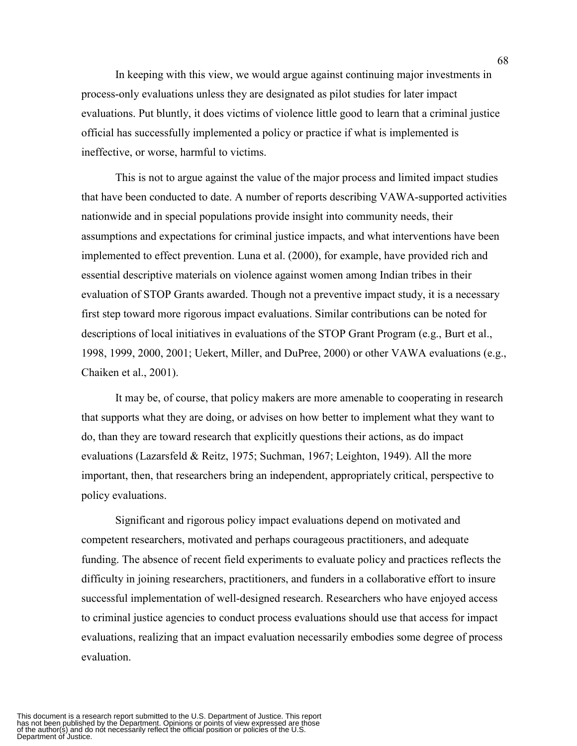In keeping with this view, we would argue against continuing major investments in process-only evaluations unless they are designated as pilot studies for later impact evaluations. Put bluntly, it does victims of violence little good to learn that a criminal justice official has successfully implemented a policy or practice if what is implemented is ineffective, or worse, harmful to victims.

This is not to argue against the value of the major process and limited impact studies that have been conducted to date. A number of reports describing VAWA-supported activities nationwide and in special populations provide insight into community needs, their assumptions and expectations for criminal justice impacts, and what interventions have been implemented to effect prevention. Luna et al. (2000), for example, have provided rich and essential descriptive materials on violence against women among Indian tribes in their evaluation of STOP Grants awarded. Though not a preventive impact study, it is a necessary first step toward more rigorous impact evaluations. Similar contributions can be noted for descriptions of local initiatives in evaluations of the STOP Grant Program (e.g., Burt et al., 1998, 1999, 2000, 2001; Uekert, Miller, and DuPree, 2000) or other VAWA evaluations (e.g., Chaiken et al., 2001).

It may be, of course, that policy makers are more amenable to cooperating in research that supports what they are doing, or advises on how better to implement what they want to do, than they are toward research that explicitly questions their actions, as do impact evaluations (Lazarsfeld & Reitz, 1975; Suchman, 1967; Leighton, 1949). All the more important, then, that researchers bring an independent, appropriately critical, perspective to policy evaluations.

Significant and rigorous policy impact evaluations depend on motivated and competent researchers, motivated and perhaps courageous practitioners, and adequate funding. The absence of recent field experiments to evaluate policy and practices reflects the difficulty in joining researchers, practitioners, and funders in a collaborative effort to insure successful implementation of well-designed research. Researchers who have enjoyed access to criminal justice agencies to conduct process evaluations should use that access for impact evaluations, realizing that an impact evaluation necessarily embodies some degree of process evaluation.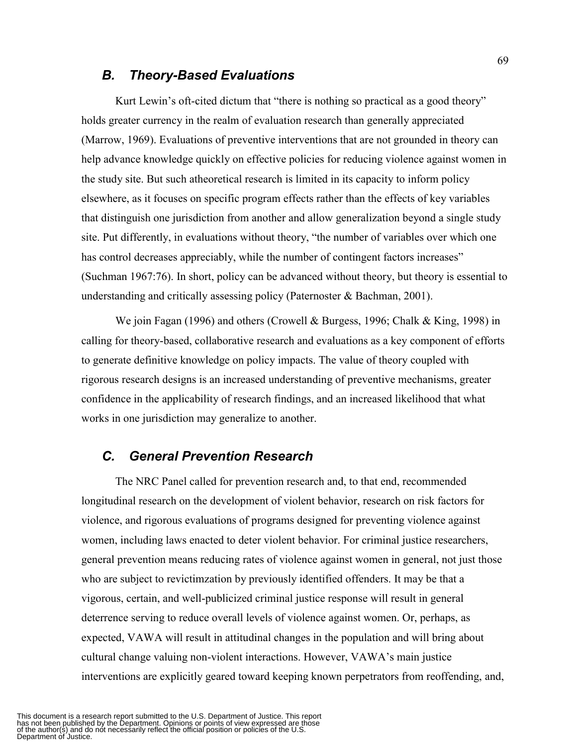### *B. Theory-Based Evaluations*

Kurt Lewin's oft-cited dictum that "there is nothing so practical as a good theory" holds greater currency in the realm of evaluation research than generally appreciated (Marrow, 1969). Evaluations of preventive interventions that are not grounded in theory can help advance knowledge quickly on effective policies for reducing violence against women in the study site. But such atheoretical research is limited in its capacity to inform policy elsewhere, as it focuses on specific program effects rather than the effects of key variables that distinguish one jurisdiction from another and allow generalization beyond a single study site. Put differently, in evaluations without theory, "the number of variables over which one has control decreases appreciably, while the number of contingent factors increases" (Suchman 1967:76). In short, policy can be advanced without theory, but theory is essential to understanding and critically assessing policy (Paternoster & Bachman, 2001).

We join Fagan (1996) and others (Crowell & Burgess, 1996; Chalk & King, 1998) in calling for theory-based, collaborative research and evaluations as a key component of efforts to generate definitive knowledge on policy impacts. The value of theory coupled with rigorous research designs is an increased understanding of preventive mechanisms, greater confidence in the applicability of research findings, and an increased likelihood that what works in one jurisdiction may generalize to another.

### *C. General Prevention Research*

The NRC Panel called for prevention research and, to that end, recommended longitudinal research on the development of violent behavior, research on risk factors for violence, and rigorous evaluations of programs designed for preventing violence against women, including laws enacted to deter violent behavior. For criminal justice researchers, general prevention means reducing rates of violence against women in general, not just those who are subject to revictimzation by previously identified offenders. It may be that a vigorous, certain, and well-publicized criminal justice response will result in general deterrence serving to reduce overall levels of violence against women. Or, perhaps, as expected, VAWA will result in attitudinal changes in the population and will bring about cultural change valuing non-violent interactions. However, VAWA's main justice interventions are explicitly geared toward keeping known perpetrators from reoffending, and,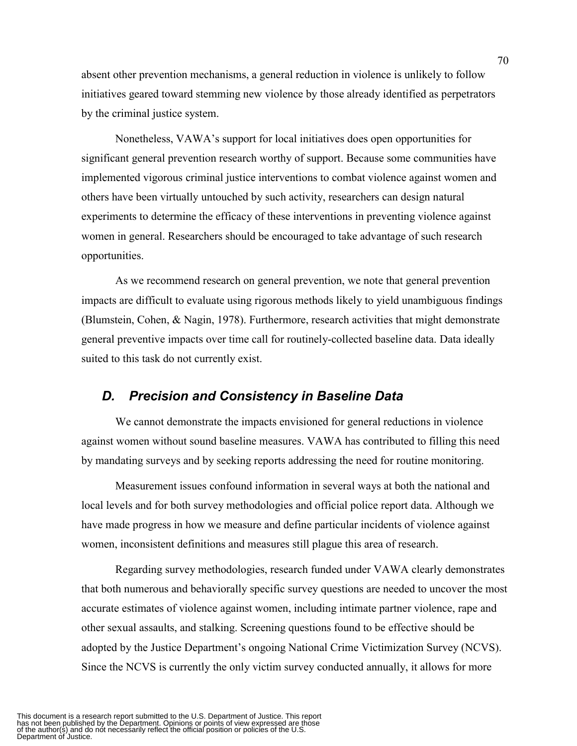absent other prevention mechanisms, a general reduction in violence is unlikely to follow initiatives geared toward stemming new violence by those already identified as perpetrators by the criminal justice system.

Nonetheless, VAWA's support for local initiatives does open opportunities for significant general prevention research worthy of support. Because some communities have implemented vigorous criminal justice interventions to combat violence against women and others have been virtually untouched by such activity, researchers can design natural experiments to determine the efficacy of these interventions in preventing violence against women in general. Researchers should be encouraged to take advantage of such research opportunities.

As we recommend research on general prevention, we note that general prevention impacts are difficult to evaluate using rigorous methods likely to yield unambiguous findings (Blumstein, Cohen, & Nagin, 1978). Furthermore, research activities that might demonstrate general preventive impacts over time call for routinely-collected baseline data. Data ideally suited to this task do not currently exist.

## *D. Precision and Consistency in Baseline Data*

We cannot demonstrate the impacts envisioned for general reductions in violence against women without sound baseline measures. VAWA has contributed to filling this need by mandating surveys and by seeking reports addressing the need for routine monitoring.

Measurement issues confound information in several ways at both the national and local levels and for both survey methodologies and official police report data. Although we have made progress in how we measure and define particular incidents of violence against women, inconsistent definitions and measures still plague this area of research.

Regarding survey methodologies, research funded under VAWA clearly demonstrates that both numerous and behaviorally specific survey questions are needed to uncover the most accurate estimates of violence against women, including intimate partner violence, rape and other sexual assaults, and stalking. Screening questions found to be effective should be adopted by the Justice Department's ongoing National Crime Victimization Survey (NCVS). Since the NCVS is currently the only victim survey conducted annually, it allows for more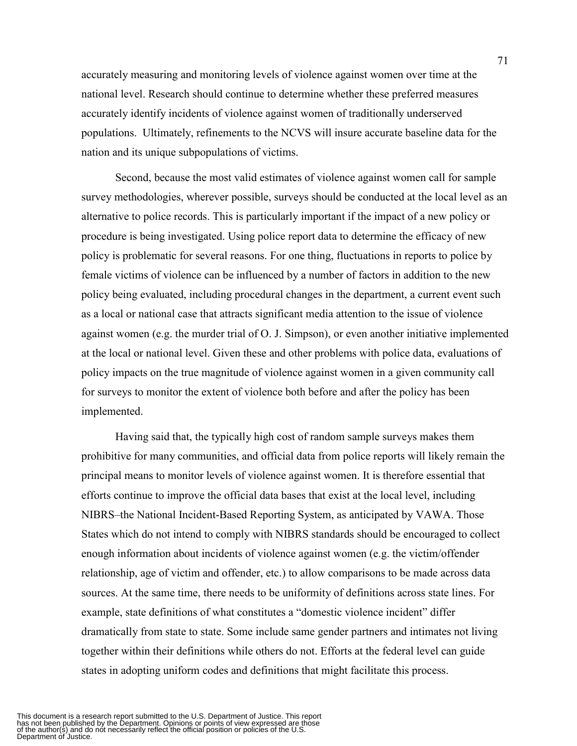accurately measuring and monitoring levels of violence against women over time at the national level. Research should continue to determine whether these preferred measures accurately identify incidents of violence against women of traditionally underserved populations. Ultimately, refinements to the NCVS will insure accurate baseline data for the nation and its unique subpopulations of victims.

Second, because the most valid estimates of violence against women call for sample survey methodologies, wherever possible, surveys should be conducted at the local level as an alternative to police records. This is particularly important if the impact of a new policy or procedure is being investigated. Using police report data to determine the efficacy of new policy is problematic for several reasons. For one thing, fluctuations in reports to police by female victims of violence can be influenced by a number of factors in addition to the new policy being evaluated, including procedural changes in the department, a current event such as a local or national case that attracts significant media attention to the issue of violence against women (e.g. the murder trial of O. J. Simpson), or even another initiative implemented at the local or national level. Given these and other problems with police data, evaluations of policy impacts on the true magnitude of violence against women in a given community call for surveys to monitor the extent of violence both before and after the policy has been implemented.

Having said that, the typically high cost of random sample surveys makes them prohibitive for many communities, and official data from police reports will likely remain the principal means to monitor levels of violence against women. It is therefore essential that efforts continue to improve the official data bases that exist at the local level, including NIBRS–the National Incident-Based Reporting System, as anticipated by VAWA. Those States which do not intend to comply with NIBRS standards should be encouraged to collect enough information about incidents of violence against women (e.g. the victim/offender relationship, age of victim and offender, etc.) to allow comparisons to be made across data sources. At the same time, there needs to be uniformity of definitions across state lines. For example, state definitions of what constitutes a "domestic violence incident" differ dramatically from state to state. Some include same gender partners and intimates not living together within their definitions while others do not. Efforts at the federal level can guide states in adopting uniform codes and definitions that might facilitate this process.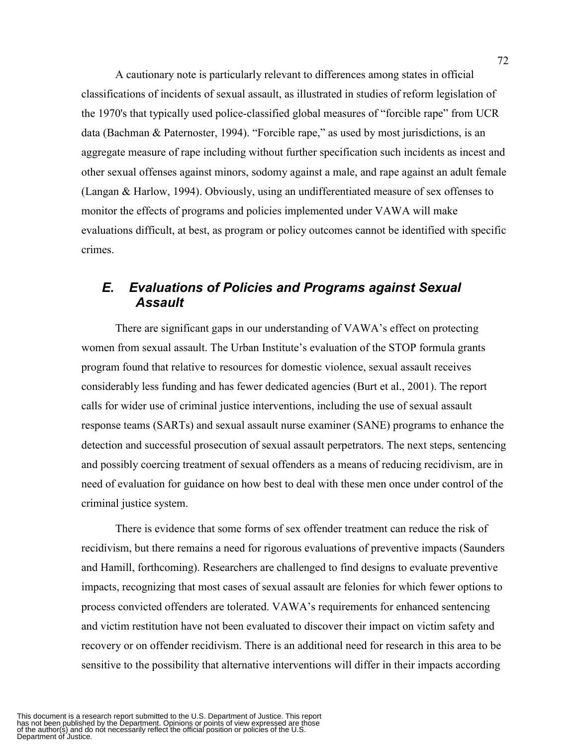A cautionary note is particularly relevant to differences among states in official classifications of incidents of sexual assault, as illustrated in studies of reform legislation of the 1970's that typically used police-classified global measures of "forcible rape" from UCR data (Bachman & Paternoster, 1994). "Forcible rape," as used by most jurisdictions, is an aggregate measure of rape including without further specification such incidents as incest and other sexual offenses against minors, sodomy against a male, and rape against an adult female (Langan & Harlow, 1994). Obviously, using an undifferentiated measure of sex offenses to monitor the effects of programs and policies implemented under VAWA will make evaluations difficult, at best, as program or policy outcomes cannot be identified with specific crimes.

## *E. Evaluations of Policies and Programs against Sexual Assault*

There are significant gaps in our understanding of VAWA's effect on protecting women from sexual assault. The Urban Institute's evaluation of the STOP formula grants program found that relative to resources for domestic violence, sexual assault receives considerably less funding and has fewer dedicated agencies (Burt et al., 2001). The report calls for wider use of criminal justice interventions, including the use of sexual assault response teams (SARTs) and sexual assault nurse examiner (SANE) programs to enhance the detection and successful prosecution of sexual assault perpetrators. The next steps, sentencing and possibly coercing treatment of sexual offenders as a means of reducing recidivism, are in need of evaluation for guidance on how best to deal with these men once under control of the criminal justice system.

There is evidence that some forms of sex offender treatment can reduce the risk of recidivism, but there remains a need for rigorous evaluations of preventive impacts (Saunders and Hamill, forthcoming). Researchers are challenged to find designs to evaluate preventive impacts, recognizing that most cases of sexual assault are felonies for which fewer options to process convicted offenders are tolerated. VAWA's requirements for enhanced sentencing and victim restitution have not been evaluated to discover their impact on victim safety and recovery or on offender recidivism. There is an additional need for research in this area to be sensitive to the possibility that alternative interventions will differ in their impacts according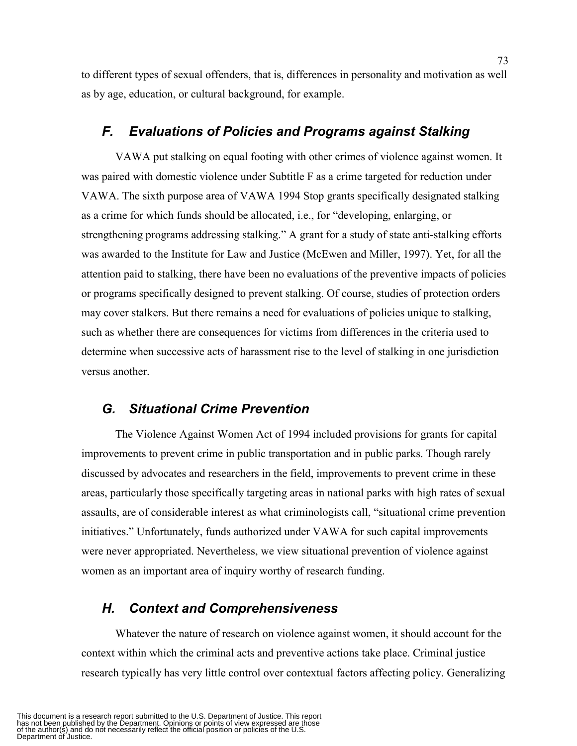to different types of sexual offenders, that is, differences in personality and motivation as well as by age, education, or cultural background, for example.

## *F. Evaluations of Policies and Programs against Stalking*

VAWA put stalking on equal footing with other crimes of violence against women. It was paired with domestic violence under Subtitle F as a crime targeted for reduction under VAWA. The sixth purpose area of VAWA 1994 Stop grants specifically designated stalking as a crime for which funds should be allocated, i.e., for "developing, enlarging, or strengthening programs addressing stalking." A grant for a study of state anti-stalking efforts was awarded to the Institute for Law and Justice (McEwen and Miller, 1997). Yet, for all the attention paid to stalking, there have been no evaluations of the preventive impacts of policies or programs specifically designed to prevent stalking. Of course, studies of protection orders may cover stalkers. But there remains a need for evaluations of policies unique to stalking, such as whether there are consequences for victims from differences in the criteria used to determine when successive acts of harassment rise to the level of stalking in one jurisdiction versus another.

## *G. Situational Crime Prevention*

The Violence Against Women Act of 1994 included provisions for grants for capital improvements to prevent crime in public transportation and in public parks. Though rarely discussed by advocates and researchers in the field, improvements to prevent crime in these areas, particularly those specifically targeting areas in national parks with high rates of sexual assaults, are of considerable interest as what criminologists call, "situational crime prevention initiatives." Unfortunately, funds authorized under VAWA for such capital improvements were never appropriated. Nevertheless, we view situational prevention of violence against women as an important area of inquiry worthy of research funding.

## *H. Context and Comprehensiveness*

Whatever the nature of research on violence against women, it should account for the context within which the criminal acts and preventive actions take place. Criminal justice research typically has very little control over contextual factors affecting policy. Generalizing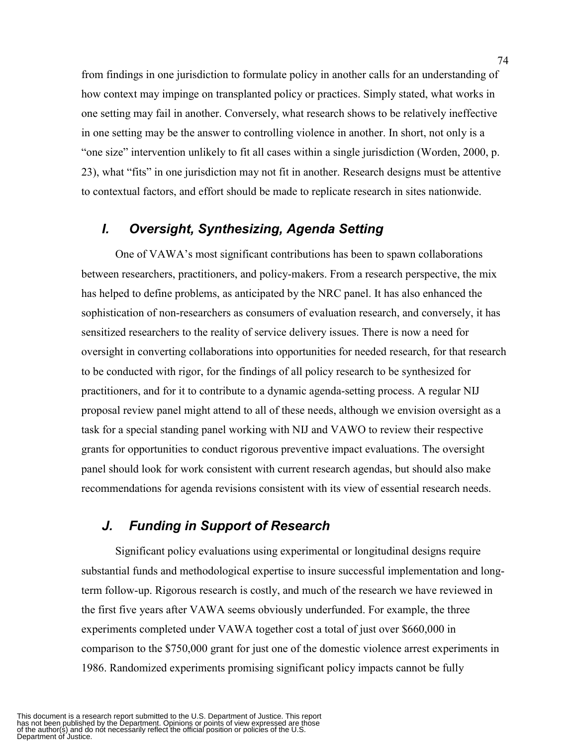from findings in one jurisdiction to formulate policy in another calls for an understanding of how context may impinge on transplanted policy or practices. Simply stated, what works in one setting may fail in another. Conversely, what research shows to be relatively ineffective in one setting may be the answer to controlling violence in another. In short, not only is a "one size" intervention unlikely to fit all cases within a single jurisdiction (Worden, 2000, p. 23), what "fits" in one jurisdiction may not fit in another. Research designs must be attentive to contextual factors, and effort should be made to replicate research in sites nationwide.

# *I. Oversight, Synthesizing, Agenda Setting*

One of VAWA's most significant contributions has been to spawn collaborations between researchers, practitioners, and policy-makers. From a research perspective, the mix has helped to define problems, as anticipated by the NRC panel. It has also enhanced the sophistication of non-researchers as consumers of evaluation research, and conversely, it has sensitized researchers to the reality of service delivery issues. There is now a need for oversight in converting collaborations into opportunities for needed research, for that research to be conducted with rigor, for the findings of all policy research to be synthesized for practitioners, and for it to contribute to a dynamic agenda-setting process. A regular NIJ proposal review panel might attend to all of these needs, although we envision oversight as a task for a special standing panel working with NIJ and VAWO to review their respective grants for opportunities to conduct rigorous preventive impact evaluations. The oversight panel should look for work consistent with current research agendas, but should also make recommendations for agenda revisions consistent with its view of essential research needs.

## *J. Funding in Support of Research*

Significant policy evaluations using experimental or longitudinal designs require substantial funds and methodological expertise to insure successful implementation and longterm follow-up. Rigorous research is costly, and much of the research we have reviewed in the first five years after VAWA seems obviously underfunded. For example, the three experiments completed under VAWA together cost a total of just over \$660,000 in comparison to the \$750,000 grant for just one of the domestic violence arrest experiments in 1986. Randomized experiments promising significant policy impacts cannot be fully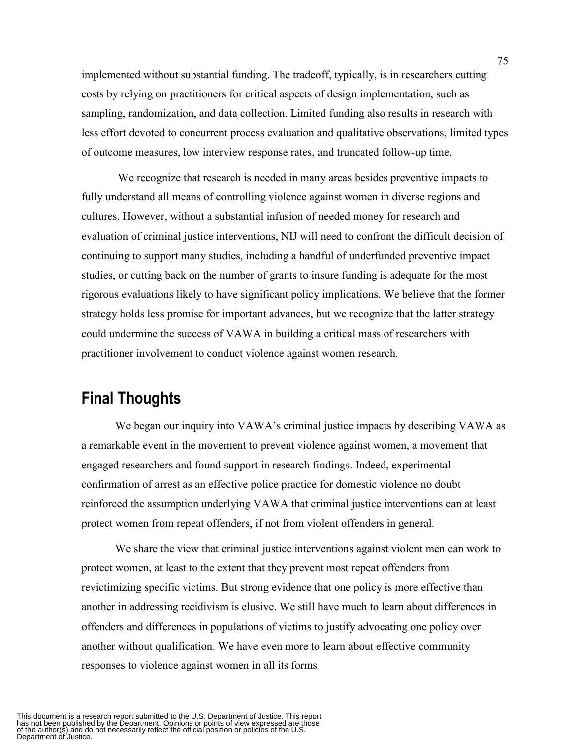implemented without substantial funding. The tradeoff, typically, is in researchers cutting costs by relying on practitioners for critical aspects of design implementation, such as sampling, randomization, and data collection. Limited funding also results in research with less effort devoted to concurrent process evaluation and qualitative observations, limited types of outcome measures, low interview response rates, and truncated follow-up time.

We recognize that research is needed in many areas besides preventive impacts to fully understand all means of controlling violence against women in diverse regions and cultures. However, without a substantial infusion of needed money for research and evaluation of criminal justice interventions, NIJ will need to confront the difficult decision of continuing to support many studies, including a handful of underfunded preventive impact studies, or cutting back on the number of grants to insure funding is adequate for the most rigorous evaluations likely to have significant policy implications. We believe that the former strategy holds less promise for important advances, but we recognize that the latter strategy could undermine the success of VAWA in building a critical mass of researchers with practitioner involvement to conduct violence against women research.

# **Final Thoughts**

We began our inquiry into VAWA's criminal justice impacts by describing VAWA as a remarkable event in the movement to prevent violence against women, a movement that engaged researchers and found support in research findings. Indeed, experimental confirmation of arrest as an effective police practice for domestic violence no doubt reinforced the assumption underlying VAWA that criminal justice interventions can at least protect women from repeat offenders, if not from violent offenders in general.

We share the view that criminal justice interventions against violent men can work to protect women, at least to the extent that they prevent most repeat offenders from revictimizing specific victims. But strong evidence that one policy is more effective than another in addressing recidivism is elusive. We still have much to learn about differences in offenders and differences in populations of victims to justify advocating one policy over another without qualification. We have even more to learn about effective community responses to violence against women in all its forms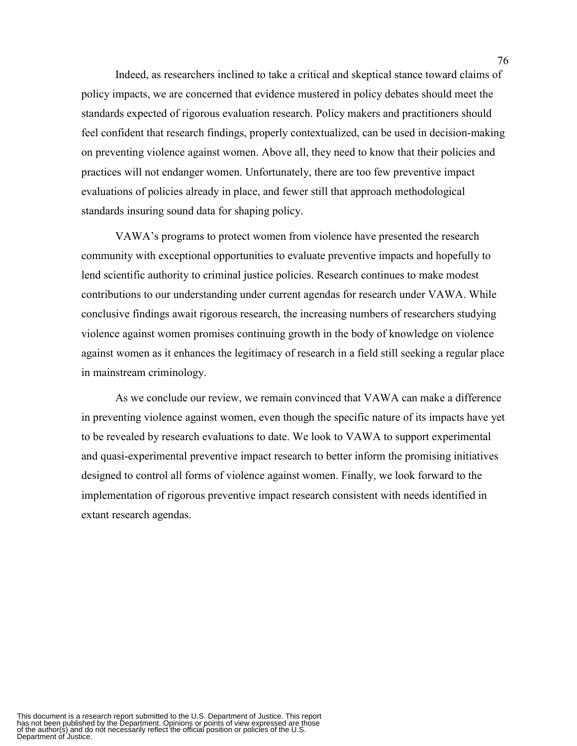Indeed, as researchers inclined to take a critical and skeptical stance toward claims of policy impacts, we are concerned that evidence mustered in policy debates should meet the standards expected of rigorous evaluation research. Policy makers and practitioners should feel confident that research findings, properly contextualized, can be used in decision-making on preventing violence against women. Above all, they need to know that their policies and practices will not endanger women. Unfortunately, there are too few preventive impact evaluations of policies already in place, and fewer still that approach methodological standards insuring sound data for shaping policy.

VAWA's programs to protect women from violence have presented the research community with exceptional opportunities to evaluate preventive impacts and hopefully to lend scientific authority to criminal justice policies. Research continues to make modest contributions to our understanding under current agendas for research under VAWA. While conclusive findings await rigorous research, the increasing numbers of researchers studying violence against women promises continuing growth in the body of knowledge on violence against women as it enhances the legitimacy of research in a field still seeking a regular place in mainstream criminology.

As we conclude our review, we remain convinced that VAWA can make a difference in preventing violence against women, even though the specific nature of its impacts have yet to be revealed by research evaluations to date. We look to VAWA to support experimental and quasi-experimental preventive impact research to better inform the promising initiatives designed to control all forms of violence against women. Finally, we look forward to the implementation of rigorous preventive impact research consistent with needs identified in extant research agendas.

This document is a research report submitted to the U.S. Department of Justice. This report<br>has not been published by the Department. Opinions or points of view expressed are those<br>of the author(s) and do not necessarily r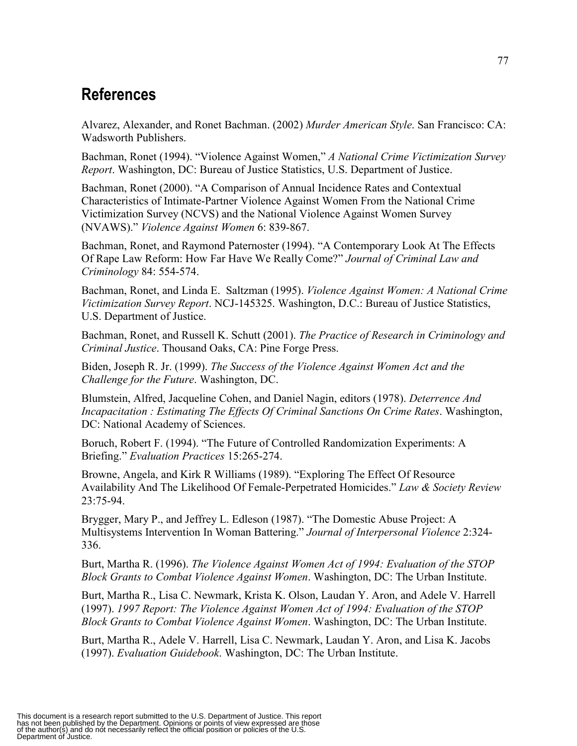# **References**

Alvarez, Alexander, and Ronet Bachman. (2002) *Murder American Style*. San Francisco: CA: Wadsworth Publishers.

Bachman, Ronet (1994). "Violence Against Women," *A National Crime Victimization Survey Report*. Washington, DC: Bureau of Justice Statistics, U.S. Department of Justice.

Bachman, Ronet (2000). "A Comparison of Annual Incidence Rates and Contextual Characteristics of Intimate-Partner Violence Against Women From the National Crime Victimization Survey (NCVS) and the National Violence Against Women Survey (NVAWS)." *Violence Against Women* 6: 839-867.

Bachman, Ronet, and Raymond Paternoster (1994). "A Contemporary Look At The Effects Of Rape Law Reform: How Far Have We Really Come?" *Journal of Criminal Law and Criminology* 84: 554-574.

Bachman, Ronet, and Linda E. Saltzman (1995). *Violence Against Women: A National Crime Victimization Survey Report*. NCJ-145325. Washington, D.C.: Bureau of Justice Statistics, U.S. Department of Justice.

Bachman, Ronet, and Russell K. Schutt (2001). *The Practice of Research in Criminology and Criminal Justice*. Thousand Oaks, CA: Pine Forge Press.

Biden, Joseph R. Jr. (1999). *The Success of the Violence Against Women Act and the Challenge for the Future*. Washington, DC.

Blumstein, Alfred, Jacqueline Cohen, and Daniel Nagin, editors (1978). *Deterrence And Incapacitation : Estimating The Effects Of Criminal Sanctions On Crime Rates*. Washington, DC: National Academy of Sciences.

Boruch, Robert F. (1994). "The Future of Controlled Randomization Experiments: A Briefing." *Evaluation Practices* 15:265-274.

Browne, Angela, and Kirk R Williams (1989). "Exploring The Effect Of Resource Availability And The Likelihood Of Female-Perpetrated Homicides." *Law & Society Review*  23:75-94.

Brygger, Mary P., and Jeffrey L. Edleson (1987). "The Domestic Abuse Project: A Multisystems Intervention In Woman Battering." *Journal of Interpersonal Violence* 2:324- 336.

Burt, Martha R. (1996). *The Violence Against Women Act of 1994: Evaluation of the STOP Block Grants to Combat Violence Against Women*. Washington, DC: The Urban Institute.

Burt, Martha R., Lisa C. Newmark, Krista K. Olson, Laudan Y. Aron, and Adele V. Harrell (1997). *1997 Report: The Violence Against Women Act of 1994: Evaluation of the STOP Block Grants to Combat Violence Against Women*. Washington, DC: The Urban Institute.

Burt, Martha R., Adele V. Harrell, Lisa C. Newmark, Laudan Y. Aron, and Lisa K. Jacobs (1997). *Evaluation Guidebook*. Washington, DC: The Urban Institute.

<sup>77</sup>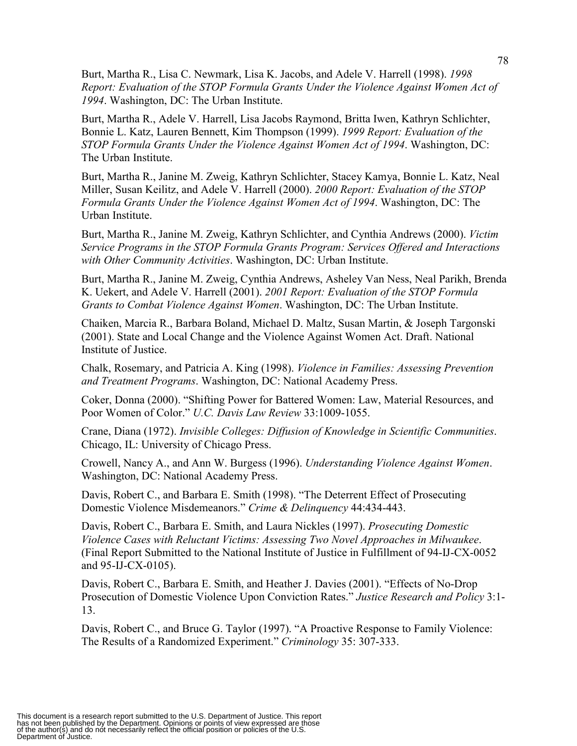Burt, Martha R., Lisa C. Newmark, Lisa K. Jacobs, and Adele V. Harrell (1998). *1998 Report: Evaluation of the STOP Formula Grants Under the Violence Against Women Act of 1994*. Washington, DC: The Urban Institute.

Burt, Martha R., Adele V. Harrell, Lisa Jacobs Raymond, Britta Iwen, Kathryn Schlichter, Bonnie L. Katz, Lauren Bennett, Kim Thompson (1999). *1999 Report: Evaluation of the STOP Formula Grants Under the Violence Against Women Act of 1994*. Washington, DC: The Urban Institute.

Burt, Martha R., Janine M. Zweig, Kathryn Schlichter, Stacey Kamya, Bonnie L. Katz, Neal Miller, Susan Keilitz, and Adele V. Harrell (2000). *2000 Report: Evaluation of the STOP Formula Grants Under the Violence Against Women Act of 1994*. Washington, DC: The Urban Institute.

Burt, Martha R., Janine M. Zweig, Kathryn Schlichter, and Cynthia Andrews (2000). *Victim Service Programs in the STOP Formula Grants Program: Services Offered and Interactions with Other Community Activities*. Washington, DC: Urban Institute.

Burt, Martha R., Janine M. Zweig, Cynthia Andrews, Asheley Van Ness, Neal Parikh, Brenda K. Uekert, and Adele V. Harrell (2001). *2001 Report: Evaluation of the STOP Formula Grants to Combat Violence Against Women*. Washington, DC: The Urban Institute.

Chaiken, Marcia R., Barbara Boland, Michael D. Maltz, Susan Martin, & Joseph Targonski (2001). State and Local Change and the Violence Against Women Act. Draft. National Institute of Justice.

Chalk, Rosemary, and Patricia A. King (1998). *Violence in Families: Assessing Prevention and Treatment Programs*. Washington, DC: National Academy Press.

Coker, Donna (2000). "Shifting Power for Battered Women: Law, Material Resources, and Poor Women of Color." *U.C. Davis Law Review* 33:1009-1055.

Crane, Diana (1972). *Invisible Colleges: Diffusion of Knowledge in Scientific Communities*. Chicago, IL: University of Chicago Press.

Crowell, Nancy A., and Ann W. Burgess (1996). *Understanding Violence Against Women*. Washington, DC: National Academy Press.

Davis, Robert C., and Barbara E. Smith (1998). "The Deterrent Effect of Prosecuting Domestic Violence Misdemeanors." *Crime & Delinquency* 44:434-443.

Davis, Robert C., Barbara E. Smith, and Laura Nickles (1997). *Prosecuting Domestic Violence Cases with Reluctant Victims: Assessing Two Novel Approaches in Milwaukee*. (Final Report Submitted to the National Institute of Justice in Fulfillment of 94-IJ-CX-0052 and 95-IJ-CX-0105).

Davis, Robert C., Barbara E. Smith, and Heather J. Davies (2001). "Effects of No-Drop Prosecution of Domestic Violence Upon Conviction Rates." *Justice Research and Policy* 3:1- 13.

Davis, Robert C., and Bruce G. Taylor (1997). "A Proactive Response to Family Violence: The Results of a Randomized Experiment." *Criminology* 35: 307-333.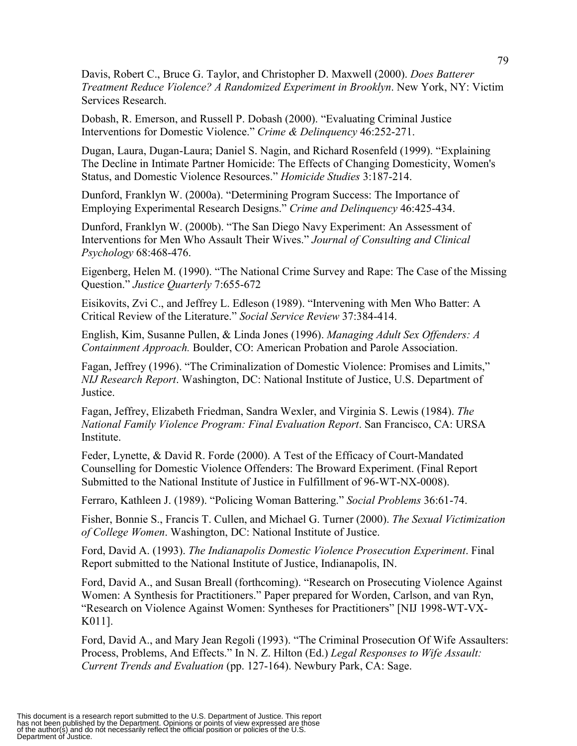Davis, Robert C., Bruce G. Taylor, and Christopher D. Maxwell (2000). *Does Batterer Treatment Reduce Violence? A Randomized Experiment in Brooklyn*. New York, NY: Victim Services Research.

Dobash, R. Emerson, and Russell P. Dobash (2000). "Evaluating Criminal Justice Interventions for Domestic Violence." *Crime & Delinquency* 46:252-271.

Dugan, Laura, Dugan-Laura; Daniel S. Nagin, and Richard Rosenfeld (1999). "Explaining The Decline in Intimate Partner Homicide: The Effects of Changing Domesticity, Women's Status, and Domestic Violence Resources." *Homicide Studies* 3:187-214.

Dunford, Franklyn W. (2000a). "Determining Program Success: The Importance of Employing Experimental Research Designs." *Crime and Delinquency* 46:425-434.

Dunford, Franklyn W. (2000b). "The San Diego Navy Experiment: An Assessment of Interventions for Men Who Assault Their Wives." *Journal of Consulting and Clinical Psychology* 68:468-476.

Eigenberg, Helen M. (1990). "The National Crime Survey and Rape: The Case of the Missing Question." *Justice Quarterly* 7:655-672

Eisikovits, Zvi C., and Jeffrey L. Edleson (1989). "Intervening with Men Who Batter: A Critical Review of the Literature." *Social Service Review* 37:384-414.

English, Kim, Susanne Pullen, & Linda Jones (1996). *Managing Adult Sex Offenders: A Containment Approach.* Boulder, CO: American Probation and Parole Association.

Fagan, Jeffrey (1996). "The Criminalization of Domestic Violence: Promises and Limits," *NIJ Research Report*. Washington, DC: National Institute of Justice, U.S. Department of Justice.

Fagan, Jeffrey, Elizabeth Friedman, Sandra Wexler, and Virginia S. Lewis (1984). *The National Family Violence Program: Final Evaluation Report*. San Francisco, CA: URSA Institute.

Feder, Lynette, & David R. Forde (2000). A Test of the Efficacy of Court-Mandated Counselling for Domestic Violence Offenders: The Broward Experiment. (Final Report Submitted to the National Institute of Justice in Fulfillment of 96-WT-NX-0008).

Ferraro, Kathleen J. (1989). "Policing Woman Battering." *Social Problems* 36:61-74.

Fisher, Bonnie S., Francis T. Cullen, and Michael G. Turner (2000). *The Sexual Victimization of College Women*. Washington, DC: National Institute of Justice.

Ford, David A. (1993). *The Indianapolis Domestic Violence Prosecution Experiment*. Final Report submitted to the National Institute of Justice, Indianapolis, IN.

Ford, David A., and Susan Breall (forthcoming). "Research on Prosecuting Violence Against Women: A Synthesis for Practitioners." Paper prepared for Worden, Carlson, and van Ryn, "Research on Violence Against Women: Syntheses for Practitioners" [NIJ 1998-WT-VX-K011].

Ford, David A., and Mary Jean Regoli (1993). "The Criminal Prosecution Of Wife Assaulters: Process, Problems, And Effects." In N. Z. Hilton (Ed.) *Legal Responses to Wife Assault: Current Trends and Evaluation* (pp. 127-164). Newbury Park, CA: Sage.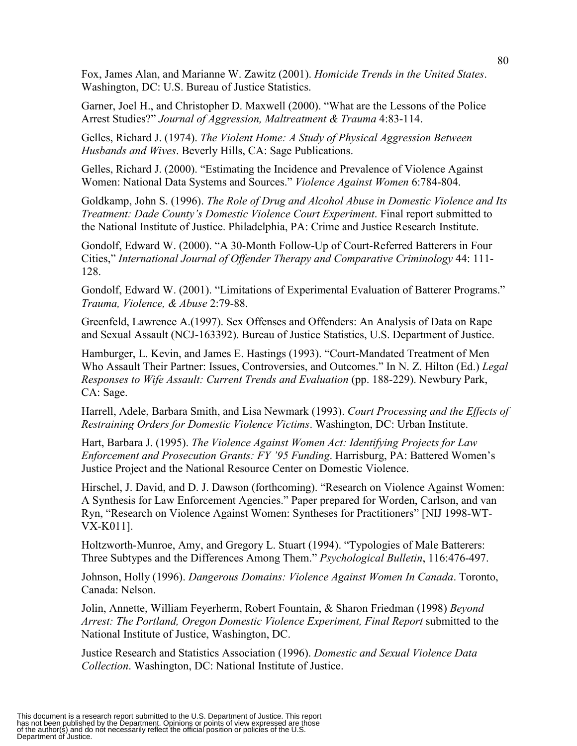Fox, James Alan, and Marianne W. Zawitz (2001). *Homicide Trends in the United States*. Washington, DC: U.S. Bureau of Justice Statistics.

Garner, Joel H., and Christopher D. Maxwell (2000). "What are the Lessons of the Police Arrest Studies?" *Journal of Aggression, Maltreatment & Trauma* 4:83-114.

Gelles, Richard J. (1974). *The Violent Home: A Study of Physical Aggression Between Husbands and Wives*. Beverly Hills, CA: Sage Publications.

Gelles, Richard J. (2000). "Estimating the Incidence and Prevalence of Violence Against Women: National Data Systems and Sources." *Violence Against Women* 6:784-804.

Goldkamp, John S. (1996). *The Role of Drug and Alcohol Abuse in Domestic Violence and Its Treatment: Dade County's Domestic Violence Court Experiment*. Final report submitted to the National Institute of Justice. Philadelphia, PA: Crime and Justice Research Institute.

Gondolf, Edward W. (2000). "A 30-Month Follow-Up of Court-Referred Batterers in Four Cities," *International Journal of Offender Therapy and Comparative Criminology* 44: 111- 128.

Gondolf, Edward W. (2001). "Limitations of Experimental Evaluation of Batterer Programs." *Trauma, Violence, & Abuse* 2:79-88.

Greenfeld, Lawrence A.(1997). Sex Offenses and Offenders: An Analysis of Data on Rape and Sexual Assault (NCJ-163392). Bureau of Justice Statistics, U.S. Department of Justice.

Hamburger, L. Kevin, and James E. Hastings (1993). "Court-Mandated Treatment of Men Who Assault Their Partner: Issues, Controversies, and Outcomes." In N. Z. Hilton (Ed.) *Legal Responses to Wife Assault: Current Trends and Evaluation* (pp. 188-229). Newbury Park, CA: Sage.

Harrell, Adele, Barbara Smith, and Lisa Newmark (1993). *Court Processing and the Effects of Restraining Orders for Domestic Violence Victims*. Washington, DC: Urban Institute.

Hart, Barbara J. (1995). *The Violence Against Women Act: Identifying Projects for Law Enforcement and Prosecution Grants: FY '95 Funding*. Harrisburg, PA: Battered Women's Justice Project and the National Resource Center on Domestic Violence.

Hirschel, J. David, and D. J. Dawson (forthcoming). "Research on Violence Against Women: A Synthesis for Law Enforcement Agencies." Paper prepared for Worden, Carlson, and van Ryn, "Research on Violence Against Women: Syntheses for Practitioners" [NIJ 1998-WT-VX-K011].

Holtzworth-Munroe, Amy, and Gregory L. Stuart (1994). "Typologies of Male Batterers: Three Subtypes and the Differences Among Them." *Psychological Bulletin*, 116:476-497.

Johnson, Holly (1996). *Dangerous Domains: Violence Against Women In Canada*. Toronto, Canada: Nelson.

Jolin, Annette, William Feyerherm, Robert Fountain, & Sharon Friedman (1998) *Beyond Arrest: The Portland, Oregon Domestic Violence Experiment, Final Report* submitted to the National Institute of Justice, Washington, DC.

Justice Research and Statistics Association (1996). *Domestic and Sexual Violence Data Collection*. Washington, DC: National Institute of Justice.

This document is a research report submitted to the U.S. Department of Justice. This report has not been published by the Department. Opinions or points of view expressed are those of the author(s) and do not necessarily reflect the official position or policies of the U.S. Department of Justice.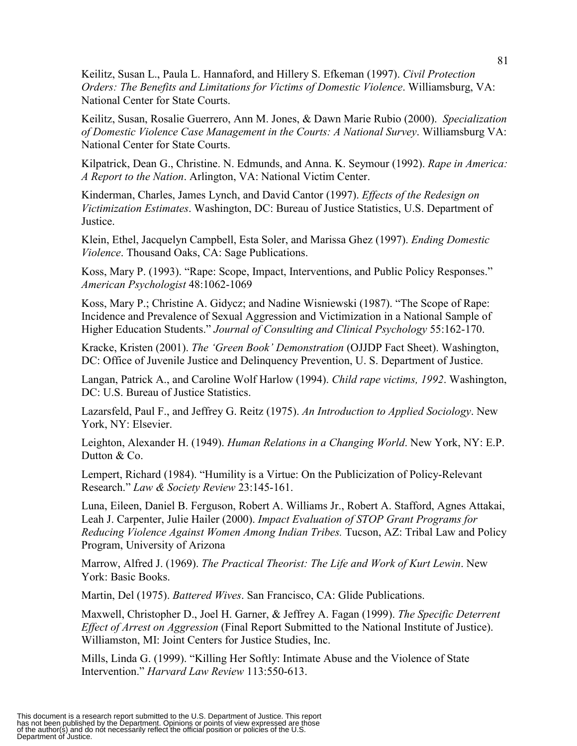Keilitz, Susan L., Paula L. Hannaford, and Hillery S. Efkeman (1997). *Civil Protection Orders: The Benefits and Limitations for Victims of Domestic Violence*. Williamsburg, VA: National Center for State Courts.

Keilitz, Susan, Rosalie Guerrero, Ann M. Jones, & Dawn Marie Rubio (2000). *Specialization of Domestic Violence Case Management in the Courts: A National Survey*. Williamsburg VA: National Center for State Courts.

Kilpatrick, Dean G., Christine. N. Edmunds, and Anna. K. Seymour (1992). *Rape in America: A Report to the Nation*. Arlington, VA: National Victim Center.

Kinderman, Charles, James Lynch, and David Cantor (1997). *Effects of the Redesign on Victimization Estimates*. Washington, DC: Bureau of Justice Statistics, U.S. Department of Justice.

Klein, Ethel, Jacquelyn Campbell, Esta Soler, and Marissa Ghez (1997). *Ending Domestic Violence*. Thousand Oaks, CA: Sage Publications.

Koss, Mary P. (1993). "Rape: Scope, Impact, Interventions, and Public Policy Responses." *American Psychologist* 48:1062-1069

Koss, Mary P.; Christine A. Gidycz; and Nadine Wisniewski (1987). "The Scope of Rape: Incidence and Prevalence of Sexual Aggression and Victimization in a National Sample of Higher Education Students." *Journal of Consulting and Clinical Psychology* 55:162-170.

Kracke, Kristen (2001). *The 'Green Book' Demonstration* (OJJDP Fact Sheet). Washington, DC: Office of Juvenile Justice and Delinquency Prevention, U. S. Department of Justice.

Langan, Patrick A., and Caroline Wolf Harlow (1994). *Child rape victims, 1992*. Washington, DC: U.S. Bureau of Justice Statistics.

Lazarsfeld, Paul F., and Jeffrey G. Reitz (1975). *An Introduction to Applied Sociology*. New York, NY: Elsevier.

Leighton, Alexander H. (1949). *Human Relations in a Changing World*. New York, NY: E.P. Dutton & Co.

Lempert, Richard (1984). "Humility is a Virtue: On the Publicization of Policy-Relevant Research." *Law & Society Review* 23:145-161.

Luna, Eileen, Daniel B. Ferguson, Robert A. Williams Jr., Robert A. Stafford, Agnes Attakai, Leah J. Carpenter, Julie Hailer (2000). *Impact Evaluation of STOP Grant Programs for Reducing Violence Against Women Among Indian Tribes.* Tucson, AZ: Tribal Law and Policy Program, University of Arizona

Marrow, Alfred J. (1969). *The Practical Theorist: The Life and Work of Kurt Lewin*. New York: Basic Books.

Martin, Del (1975). *Battered Wives*. San Francisco, CA: Glide Publications.

Maxwell, Christopher D., Joel H. Garner, & Jeffrey A. Fagan (1999). *The Specific Deterrent Effect of Arrest on Aggression* (Final Report Submitted to the National Institute of Justice). Williamston, MI: Joint Centers for Justice Studies, Inc.

Mills, Linda G. (1999). "Killing Her Softly: Intimate Abuse and the Violence of State Intervention." *Harvard Law Review* 113:550-613.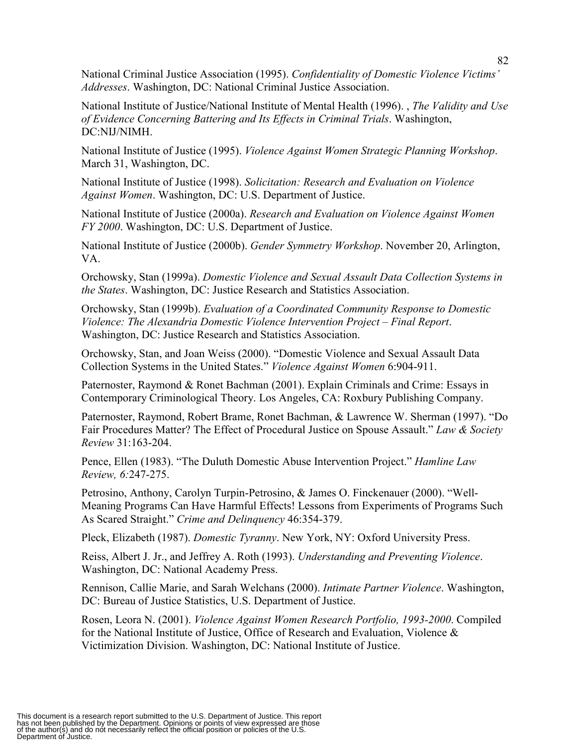National Criminal Justice Association (1995). *Confidentiality of Domestic Violence Victims' Addresses*. Washington, DC: National Criminal Justice Association.

National Institute of Justice/National Institute of Mental Health (1996). , *The Validity and Use of Evidence Concerning Battering and Its Effects in Criminal Trials*. Washington, DC:NIJ/NIMH.

National Institute of Justice (1995). *Violence Against Women Strategic Planning Workshop*. March 31, Washington, DC.

National Institute of Justice (1998). *Solicitation: Research and Evaluation on Violence Against Women*. Washington, DC: U.S. Department of Justice.

National Institute of Justice (2000a). *Research and Evaluation on Violence Against Women FY 2000*. Washington, DC: U.S. Department of Justice.

National Institute of Justice (2000b). *Gender Symmetry Workshop*. November 20, Arlington, VA.

Orchowsky, Stan (1999a). *Domestic Violence and Sexual Assault Data Collection Systems in the States*. Washington, DC: Justice Research and Statistics Association.

Orchowsky, Stan (1999b). *Evaluation of a Coordinated Community Response to Domestic Violence: The Alexandria Domestic Violence Intervention Project – Final Report*. Washington, DC: Justice Research and Statistics Association.

Orchowsky, Stan, and Joan Weiss (2000). "Domestic Violence and Sexual Assault Data Collection Systems in the United States." *Violence Against Women* 6:904-911.

Paternoster, Raymond & Ronet Bachman (2001). Explain Criminals and Crime: Essays in Contemporary Criminological Theory. Los Angeles, CA: Roxbury Publishing Company.

Paternoster, Raymond, Robert Brame, Ronet Bachman, & Lawrence W. Sherman (1997). "Do Fair Procedures Matter? The Effect of Procedural Justice on Spouse Assault." *Law & Society Review* 31:163-204.

Pence, Ellen (1983). "The Duluth Domestic Abuse Intervention Project." *Hamline Law Review, 6:*247-275.

Petrosino, Anthony, Carolyn Turpin-Petrosino, & James O. Finckenauer (2000). "Well-Meaning Programs Can Have Harmful Effects! Lessons from Experiments of Programs Such As Scared Straight." *Crime and Delinquency* 46:354-379.

Pleck, Elizabeth (1987). *Domestic Tyranny*. New York, NY: Oxford University Press.

Reiss, Albert J. Jr., and Jeffrey A. Roth (1993). *Understanding and Preventing Violence*. Washington, DC: National Academy Press.

Rennison, Callie Marie, and Sarah Welchans (2000). *Intimate Partner Violence*. Washington, DC: Bureau of Justice Statistics, U.S. Department of Justice.

Rosen, Leora N. (2001). *Violence Against Women Research Portfolio, 1993-2000*. Compiled for the National Institute of Justice, Office of Research and Evaluation, Violence & Victimization Division. Washington, DC: National Institute of Justice.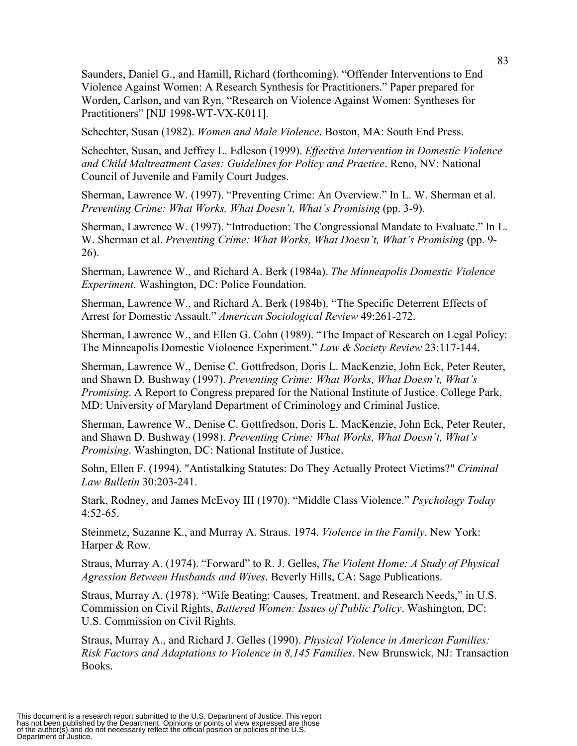Saunders, Daniel G., and Hamill, Richard (forthcoming). "Offender Interventions to End Violence Against Women: A Research Synthesis for Practitioners." Paper prepared for Worden, Carlson, and van Ryn, "Research on Violence Against Women: Syntheses for Practitioners" [NIJ 1998-WT-VX-K011].

Schechter, Susan (1982). *Women and Male Violence*. Boston, MA: South End Press.

Schechter, Susan, and Jeffrey L. Edleson (1999). *Effective Intervention in Domestic Violence and Child Maltreatment Cases: Guidelines for Policy and Practice*. Reno, NV: National Council of Juvenile and Family Court Judges.

Sherman, Lawrence W. (1997). "Preventing Crime: An Overview." In L. W. Sherman et al. *Preventing Crime: What Works, What Doesn't, What's Promising* (pp. 3-9).

Sherman, Lawrence W. (1997). "Introduction: The Congressional Mandate to Evaluate." In L. W. Sherman et al. *Preventing Crime: What Works, What Doesn't, What's Promising* (pp. 9- 26).

Sherman, Lawrence W., and Richard A. Berk (1984a). *The Minneapolis Domestic Violence Experiment*. Washington, DC: Police Foundation.

Sherman, Lawrence W., and Richard A. Berk (1984b). "The Specific Deterrent Effects of Arrest for Domestic Assault." *American Sociological Review* 49:261-272.

Sherman, Lawrence W., and Ellen G. Cohn (1989). "The Impact of Research on Legal Policy: The Minneapolis Domestic Violoence Experiment." *Law & Society Review* 23:117-144.

Sherman, Lawrence W., Denise C. Gottfredson, Doris L. MacKenzie, John Eck, Peter Reuter, and Shawn D. Bushway (1997). *Preventing Crime: What Works, What Doesn't, What's Promising*. A Report to Congress prepared for the National Institute of Justice. College Park, MD: University of Maryland Department of Criminology and Criminal Justice.

Sherman, Lawrence W., Denise C. Gottfredson, Doris L. MacKenzie, John Eck, Peter Reuter, and Shawn D. Bushway (1998). *Preventing Crime: What Works, What Doesn't, What's Promising*. Washington, DC: National Institute of Justice.

Sohn, Ellen F. (1994). "Antistalking Statutes: Do They Actually Protect Victims?" *Criminal Law Bulletin* 30:203-241.

Stark, Rodney, and James McEvoy III (1970). "Middle Class Violence." *Psychology Today*  4:52-65.

Steinmetz, Suzanne K., and Murray A. Straus. 1974. *Violence in the Family*. New York: Harper & Row.

Straus, Murray A. (1974). "Forward" to R. J. Gelles, *The Violent Home: A Study of Physical Agression Between Husbands and Wives*. Beverly Hills, CA: Sage Publications.

Straus, Murray A. (1978). "Wife Beating: Causes, Treatment, and Research Needs," in U.S. Commission on Civil Rights, *Battered Women: Issues of Public Policy*. Washington, DC: U.S. Commission on Civil Rights.

Straus, Murray A., and Richard J. Gelles (1990). *Physical Violence in American Families: Risk Factors and Adaptations to Violence in 8,145 Families*. New Brunswick, NJ: Transaction Books.

<sup>83</sup>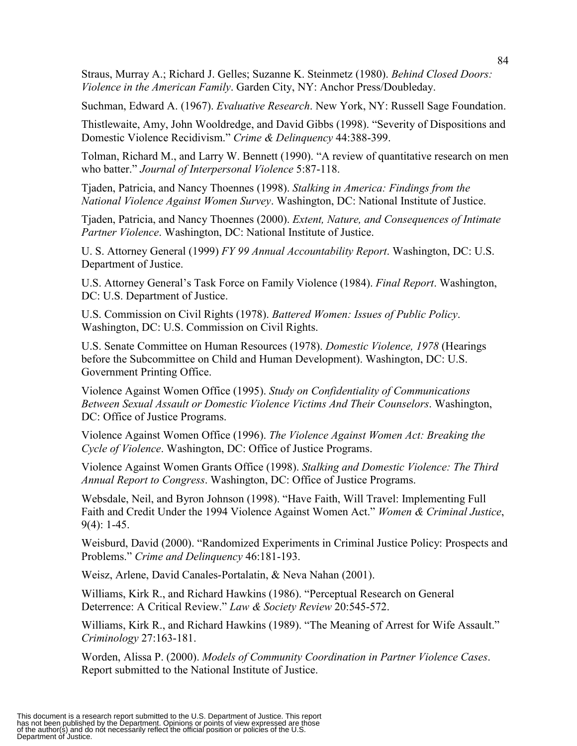Straus, Murray A.; Richard J. Gelles; Suzanne K. Steinmetz (1980). *Behind Closed Doors: Violence in the American Family*. Garden City, NY: Anchor Press/Doubleday.

Suchman, Edward A. (1967). *Evaluative Research*. New York, NY: Russell Sage Foundation.

Thistlewaite, Amy, John Wooldredge, and David Gibbs (1998). "Severity of Dispositions and Domestic Violence Recidivism." *Crime & Delinquency* 44:388-399.

Tolman, Richard M., and Larry W. Bennett (1990). "A review of quantitative research on men who batter." *Journal of Interpersonal Violence* 5:87-118.

Tjaden, Patricia, and Nancy Thoennes (1998). *Stalking in America: Findings from the National Violence Against Women Survey*. Washington, DC: National Institute of Justice.

Tjaden, Patricia, and Nancy Thoennes (2000). *Extent, Nature, and Consequences of Intimate Partner Violence*. Washington, DC: National Institute of Justice.

U. S. Attorney General (1999) *FY 99 Annual Accountability Report*. Washington, DC: U.S. Department of Justice.

U.S. Attorney General's Task Force on Family Violence (1984). *Final Report*. Washington, DC: U.S. Department of Justice.

U.S. Commission on Civil Rights (1978). *Battered Women: Issues of Public Policy*. Washington, DC: U.S. Commission on Civil Rights.

U.S. Senate Committee on Human Resources (1978). *Domestic Violence, 1978* (Hearings before the Subcommittee on Child and Human Development). Washington, DC: U.S. Government Printing Office.

Violence Against Women Office (1995). *Study on Confidentiality of Communications Between Sexual Assault or Domestic Violence Victims And Their Counselors*. Washington, DC: Office of Justice Programs.

Violence Against Women Office (1996). *The Violence Against Women Act: Breaking the Cycle of Violence*. Washington, DC: Office of Justice Programs.

Violence Against Women Grants Office (1998). *Stalking and Domestic Violence: The Third Annual Report to Congress*. Washington, DC: Office of Justice Programs.

Websdale, Neil, and Byron Johnson (1998). "Have Faith, Will Travel: Implementing Full Faith and Credit Under the 1994 Violence Against Women Act." *Women & Criminal Justice*, 9(4): 1-45.

Weisburd, David (2000). "Randomized Experiments in Criminal Justice Policy: Prospects and Problems." *Crime and Delinquency* 46:181-193.

Weisz, Arlene, David Canales-Portalatin, & Neva Nahan (2001).

Williams, Kirk R., and Richard Hawkins (1986). "Perceptual Research on General Deterrence: A Critical Review." *Law & Society Review* 20:545-572.

Williams, Kirk R., and Richard Hawkins (1989). "The Meaning of Arrest for Wife Assault." *Criminology* 27:163-181.

Worden, Alissa P. (2000). *Models of Community Coordination in Partner Violence Cases*. Report submitted to the National Institute of Justice.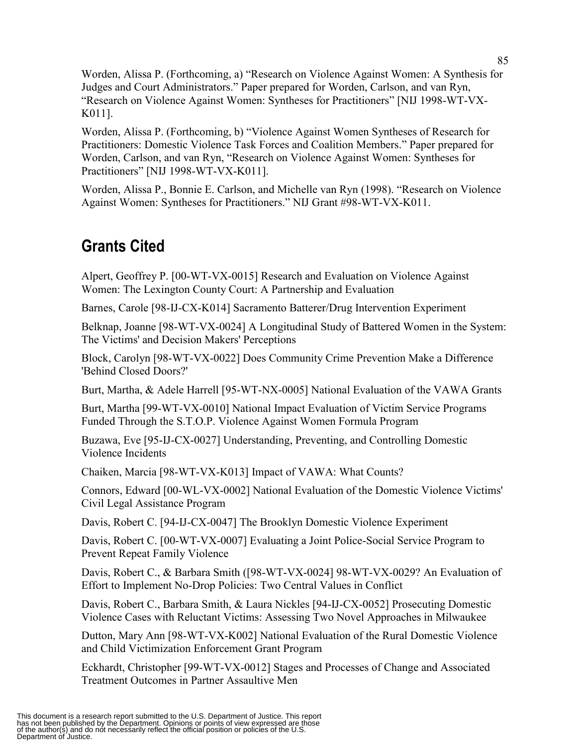Worden, Alissa P. (Forthcoming, a) "Research on Violence Against Women: A Synthesis for Judges and Court Administrators." Paper prepared for Worden, Carlson, and van Ryn, "Research on Violence Against Women: Syntheses for Practitioners" [NIJ 1998-WT-VX-K011].

Worden, Alissa P. (Forthcoming, b) "Violence Against Women Syntheses of Research for Practitioners: Domestic Violence Task Forces and Coalition Members." Paper prepared for Worden, Carlson, and van Ryn, "Research on Violence Against Women: Syntheses for Practitioners" [NIJ 1998-WT-VX-K011].

Worden, Alissa P., Bonnie E. Carlson, and Michelle van Ryn (1998). "Research on Violence Against Women: Syntheses for Practitioners." NIJ Grant #98-WT-VX-K011.

# **Grants Cited**

Alpert, Geoffrey P. [00-WT-VX-0015] Research and Evaluation on Violence Against Women: The Lexington County Court: A Partnership and Evaluation

Barnes, Carole [98-IJ-CX-K014] Sacramento Batterer/Drug Intervention Experiment

Belknap, Joanne [98-WT-VX-0024] A Longitudinal Study of Battered Women in the System: The Victims' and Decision Makers' Perceptions

Block, Carolyn [98-WT-VX-0022] Does Community Crime Prevention Make a Difference 'Behind Closed Doors?'

Burt, Martha, & Adele Harrell [95-WT-NX-0005] National Evaluation of the VAWA Grants

Burt, Martha [99-WT-VX-0010] National Impact Evaluation of Victim Service Programs Funded Through the S.T.O.P. Violence Against Women Formula Program

Buzawa, Eve [95-IJ-CX-0027] Understanding, Preventing, and Controlling Domestic Violence Incidents

Chaiken, Marcia [98-WT-VX-K013] Impact of VAWA: What Counts?

Connors, Edward [00-WL-VX-0002] National Evaluation of the Domestic Violence Victims' Civil Legal Assistance Program

Davis, Robert C. [94-IJ-CX-0047] The Brooklyn Domestic Violence Experiment

Davis, Robert C. [00-WT-VX-0007] Evaluating a Joint Police-Social Service Program to Prevent Repeat Family Violence

Davis, Robert C., & Barbara Smith ([98-WT-VX-0024] 98-WT-VX-0029? An Evaluation of Effort to Implement No-Drop Policies: Two Central Values in Conflict

Davis, Robert C., Barbara Smith, & Laura Nickles [94-IJ-CX-0052] Prosecuting Domestic Violence Cases with Reluctant Victims: Assessing Two Novel Approaches in Milwaukee

Dutton, Mary Ann [98-WT-VX-K002] National Evaluation of the Rural Domestic Violence and Child Victimization Enforcement Grant Program

Eckhardt, Christopher [99-WT-VX-0012] Stages and Processes of Change and Associated Treatment Outcomes in Partner Assaultive Men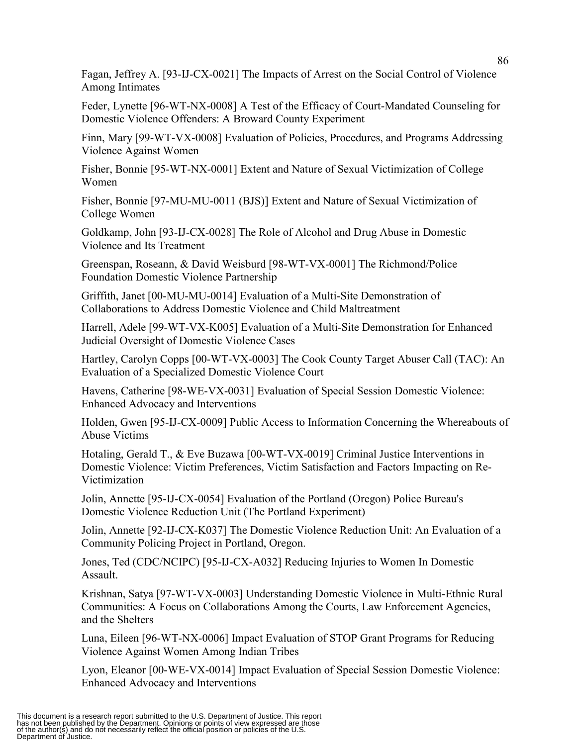Fagan, Jeffrey A. [93-IJ-CX-0021] The Impacts of Arrest on the Social Control of Violence Among Intimates

Feder, Lynette [96-WT-NX-0008] A Test of the Efficacy of Court-Mandated Counseling for Domestic Violence Offenders: A Broward County Experiment

Finn, Mary [99-WT-VX-0008] Evaluation of Policies, Procedures, and Programs Addressing Violence Against Women

Fisher, Bonnie [95-WT-NX-0001] Extent and Nature of Sexual Victimization of College Women

Fisher, Bonnie [97-MU-MU-0011 (BJS)] Extent and Nature of Sexual Victimization of College Women

Goldkamp, John [93-IJ-CX-0028] The Role of Alcohol and Drug Abuse in Domestic Violence and Its Treatment

Greenspan, Roseann, & David Weisburd [98-WT-VX-0001] The Richmond/Police Foundation Domestic Violence Partnership

Griffith, Janet [00-MU-MU-0014] Evaluation of a Multi-Site Demonstration of Collaborations to Address Domestic Violence and Child Maltreatment

Harrell, Adele [99-WT-VX-K005] Evaluation of a Multi-Site Demonstration for Enhanced Judicial Oversight of Domestic Violence Cases

Hartley, Carolyn Copps [00-WT-VX-0003] The Cook County Target Abuser Call (TAC): An Evaluation of a Specialized Domestic Violence Court

Havens, Catherine [98-WE-VX-0031] Evaluation of Special Session Domestic Violence: Enhanced Advocacy and Interventions

Holden, Gwen [95-IJ-CX-0009] Public Access to Information Concerning the Whereabouts of Abuse Victims

Hotaling, Gerald T., & Eve Buzawa [00-WT-VX-0019] Criminal Justice Interventions in Domestic Violence: Victim Preferences, Victim Satisfaction and Factors Impacting on Re-Victimization

Jolin, Annette [95-IJ-CX-0054] Evaluation of the Portland (Oregon) Police Bureau's Domestic Violence Reduction Unit (The Portland Experiment)

Jolin, Annette [92-IJ-CX-K037] The Domestic Violence Reduction Unit: An Evaluation of a Community Policing Project in Portland, Oregon.

Jones, Ted (CDC/NCIPC) [95-IJ-CX-A032] Reducing Injuries to Women In Domestic Assault.

Krishnan, Satya [97-WT-VX-0003] Understanding Domestic Violence in Multi-Ethnic Rural Communities: A Focus on Collaborations Among the Courts, Law Enforcement Agencies, and the Shelters

Luna, Eileen [96-WT-NX-0006] Impact Evaluation of STOP Grant Programs for Reducing Violence Against Women Among Indian Tribes

Lyon, Eleanor [00-WE-VX-0014] Impact Evaluation of Special Session Domestic Violence: Enhanced Advocacy and Interventions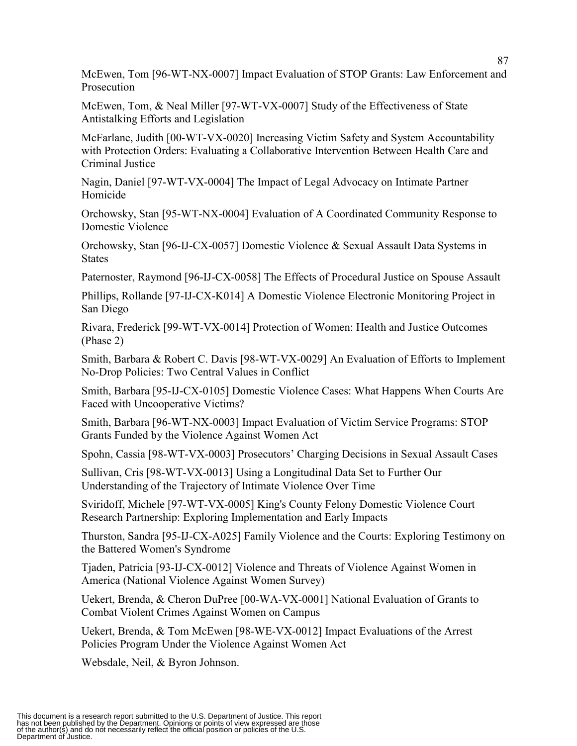McEwen, Tom [96-WT-NX-0007] Impact Evaluation of STOP Grants: Law Enforcement and Prosecution

McEwen, Tom, & Neal Miller [97-WT-VX-0007] Study of the Effectiveness of State Antistalking Efforts and Legislation

McFarlane, Judith [00-WT-VX-0020] Increasing Victim Safety and System Accountability with Protection Orders: Evaluating a Collaborative Intervention Between Health Care and Criminal Justice

Nagin, Daniel [97-WT-VX-0004] The Impact of Legal Advocacy on Intimate Partner Homicide

Orchowsky, Stan [95-WT-NX-0004] Evaluation of A Coordinated Community Response to Domestic Violence

Orchowsky, Stan [96-IJ-CX-0057] Domestic Violence & Sexual Assault Data Systems in **States** 

Paternoster, Raymond [96-IJ-CX-0058] The Effects of Procedural Justice on Spouse Assault

Phillips, Rollande [97-IJ-CX-K014] A Domestic Violence Electronic Monitoring Project in San Diego

Rivara, Frederick [99-WT-VX-0014] Protection of Women: Health and Justice Outcomes (Phase 2)

Smith, Barbara & Robert C. Davis [98-WT-VX-0029] An Evaluation of Efforts to Implement No-Drop Policies: Two Central Values in Conflict

Smith, Barbara [95-IJ-CX-0105] Domestic Violence Cases: What Happens When Courts Are Faced with Uncooperative Victims?

Smith, Barbara [96-WT-NX-0003] Impact Evaluation of Victim Service Programs: STOP Grants Funded by the Violence Against Women Act

Spohn, Cassia [98-WT-VX-0003] Prosecutors' Charging Decisions in Sexual Assault Cases

Sullivan, Cris [98-WT-VX-0013] Using a Longitudinal Data Set to Further Our Understanding of the Trajectory of Intimate Violence Over Time

Sviridoff, Michele [97-WT-VX-0005] King's County Felony Domestic Violence Court Research Partnership: Exploring Implementation and Early Impacts

Thurston, Sandra [95-IJ-CX-A025] Family Violence and the Courts: Exploring Testimony on the Battered Women's Syndrome

Tjaden, Patricia [93-IJ-CX-0012] Violence and Threats of Violence Against Women in America (National Violence Against Women Survey)

Uekert, Brenda, & Cheron DuPree [00-WA-VX-0001] National Evaluation of Grants to Combat Violent Crimes Against Women on Campus

Uekert, Brenda, & Tom McEwen [98-WE-VX-0012] Impact Evaluations of the Arrest Policies Program Under the Violence Against Women Act

Websdale, Neil, & Byron Johnson.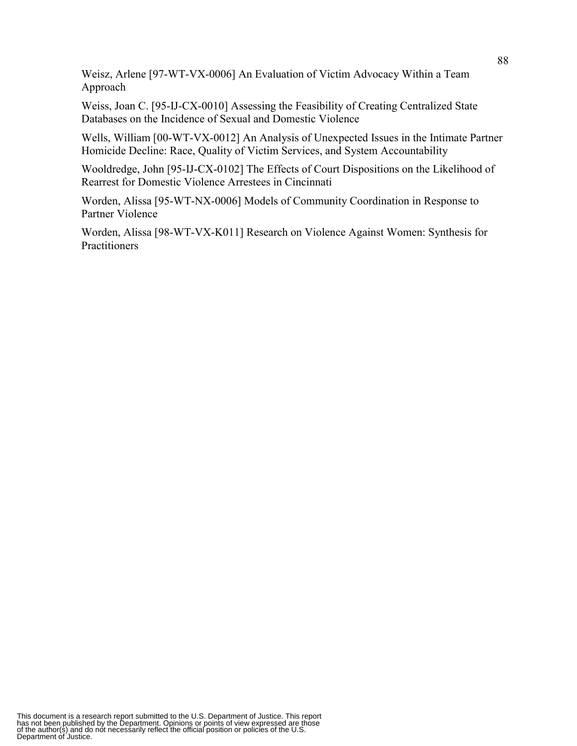Weisz, Arlene [97-WT-VX-0006] An Evaluation of Victim Advocacy Within a Team Approach

Weiss, Joan C. [95-IJ-CX-0010] Assessing the Feasibility of Creating Centralized State Databases on the Incidence of Sexual and Domestic Violence

Wells, William [00-WT-VX-0012] An Analysis of Unexpected Issues in the Intimate Partner Homicide Decline: Race, Quality of Victim Services, and System Accountability

Wooldredge, John [95-IJ-CX-0102] The Effects of Court Dispositions on the Likelihood of Rearrest for Domestic Violence Arrestees in Cincinnati

Worden, Alissa [95-WT-NX-0006] Models of Community Coordination in Response to Partner Violence

Worden, Alissa [98-WT-VX-K011] Research on Violence Against Women: Synthesis for **Practitioners**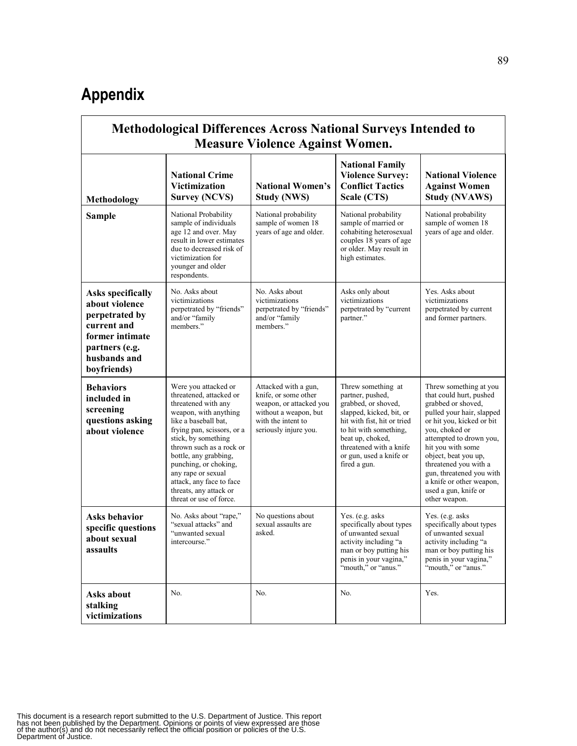# **Appendix**

| <b>Methodological Differences Across National Surveys Intended to</b><br><b>Measure Violence Against Women.</b>                                 |                                                                                                                                                                                                                                                                                                                                                                   |                                                                                                                                                 |                                                                                                                                                                                                                                              |                                                                                                                                                                                                                                                                                                                                                       |  |  |
|-------------------------------------------------------------------------------------------------------------------------------------------------|-------------------------------------------------------------------------------------------------------------------------------------------------------------------------------------------------------------------------------------------------------------------------------------------------------------------------------------------------------------------|-------------------------------------------------------------------------------------------------------------------------------------------------|----------------------------------------------------------------------------------------------------------------------------------------------------------------------------------------------------------------------------------------------|-------------------------------------------------------------------------------------------------------------------------------------------------------------------------------------------------------------------------------------------------------------------------------------------------------------------------------------------------------|--|--|
| Methodology                                                                                                                                     | <b>National Crime</b><br><b>Victimization</b><br><b>Survey (NCVS)</b>                                                                                                                                                                                                                                                                                             | <b>National Women's</b><br><b>Study (NWS)</b>                                                                                                   | <b>National Family</b><br><b>Violence Survey:</b><br><b>Conflict Tactics</b><br>Scale (CTS)                                                                                                                                                  | <b>National Violence</b><br><b>Against Women</b><br><b>Study (NVAWS)</b>                                                                                                                                                                                                                                                                              |  |  |
| <b>Sample</b>                                                                                                                                   | National Probability<br>sample of individuals<br>age 12 and over. May<br>result in lower estimates<br>due to decreased risk of<br>victimization for<br>younger and older<br>respondents.                                                                                                                                                                          | National probability<br>sample of women 18<br>years of age and older.                                                                           | National probability<br>sample of married or<br>cohabiting heterosexual<br>couples 18 years of age<br>or older. May result in<br>high estimates.                                                                                             | National probability<br>sample of women 18<br>years of age and older.                                                                                                                                                                                                                                                                                 |  |  |
| <b>Asks specifically</b><br>about violence<br>perpetrated by<br>current and<br>former intimate<br>partners (e.g.<br>husbands and<br>boyfriends) | No. Asks about<br>victimizations<br>perpetrated by "friends"<br>and/or "family<br>members."                                                                                                                                                                                                                                                                       | No. Asks about<br>victimizations<br>perpetrated by "friends"<br>and/or "family<br>members."                                                     | Asks only about<br>victimizations<br>perpetrated by "current<br>partner."                                                                                                                                                                    | Yes. Asks about<br>victimizations<br>perpetrated by current<br>and former partners.                                                                                                                                                                                                                                                                   |  |  |
| <b>Behaviors</b><br>included in<br>screening<br>questions asking<br>about violence                                                              | Were you attacked or<br>threatened, attacked or<br>threatened with any<br>weapon, with anything<br>like a baseball bat,<br>frying pan, scissors, or a<br>stick, by something<br>thrown such as a rock or<br>bottle, any grabbing,<br>punching, or choking,<br>any rape or sexual<br>attack, any face to face<br>threats, any attack or<br>threat or use of force. | Attacked with a gun,<br>knife, or some other<br>weapon, or attacked you<br>without a weapon, but<br>with the intent to<br>seriously injure you. | Threw something at<br>partner, pushed,<br>grabbed, or shoved,<br>slapped, kicked, bit, or<br>hit with fist, hit or tried<br>to hit with something,<br>beat up, choked,<br>threatened with a knife<br>or gun, used a knife or<br>fired a gun. | Threw something at you<br>that could hurt, pushed<br>grabbed or shoved,<br>pulled your hair, slapped<br>or hit you, kicked or bit<br>you, choked or<br>attempted to drown you,<br>hit you with some<br>object, beat you up,<br>threatened you with a<br>gun, threatened you with<br>a knife or other weapon,<br>used a gun, knife or<br>other weapon. |  |  |
| <b>Asks behavior</b><br>specific questions<br>about sexual<br>assaults                                                                          | No. Asks about "rape,"<br>"sexual attacks" and<br>"unwanted sexual<br>intercourse."                                                                                                                                                                                                                                                                               | No questions about<br>sexual assaults are<br>asked.                                                                                             | Yes. (e.g. asks<br>specifically about types<br>of unwanted sexual<br>activity including "a<br>man or boy putting his<br>penis in your vagina,"<br>"mouth," or "anus."                                                                        | Yes. (e.g. asks<br>specifically about types<br>of unwanted sexual<br>activity including "a<br>man or boy putting his<br>penis in your vagina,"<br>"mouth," or "anus."                                                                                                                                                                                 |  |  |
| Asks about<br>stalking<br>victimizations                                                                                                        | No.                                                                                                                                                                                                                                                                                                                                                               | No.                                                                                                                                             | No.                                                                                                                                                                                                                                          | Yes.                                                                                                                                                                                                                                                                                                                                                  |  |  |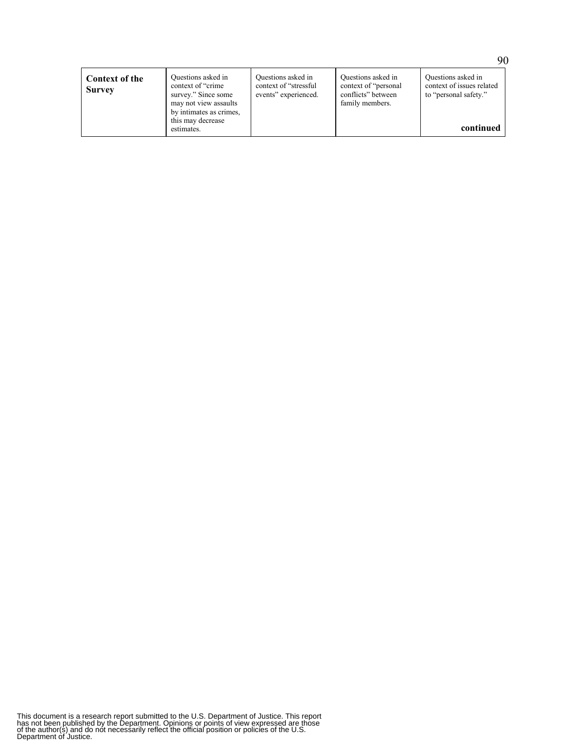| Context of the<br><b>Survey</b> | Questions asked in<br>context of "crime"<br>survey." Since some<br>may not view assaults<br>by intimates as crimes,<br>this may decrease | Ouestions asked in<br>context of "stressful<br>events" experienced. | Questions asked in<br>context of "personal"<br>conflicts" between<br>family members. | Questions asked in<br>context of issues related<br>to "personal safety."<br>continued |
|---------------------------------|------------------------------------------------------------------------------------------------------------------------------------------|---------------------------------------------------------------------|--------------------------------------------------------------------------------------|---------------------------------------------------------------------------------------|
|                                 | estimates.                                                                                                                               |                                                                     |                                                                                      |                                                                                       |

This document is a research report submitted to the U.S. Department of Justice. This report<br>has not been published by the Department. Opinions or points of view expressed are those<br>of the author(s) and do not necessarily r

## 90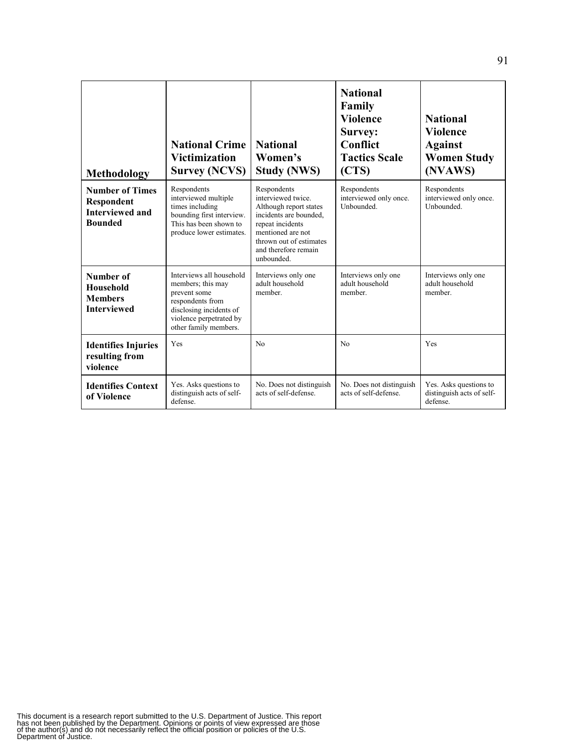| <b>Methodology</b>                                                        | <b>National Crime</b><br><b>Victimization</b><br><b>Survey (NCVS)</b>                                                                                            | <b>National</b><br>Women's<br><b>Study (NWS)</b>                                                                                                                                                | <b>National</b><br>Family<br><b>Violence</b><br><b>Survey:</b><br>Conflict<br><b>Tactics Scale</b><br>(CTS) | <b>National</b><br><b>Violence</b><br><b>Against</b><br><b>Women Study</b><br>(NVAWS) |
|---------------------------------------------------------------------------|------------------------------------------------------------------------------------------------------------------------------------------------------------------|-------------------------------------------------------------------------------------------------------------------------------------------------------------------------------------------------|-------------------------------------------------------------------------------------------------------------|---------------------------------------------------------------------------------------|
| <b>Number of Times</b><br>Respondent<br>Interviewed and<br><b>Bounded</b> | Respondents<br>interviewed multiple<br>times including<br>bounding first interview.<br>This has been shown to<br>produce lower estimates.                        | Respondents<br>interviewed twice.<br>Although report states<br>incidents are bounded.<br>repeat incidents<br>mentioned are not<br>thrown out of estimates<br>and therefore remain<br>unbounded. | Respondents<br>interviewed only once.<br>Unbounded.                                                         | Respondents<br>interviewed only once.<br>Unbounded.                                   |
| Number of<br><b>Household</b><br><b>Members</b><br><b>Interviewed</b>     | Interviews all household<br>members; this may<br>prevent some<br>respondents from<br>disclosing incidents of<br>violence perpetrated by<br>other family members. | Interviews only one<br>adult household<br>member                                                                                                                                                | Interviews only one<br>adult household<br>member                                                            | Interviews only one<br>adult household<br>member                                      |
| <b>Identifies Injuries</b><br>resulting from<br>violence                  | Yes                                                                                                                                                              | N <sub>0</sub>                                                                                                                                                                                  | N <sub>0</sub>                                                                                              | Yes                                                                                   |
| <b>Identifies Context</b><br>of Violence                                  | Yes. Asks questions to<br>distinguish acts of self-<br>defense.                                                                                                  | No. Does not distinguish<br>acts of self-defense.                                                                                                                                               | No. Does not distinguish<br>acts of self-defense.                                                           | Yes. Asks questions to<br>distinguish acts of self-<br>defense.                       |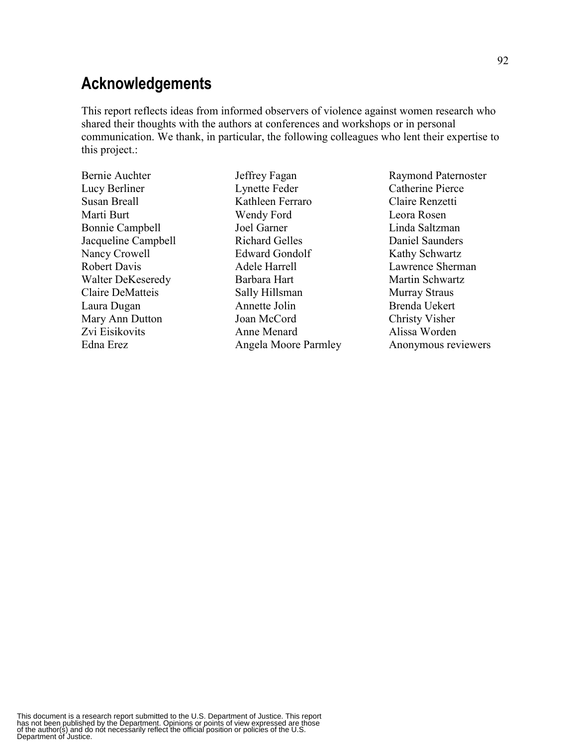# **Acknowledgements**

This report reflects ideas from informed observers of violence against women research who shared their thoughts with the authors at conferences and workshops or in personal communication. We thank, in particular, the following colleagues who lent their expertise to this project.:

Bernie Auchter Lucy Berliner Susan Breall Marti Burt Bonnie Campbell Jacqueline Campbell Nancy Crowell Robert Davis Walter DeKeseredy Claire DeMatteis Laura Dugan Mary Ann Dutton Zvi Eisikovits Edna Erez

Jeffrey Fagan Lynette Feder Kathleen Ferraro Wendy Ford Joel Garner Richard Gelles Edward Gondolf Adele Harrell Barbara Hart Sally Hillsman Annette Jolin Joan McCord Anne Menard Angela Moore Parmley Raymond Paternoster Catherine Pierce Claire Renzetti Leora Rosen Linda Saltzman Daniel Saunders Kathy Schwartz Lawrence Sherman Martin Schwartz Murray Straus Brenda Uekert Christy Visher Alissa Worden Anonymous reviewers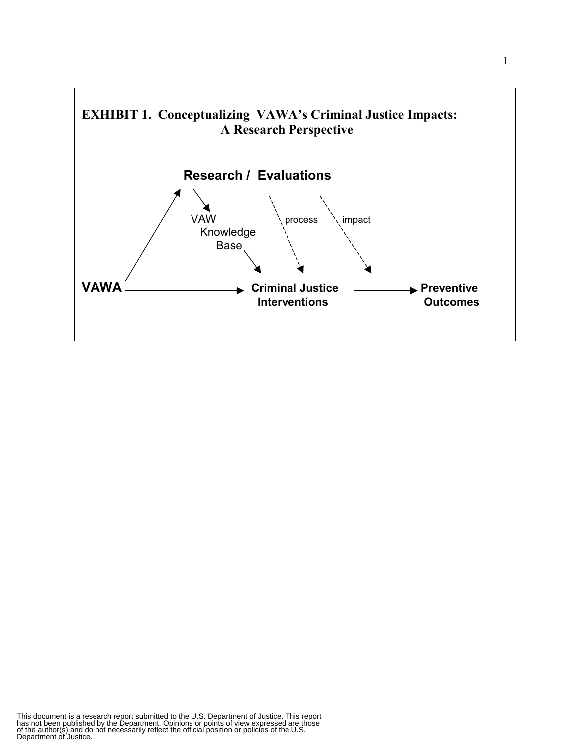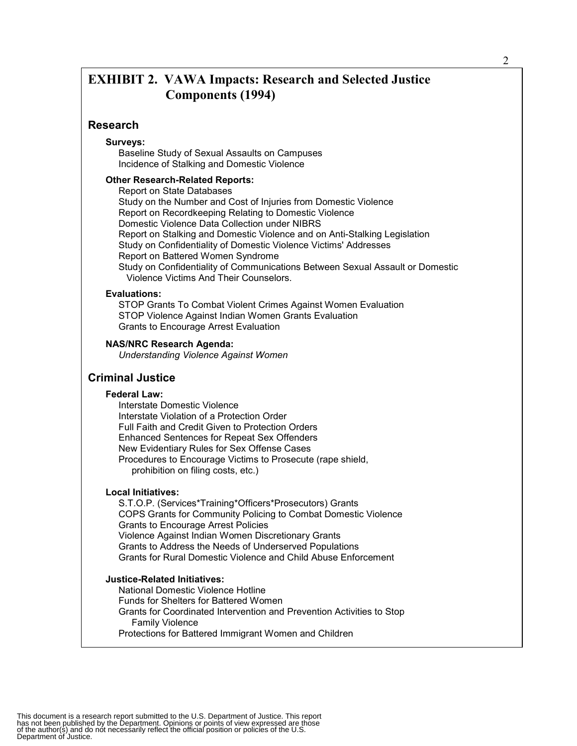# **EXHIBIT 2. VAWA Impacts: Research and Selected Justice Components (1994)**

### **Research**

#### **Surveys:**

Baseline Study of Sexual Assaults on Campuses Incidence of Stalking and Domestic Violence

### **Other Research-Related Reports:**

Report on State Databases Study on the Number and Cost of Injuries from Domestic Violence Report on Recordkeeping Relating to Domestic Violence Domestic Violence Data Collection under NIBRS Report on Stalking and Domestic Violence and on Anti-Stalking Legislation Study on Confidentiality of Domestic Violence Victims' Addresses Report on Battered Women Syndrome Study on Confidentiality of Communications Between Sexual Assault or Domestic Violence Victims And Their Counselors.

#### **Evaluations:**

STOP Grants To Combat Violent Crimes Against Women Evaluation STOP Violence Against Indian Women Grants Evaluation Grants to Encourage Arrest Evaluation

#### **NAS/NRC Research Agenda:**

*Understanding Violence Against Women* 

### **Criminal Justice**

#### **Federal Law:**

Interstate Domestic Violence Interstate Violation of a Protection Order Full Faith and Credit Given to Protection Orders Enhanced Sentences for Repeat Sex Offenders New Evidentiary Rules for Sex Offense Cases Procedures to Encourage Victims to Prosecute (rape shield, prohibition on filing costs, etc.)

#### **Local Initiatives:**

S.T.O.P. (Services\*Training\*Officers\*Prosecutors) Grants COPS Grants for Community Policing to Combat Domestic Violence Grants to Encourage Arrest Policies Violence Against Indian Women Discretionary Grants Grants to Address the Needs of Underserved Populations Grants for Rural Domestic Violence and Child Abuse Enforcement

#### **Justice-Related Initiatives:**

National Domestic Violence Hotline

Funds for Shelters for Battered Women

Grants for Coordinated Intervention and Prevention Activities to Stop Family Violence

Protections for Battered Immigrant Women and Children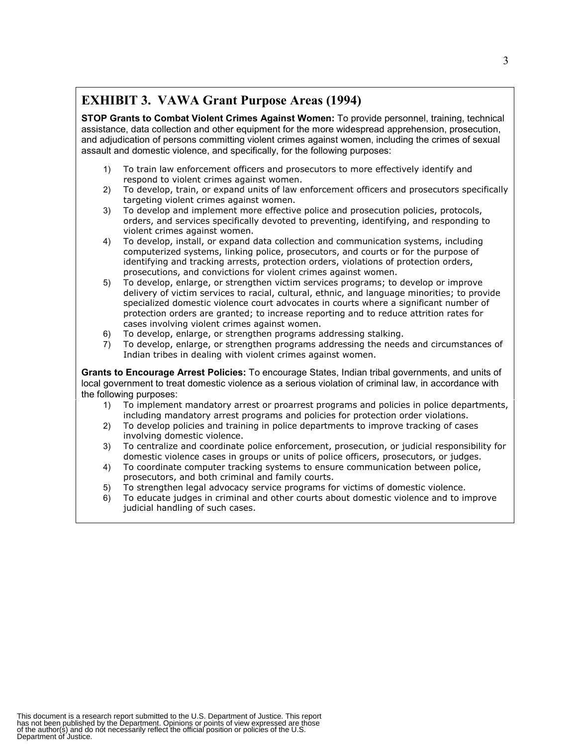# **EXHIBIT 3. VAWA Grant Purpose Areas (1994)**

**STOP Grants to Combat Violent Crimes Against Women:** To provide personnel, training, technical assistance, data collection and other equipment for the more widespread apprehension, prosecution, and adjudication of persons committing violent crimes against women, including the crimes of sexual assault and domestic violence, and specifically, for the following purposes:

- 1) To train law enforcement officers and prosecutors to more effectively identify and respond to violent crimes against women.
- 2) To develop, train, or expand units of law enforcement officers and prosecutors specifically targeting violent crimes against women.
- 3) To develop and implement more effective police and prosecution policies, protocols, orders, and services specifically devoted to preventing, identifying, and responding to violent crimes against women.
- 4) To develop, install, or expand data collection and communication systems, including computerized systems, linking police, prosecutors, and courts or for the purpose of identifying and tracking arrests, protection orders, violations of protection orders, prosecutions, and convictions for violent crimes against women.
- 5) To develop, enlarge, or strengthen victim services programs; to develop or improve delivery of victim services to racial, cultural, ethnic, and language minorities; to provide specialized domestic violence court advocates in courts where a significant number of protection orders are granted; to increase reporting and to reduce attrition rates for cases involving violent crimes against women.
- 6) To develop, enlarge, or strengthen programs addressing stalking.
- 7) To develop, enlarge, or strengthen programs addressing the needs and circumstances of Indian tribes in dealing with violent crimes against women.

**Grants to Encourage Arrest Policies:** To encourage States, Indian tribal governments, and units of local government to treat domestic violence as a serious violation of criminal law, in accordance with the following purposes:

- 1) To implement mandatory arrest or proarrest programs and policies in police departments, including mandatory arrest programs and policies for protection order violations.
- 2) To develop policies and training in police departments to improve tracking of cases involving domestic violence.
- 3) To centralize and coordinate police enforcement, prosecution, or judicial responsibility for domestic violence cases in groups or units of police officers, prosecutors, or judges.
- 4) To coordinate computer tracking systems to ensure communication between police, prosecutors, and both criminal and family courts.
- 5) To strengthen legal advocacy service programs for victims of domestic violence.
- 6) To educate judges in criminal and other courts about domestic violence and to improve judicial handling of such cases.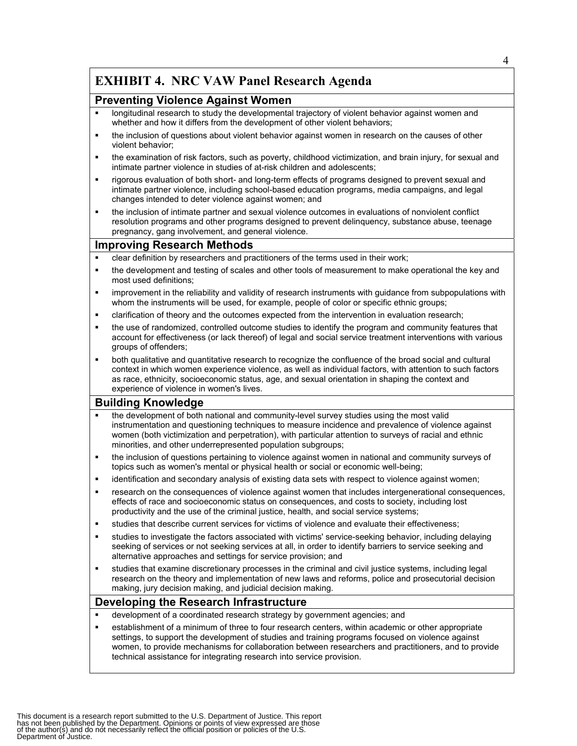# **EXHIBIT 4. NRC VAW Panel Research Agenda**

## **Preventing Violence Against Women**

- longitudinal research to study the developmental trajectory of violent behavior against women and whether and how it differs from the development of other violent behaviors;
- the inclusion of questions about violent behavior against women in research on the causes of other violent behavior;
- � the examination of risk factors, such as poverty, childhood victimization, and brain injury, for sexual and intimate partner violence in studies of at-risk children and adolescents;
- rigorous evaluation of both short- and long-term effects of programs designed to prevent sexual and intimate partner violence, including school-based education programs, media campaigns, and legal changes intended to deter violence against women; and
- the inclusion of intimate partner and sexual violence outcomes in evaluations of nonviolent conflict resolution programs and other programs designed to prevent delinquency, substance abuse, teenage pregnancy, gang involvement, and general violence.

#### **Improving Research Methods**

- � clear definition by researchers and practitioners of the terms used in their work;
- the development and testing of scales and other tools of measurement to make operational the key and most used definitions;
- improvement in the reliability and validity of research instruments with guidance from subpopulations with whom the instruments will be used, for example, people of color or specific ethnic groups;
- � clarification of theory and the outcomes expected from the intervention in evaluation research;
- � the use of randomized, controlled outcome studies to identify the program and community features that account for effectiveness (or lack thereof) of legal and social service treatment interventions with various groups of offenders;
- � both qualitative and quantitative research to recognize the confluence of the broad social and cultural context in which women experience violence, as well as individual factors, with attention to such factors as race, ethnicity, socioeconomic status, age, and sexual orientation in shaping the context and experience of violence in women's lives.

### **Building Knowledge**

- � the development of both national and community-level survey studies using the most valid instrumentation and questioning techniques to measure incidence and prevalence of violence against women (both victimization and perpetration), with particular attention to surveys of racial and ethnic minorities, and other underrepresented population subgroups;
- � the inclusion of questions pertaining to violence against women in national and community surveys of topics such as women's mental or physical health or social or economic well-being;
- identification and secondary analysis of existing data sets with respect to violence against women;
- research on the consequences of violence against women that includes intergenerational consequences, effects of race and socioeconomic status on consequences, and costs to society, including lost productivity and the use of the criminal justice, health, and social service systems;
- **•** studies that describe current services for victims of violence and evaluate their effectiveness;
- studies to investigate the factors associated with victims' service-seeking behavior, including delaying seeking of services or not seeking services at all, in order to identify barriers to service seeking and alternative approaches and settings for service provision; and
- studies that examine discretionary processes in the criminal and civil justice systems, including legal research on the theory and implementation of new laws and reforms, police and prosecutorial decision making, jury decision making, and judicial decision making.

## **Developing the Research Infrastructure**

- � development of a coordinated research strategy by government agencies; and
- establishment of a minimum of three to four research centers, within academic or other appropriate settings, to support the development of studies and training programs focused on violence against women, to provide mechanisms for collaboration between researchers and practitioners, and to provide technical assistance for integrating research into service provision.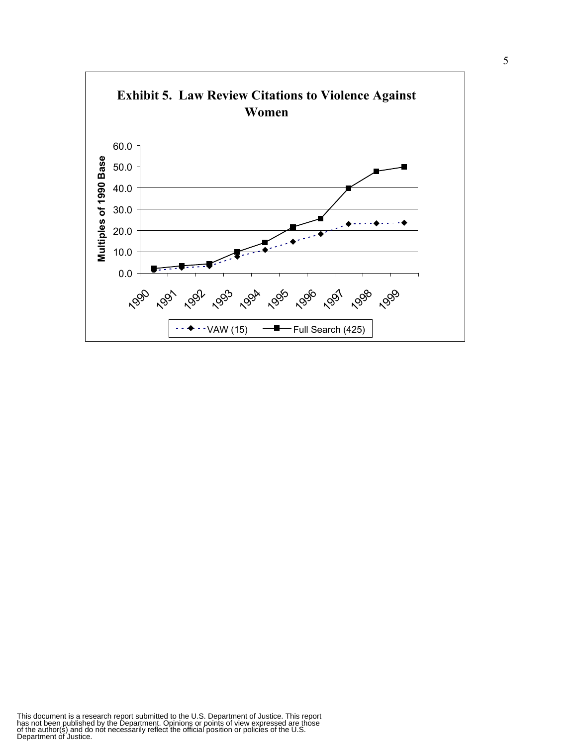